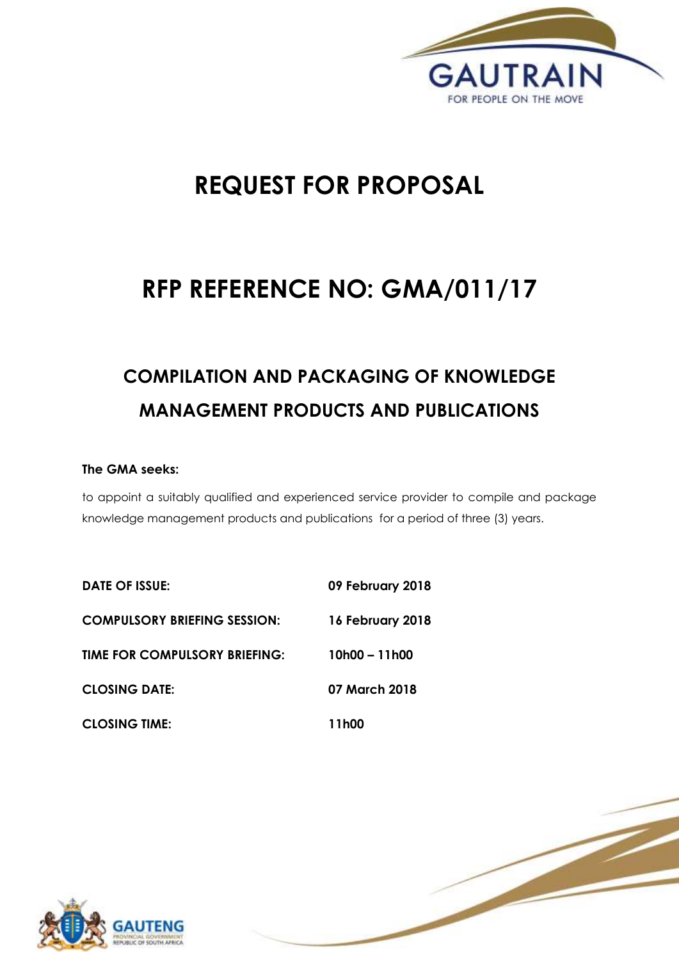

1 | P a g e

# **REQUEST FOR PROPOSAL**

## **RFP REFERENCE NO: GMA/011/17**

# **COMPILATION AND PACKAGING OF KNOWLEDGE MANAGEMENT PRODUCTS AND PUBLICATIONS**

#### **The GMA seeks:**

to appoint a suitably qualified and experienced service provider to compile and package knowledge management products and publications for a period of three (3) years.

| <b>DATE OF ISSUE:</b>               | 09 February 2018 |
|-------------------------------------|------------------|
| <b>COMPULSORY BRIEFING SESSION:</b> | 16 February 2018 |
| TIME FOR COMPULSORY BRIEFING:       | $10h00 - 11h00$  |
| <b>CLOSING DATE:</b>                | 07 March 2018    |
| <b>CLOSING TIME:</b>                | 11h00            |

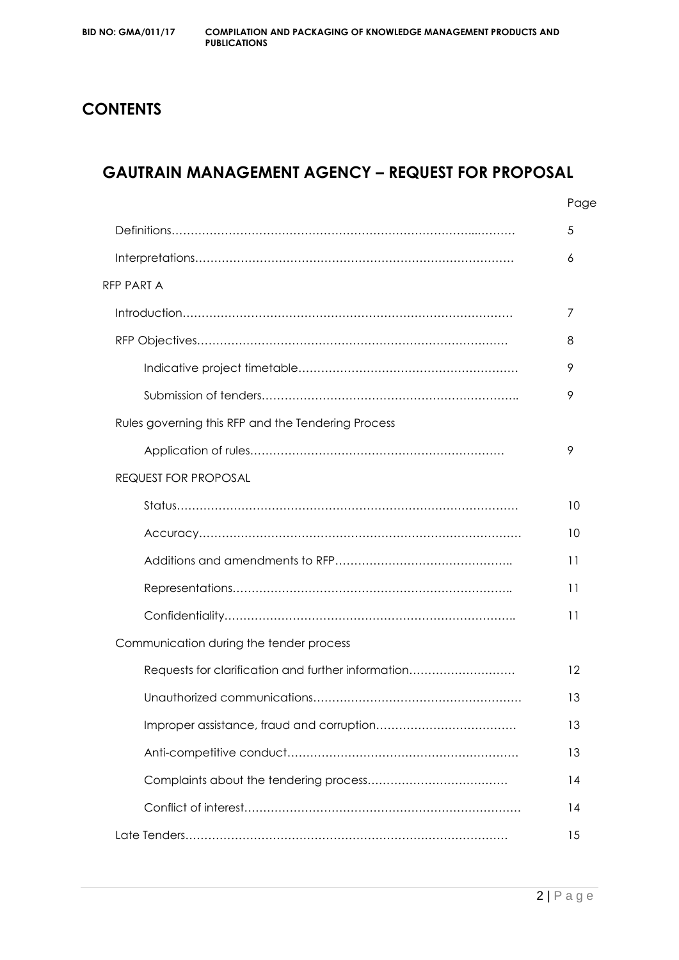## **CONTENTS**

## **GAUTRAIN MANAGEMENT AGENCY – REQUEST FOR PROPOSAL**

|                                                    | Page |
|----------------------------------------------------|------|
|                                                    | 5    |
|                                                    | 6    |
| RFP PART A                                         |      |
|                                                    | 7    |
|                                                    | 8    |
|                                                    | 9    |
|                                                    | 9    |
| Rules governing this RFP and the Tendering Process |      |
|                                                    | 9    |
| <b>REQUEST FOR PROPOSAL</b>                        |      |
|                                                    | 10   |
|                                                    | 10   |
|                                                    | 11   |
|                                                    | 11   |
|                                                    | 11   |
| Communication during the tender process            |      |
| Requests for clarification and further information | 12   |
|                                                    | 13   |
|                                                    | 13   |
|                                                    | 13   |
|                                                    | 14   |
|                                                    | 14   |
|                                                    | 15   |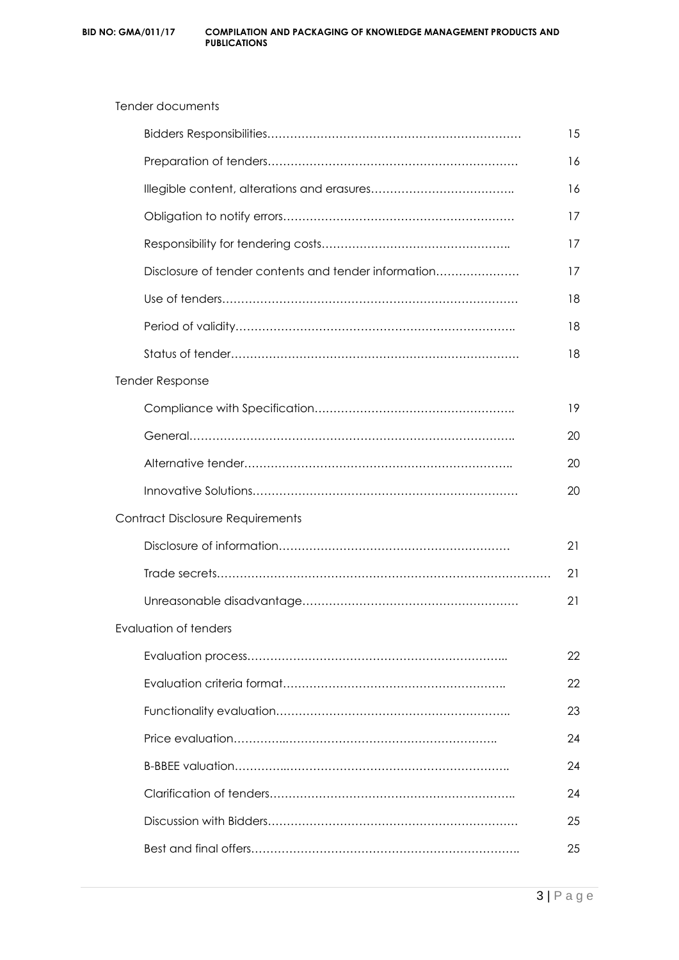|                                                      | 15 |
|------------------------------------------------------|----|
|                                                      | 16 |
|                                                      | 16 |
|                                                      | 17 |
|                                                      | 17 |
| Disclosure of tender contents and tender information | 17 |
|                                                      | 18 |
|                                                      | 18 |
|                                                      | 18 |
| <b>Tender Response</b>                               |    |
|                                                      | 19 |
|                                                      | 20 |
|                                                      | 20 |
|                                                      | 20 |
| Contract Disclosure Requirements                     |    |
|                                                      | 21 |
|                                                      | 21 |
|                                                      | 21 |
| Evaluation of tenders                                |    |
|                                                      | 22 |
|                                                      | 22 |
|                                                      | 23 |
|                                                      | 24 |
|                                                      | 24 |
|                                                      | 24 |
|                                                      | 25 |
|                                                      | 25 |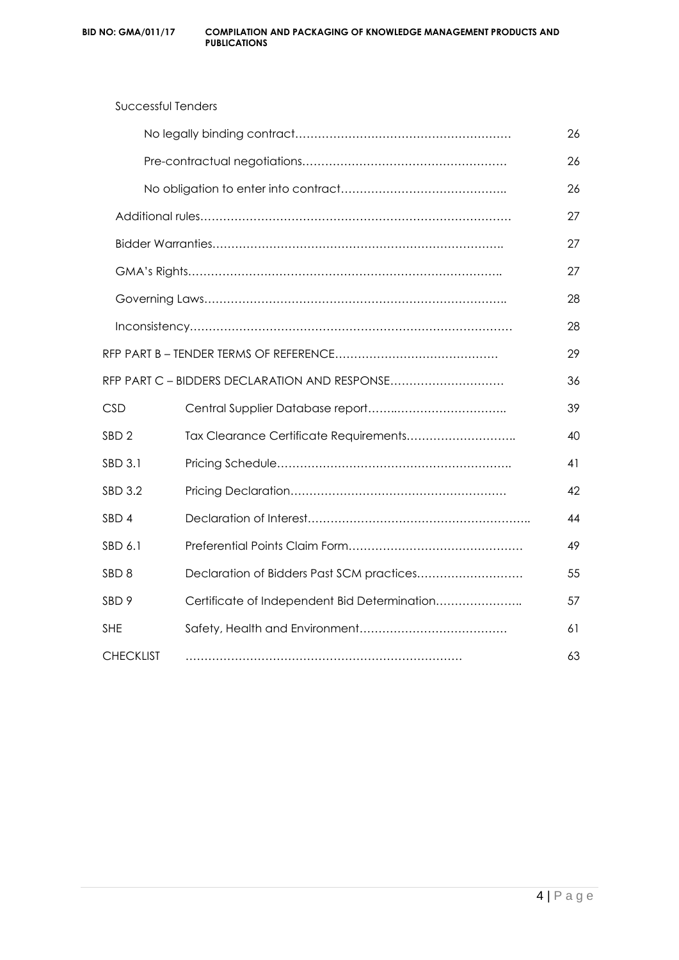| <b>Successful Tenders</b> |                                               |    |
|---------------------------|-----------------------------------------------|----|
|                           |                                               | 26 |
|                           |                                               | 26 |
|                           |                                               | 26 |
|                           |                                               | 27 |
|                           |                                               | 27 |
|                           |                                               | 27 |
|                           |                                               | 28 |
|                           |                                               | 28 |
|                           |                                               | 29 |
|                           | RFP PART C - BIDDERS DECLARATION AND RESPONSE | 36 |
| <b>CSD</b>                |                                               | 39 |
| SBD <sub>2</sub>          | Tax Clearance Certificate Requirements        | 40 |
| <b>SBD 3.1</b>            |                                               | 41 |
| <b>SBD 3.2</b>            |                                               | 42 |
| SBD <sub>4</sub>          |                                               | 44 |
| SBD 6.1                   |                                               | 49 |
| SBD <sub>8</sub>          | Declaration of Bidders Past SCM practices     | 55 |
| SBD 9                     | Certificate of Independent Bid Determination  | 57 |
| <b>SHE</b>                |                                               | 61 |
| <b>CHECKLIST</b>          |                                               | 63 |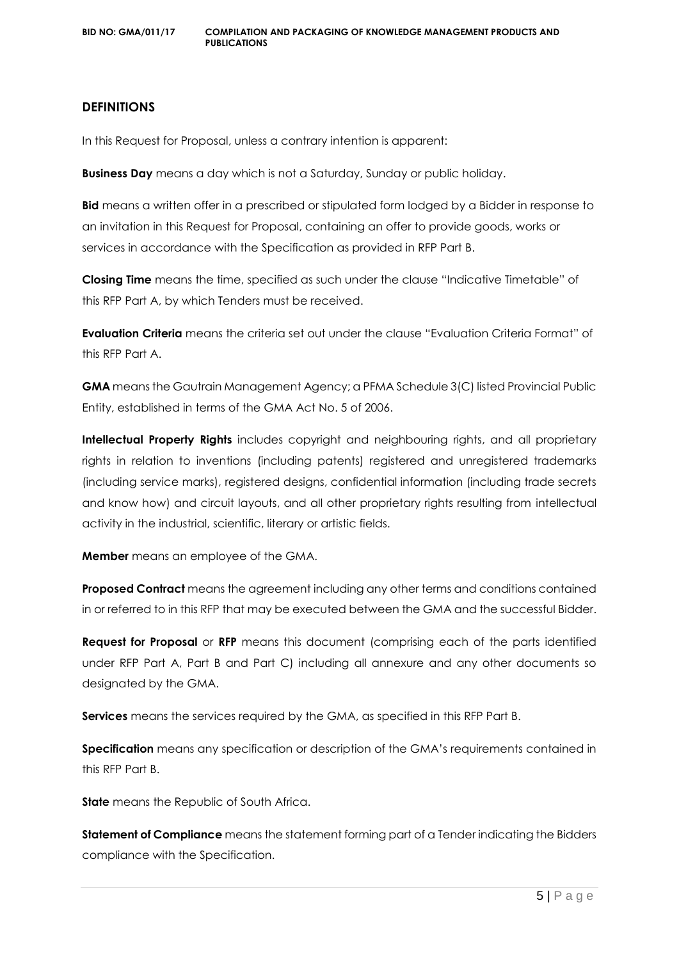#### **DEFINITIONS**

In this Request for Proposal, unless a contrary intention is apparent:

**Business Day** means a day which is not a Saturday, Sunday or public holiday.

**Bid** means a written offer in a prescribed or stipulated form lodged by a Bidder in response to an invitation in this Request for Proposal, containing an offer to provide goods, works or services in accordance with the Specification as provided in RFP Part B.

**Closing Time** means the time, specified as such under the clause "Indicative Timetable" of this RFP Part A, by which Tenders must be received.

**Evaluation Criteria** means the criteria set out under the clause "Evaluation Criteria Format" of this RFP Part A.

**GMA** means the Gautrain Management Agency; a PFMA Schedule 3(C) listed Provincial Public Entity, established in terms of the GMA Act No. 5 of 2006.

**Intellectual Property Rights** includes copyright and neighbouring rights, and all proprietary rights in relation to inventions (including patents) registered and unregistered trademarks (including service marks), registered designs, confidential information (including trade secrets and know how) and circuit layouts, and all other proprietary rights resulting from intellectual activity in the industrial, scientific, literary or artistic fields.

**Member** means an employee of the GMA.

**Proposed Contract** means the agreement including any other terms and conditions contained in or referred to in this RFP that may be executed between the GMA and the successful Bidder.

**Request for Proposal** or **RFP** means this document (comprising each of the parts identified under RFP Part A, Part B and Part C) including all annexure and any other documents so designated by the GMA.

**Services** means the services required by the GMA, as specified in this RFP Part B.

**Specification** means any specification or description of the GMA's requirements contained in this RFP Part B.

**State** means the Republic of South Africa.

**Statement of Compliance** means the statement forming part of a Tender indicating the Bidders compliance with the Specification.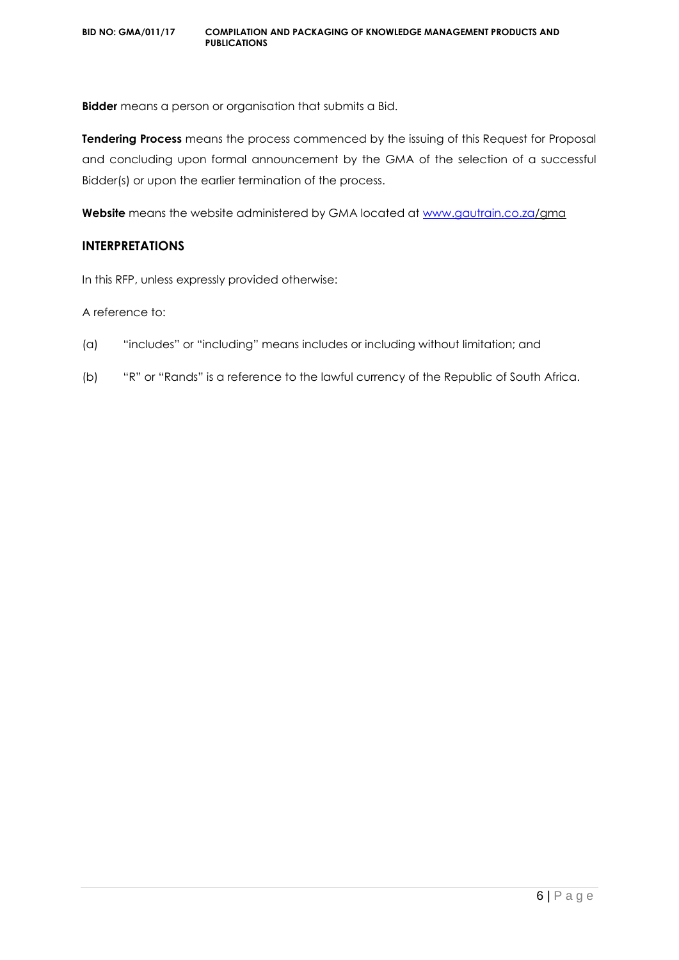**Bidder** means a person or organisation that submits a Bid.

**Tendering Process** means the process commenced by the issuing of this Request for Proposal and concluding upon formal announcement by the GMA of the selection of a successful Bidder(s) or upon the earlier termination of the process.

**Website** means the website administered by GMA located at [www.gautrain.co.za/](http://www.gautrain.co.za/)gma

#### **INTERPRETATIONS**

In this RFP, unless expressly provided otherwise:

A reference to:

- (a) "includes" or "including" means includes or including without limitation; and
- (b) "R" or "Rands" is a reference to the lawful currency of the Republic of South Africa.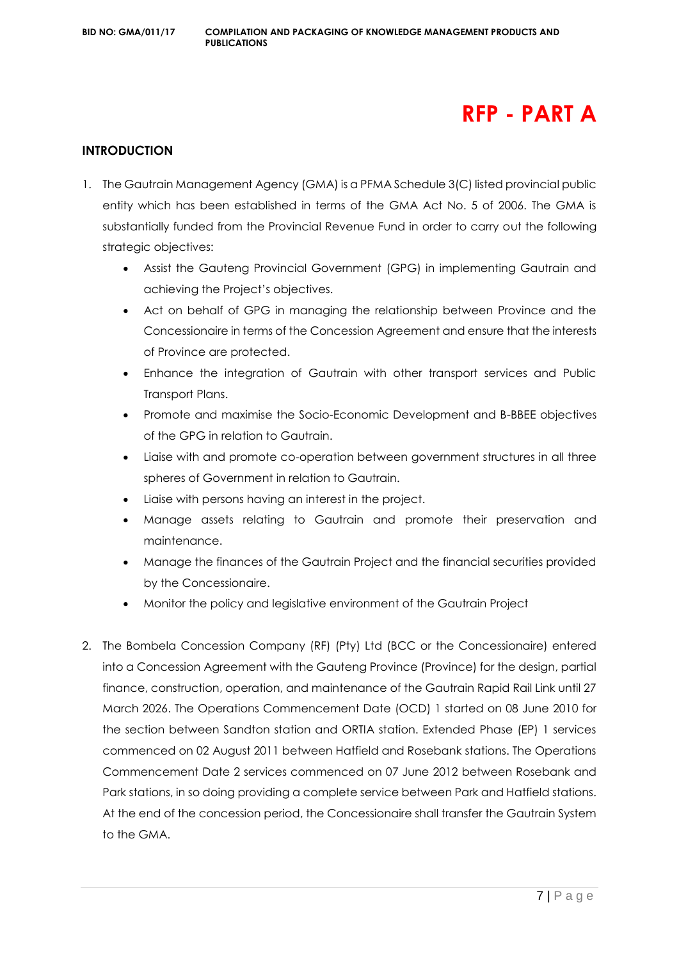## **RFP - PART A**

#### **INTRODUCTION**

- 1. The Gautrain Management Agency (GMA) is a PFMA Schedule 3(C) listed provincial public entity which has been established in terms of the GMA Act No. 5 of 2006. The GMA is substantially funded from the Provincial Revenue Fund in order to carry out the following strategic objectives:
	- Assist the Gauteng Provincial Government (GPG) in implementing Gautrain and achieving the Project's objectives.
	- Act on behalf of GPG in managing the relationship between Province and the Concessionaire in terms of the Concession Agreement and ensure that the interests of Province are protected.
	- Enhance the integration of Gautrain with other transport services and Public Transport Plans.
	- Promote and maximise the Socio-Economic Development and B-BBEE objectives of the GPG in relation to Gautrain.
	- Liaise with and promote co-operation between government structures in all three spheres of Government in relation to Gautrain.
	- Liaise with persons having an interest in the project.
	- Manage assets relating to Gautrain and promote their preservation and maintenance.
	- Manage the finances of the Gautrain Project and the financial securities provided by the Concessionaire.
	- Monitor the policy and legislative environment of the Gautrain Project
- 2. The Bombela Concession Company (RF) (Pty) Ltd (BCC or the Concessionaire) entered into a Concession Agreement with the Gauteng Province (Province) for the design, partial finance, construction, operation, and maintenance of the Gautrain Rapid Rail Link until 27 March 2026. The Operations Commencement Date (OCD) 1 started on 08 June 2010 for the section between Sandton station and ORTIA station. Extended Phase (EP) 1 services commenced on 02 August 2011 between Hatfield and Rosebank stations. The Operations Commencement Date 2 services commenced on 07 June 2012 between Rosebank and Park stations, in so doing providing a complete service between Park and Hatfield stations. At the end of the concession period, the Concessionaire shall transfer the Gautrain System to the GMA.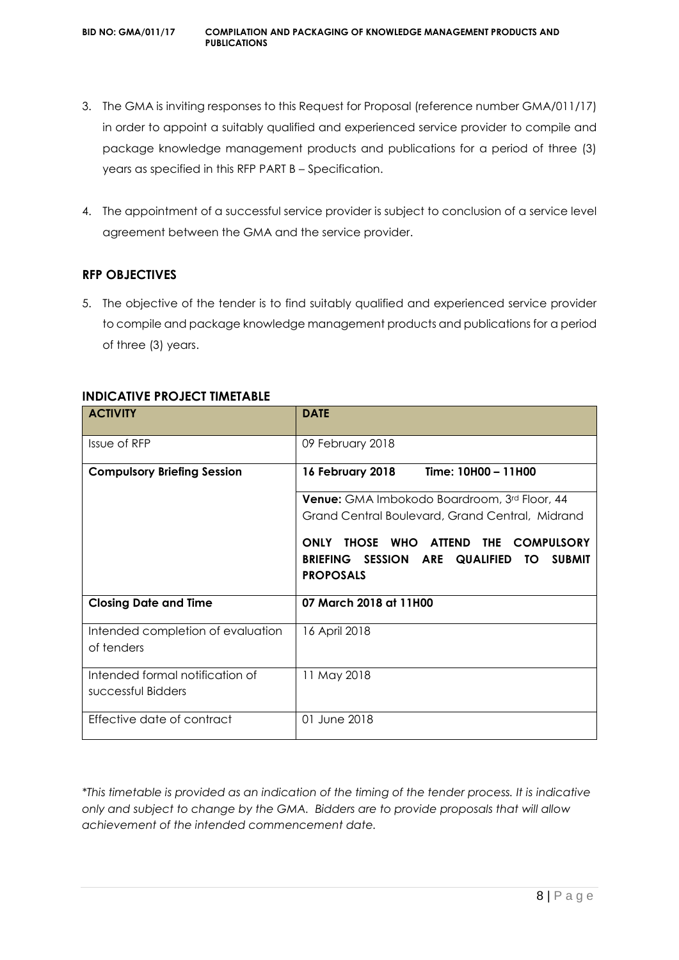- 3. The GMA is inviting responses to this Request for Proposal (reference number GMA/011/17) in order to appoint a suitably qualified and experienced service provider to compile and package knowledge management products and publications for a period of three (3) years as specified in this RFP PART B – Specification.
- 4. The appointment of a successful service provider is subject to conclusion of a service level agreement between the GMA and the service provider.

#### **RFP OBJECTIVES**

5. The objective of the tender is to find suitably qualified and experienced service provider to compile and package knowledge management products and publications for a period of three (3) years.

| <b>ACTIVITY</b>                                       | <b>DATE</b>                                                                                                                                         |  |
|-------------------------------------------------------|-----------------------------------------------------------------------------------------------------------------------------------------------------|--|
| Issue of RFP                                          | 09 February 2018                                                                                                                                    |  |
| <b>Compulsory Briefing Session</b>                    | Time: 10H00 - 11H00<br>16 February 2018                                                                                                             |  |
|                                                       | <b>Venue:</b> GMA Imbokodo Boardroom, 3rd Floor, 44                                                                                                 |  |
|                                                       | Grand Central Boulevard, Grand Central, Midrand                                                                                                     |  |
|                                                       | THOSE WHO<br><b>ONLY</b><br><b>ATTEND</b><br>THE<br><b>COMPULSORY</b><br>BRIEFING SESSION ARE QUALIFIED<br><b>SUBMIT</b><br>TO.<br><b>PROPOSALS</b> |  |
|                                                       |                                                                                                                                                     |  |
| <b>Closing Date and Time</b>                          | 07 March 2018 at 11H00                                                                                                                              |  |
| Intended completion of evaluation<br>of tenders       | 16 April 2018                                                                                                                                       |  |
| Intended formal notification of<br>successful Bidders | 11 May 2018                                                                                                                                         |  |
| Effective date of contract                            | 01 June 2018                                                                                                                                        |  |

#### **INDICATIVE PROJECT TIMETABLE**

*\*This timetable is provided as an indication of the timing of the tender process. It is indicative only and subject to change by the GMA. Bidders are to provide proposals that will allow achievement of the intended commencement date.*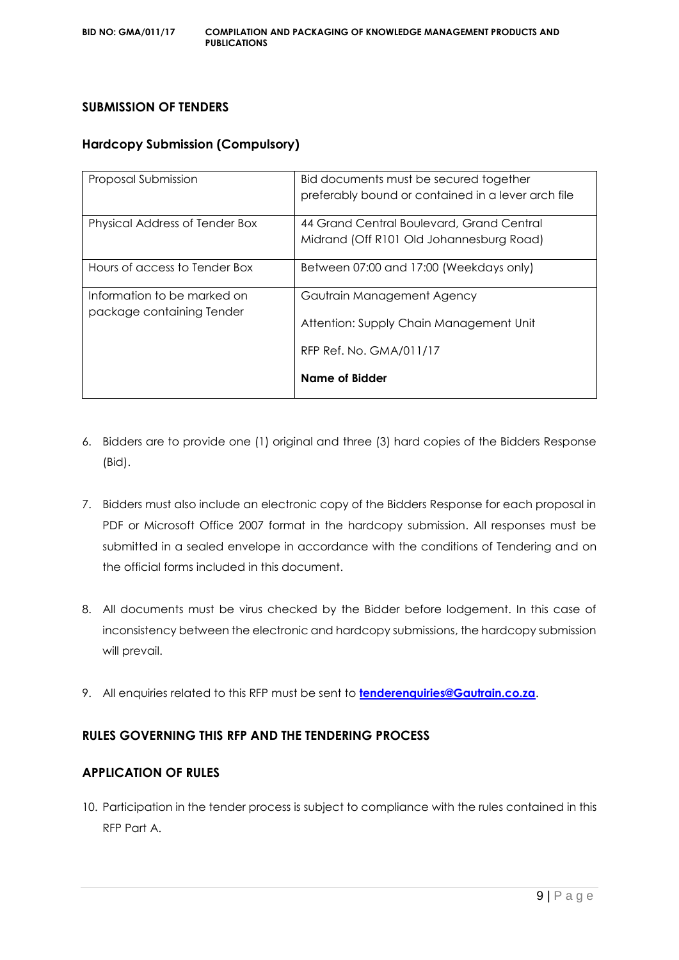#### **SUBMISSION OF TENDERS**

#### **Hardcopy Submission (Compulsory)**

| Proposal Submission                                      | Bid documents must be secured together<br>preferably bound or contained in a lever arch file     |
|----------------------------------------------------------|--------------------------------------------------------------------------------------------------|
| Physical Address of Tender Box                           | 44 Grand Central Boulevard, Grand Central<br>Midrand (Off R101 Old Johannesburg Road)            |
| Hours of access to Tender Box                            | Between 07:00 and 17:00 (Weekdays only)                                                          |
| Information to be marked on<br>package containing Tender | Gautrain Management Agency<br>Attention: Supply Chain Management Unit<br>RFP Ref. No. GMA/011/17 |
|                                                          | Name of Bidder                                                                                   |

- 6. Bidders are to provide one (1) original and three (3) hard copies of the Bidders Response (Bid).
- 7. Bidders must also include an electronic copy of the Bidders Response for each proposal in PDF or Microsoft Office 2007 format in the hardcopy submission. All responses must be submitted in a sealed envelope in accordance with the conditions of Tendering and on the official forms included in this document.
- 8. All documents must be virus checked by the Bidder before lodgement. In this case of inconsistency between the electronic and hardcopy submissions, the hardcopy submission will prevail.
- 9. All enquiries related to this RFP must be sent to **[tenderenquiries@Gautrain.co.za](mailto:tenderenquiries@Gautrain.co.za)**.

#### **RULES GOVERNING THIS RFP AND THE TENDERING PROCESS**

#### **APPLICATION OF RULES**

10. Participation in the tender process is subject to compliance with the rules contained in this RFP Part A.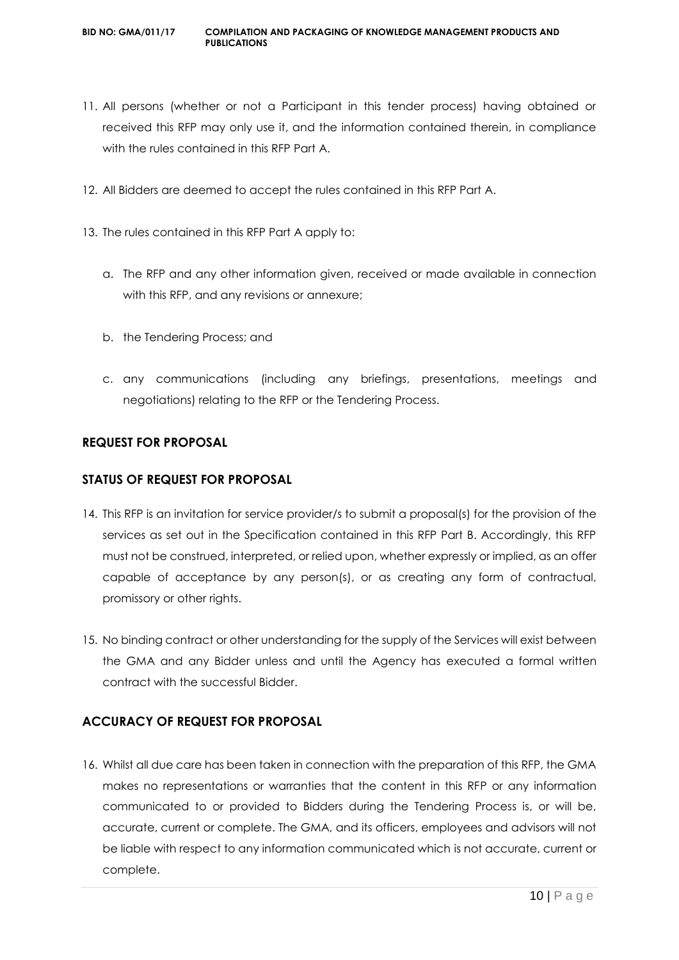- 11. All persons (whether or not a Participant in this tender process) having obtained or received this RFP may only use it, and the information contained therein, in compliance with the rules contained in this RFP Part A.
- 12. All Bidders are deemed to accept the rules contained in this RFP Part A.
- 13. The rules contained in this RFP Part A apply to:
	- a. The RFP and any other information given, received or made available in connection with this RFP, and any revisions or annexure;
	- b. the Tendering Process; and
	- c. any communications (including any briefings, presentations, meetings and negotiations) relating to the RFP or the Tendering Process.

#### **REQUEST FOR PROPOSAL**

#### **STATUS OF REQUEST FOR PROPOSAL**

- 14. This RFP is an invitation for service provider/s to submit a proposal(s) for the provision of the services as set out in the Specification contained in this RFP Part B. Accordingly, this RFP must not be construed, interpreted, or relied upon, whether expressly or implied, as an offer capable of acceptance by any person(s), or as creating any form of contractual, promissory or other rights.
- 15. No binding contract or other understanding for the supply of the Services will exist between the GMA and any Bidder unless and until the Agency has executed a formal written contract with the successful Bidder.

#### **ACCURACY OF REQUEST FOR PROPOSAL**

16. Whilst all due care has been taken in connection with the preparation of this RFP, the GMA makes no representations or warranties that the content in this RFP or any information communicated to or provided to Bidders during the Tendering Process is, or will be, accurate, current or complete. The GMA, and its officers, employees and advisors will not be liable with respect to any information communicated which is not accurate, current or complete.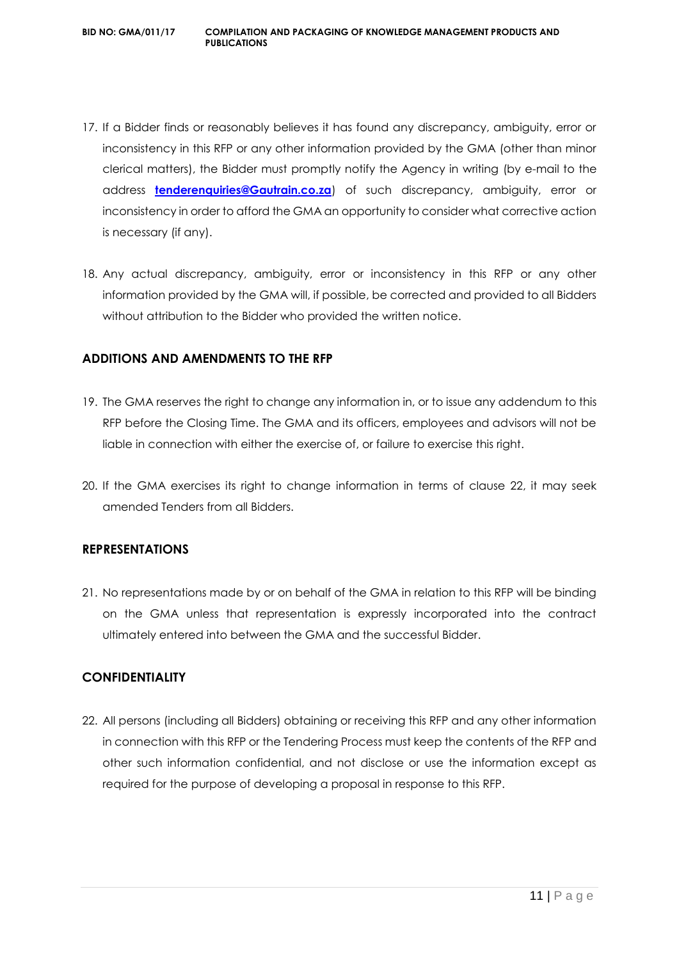- 17. If a Bidder finds or reasonably believes it has found any discrepancy, ambiguity, error or inconsistency in this RFP or any other information provided by the GMA (other than minor clerical matters), the Bidder must promptly notify the Agency in writing (by e-mail to the address **[tenderenquiries@Gautrain.co.za](mailto:tenderenquiries@gautrainpo.co.za)**) of such discrepancy, ambiguity, error or inconsistency in order to afford the GMA an opportunity to consider what corrective action is necessary (if any).
- 18. Any actual discrepancy, ambiguity, error or inconsistency in this RFP or any other information provided by the GMA will, if possible, be corrected and provided to all Bidders without attribution to the Bidder who provided the written notice.

#### **ADDITIONS AND AMENDMENTS TO THE RFP**

- 19. The GMA reserves the right to change any information in, or to issue any addendum to this RFP before the Closing Time. The GMA and its officers, employees and advisors will not be liable in connection with either the exercise of, or failure to exercise this right.
- 20. If the GMA exercises its right to change information in terms of clause 22, it may seek amended Tenders from all Bidders.

#### **REPRESENTATIONS**

21. No representations made by or on behalf of the GMA in relation to this RFP will be binding on the GMA unless that representation is expressly incorporated into the contract ultimately entered into between the GMA and the successful Bidder.

#### **CONFIDENTIALITY**

22. All persons (including all Bidders) obtaining or receiving this RFP and any other information in connection with this RFP or the Tendering Process must keep the contents of the RFP and other such information confidential, and not disclose or use the information except as required for the purpose of developing a proposal in response to this RFP.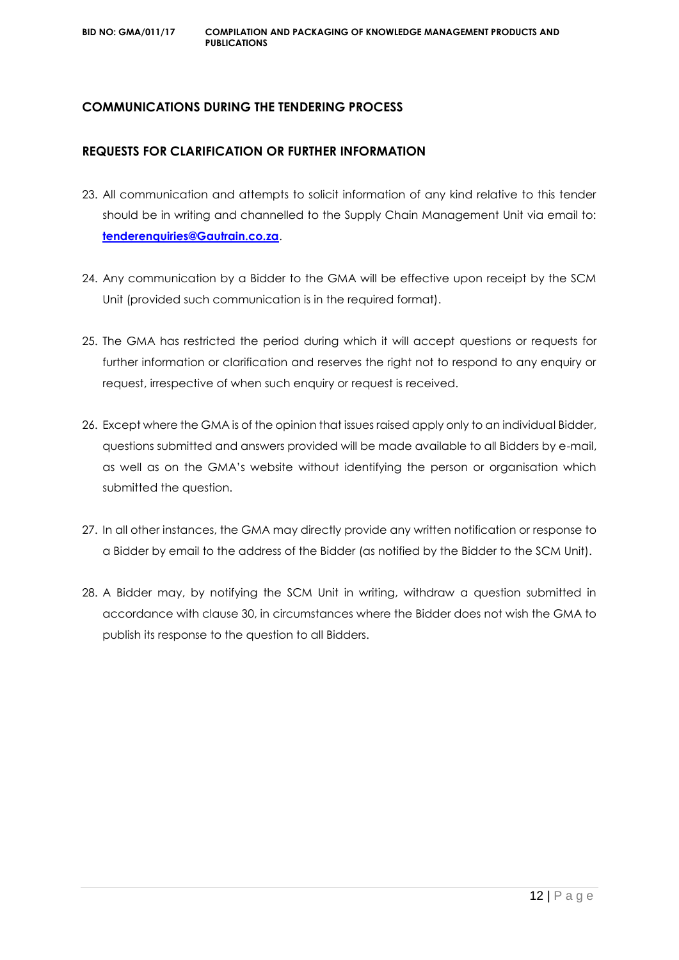#### **COMMUNICATIONS DURING THE TENDERING PROCESS**

#### **REQUESTS FOR CLARIFICATION OR FURTHER INFORMATION**

- 23. All communication and attempts to solicit information of any kind relative to this tender should be in writing and channelled to the Supply Chain Management Unit via email to: **[tenderenquiries@Gautrain.co.za](mailto:tenderenquiries@gautrainpo.co.za)**.
- 24. Any communication by a Bidder to the GMA will be effective upon receipt by the SCM Unit (provided such communication is in the required format).
- 25. The GMA has restricted the period during which it will accept questions or requests for further information or clarification and reserves the right not to respond to any enquiry or request, irrespective of when such enquiry or request is received.
- 26. Except where the GMA is of the opinion that issues raised apply only to an individual Bidder, questions submitted and answers provided will be made available to all Bidders by e-mail, as well as on the GMA's website without identifying the person or organisation which submitted the question.
- 27. In all other instances, the GMA may directly provide any written notification or response to a Bidder by email to the address of the Bidder (as notified by the Bidder to the SCM Unit).
- 28. A Bidder may, by notifying the SCM Unit in writing, withdraw a question submitted in accordance with clause 30, in circumstances where the Bidder does not wish the GMA to publish its response to the question to all Bidders.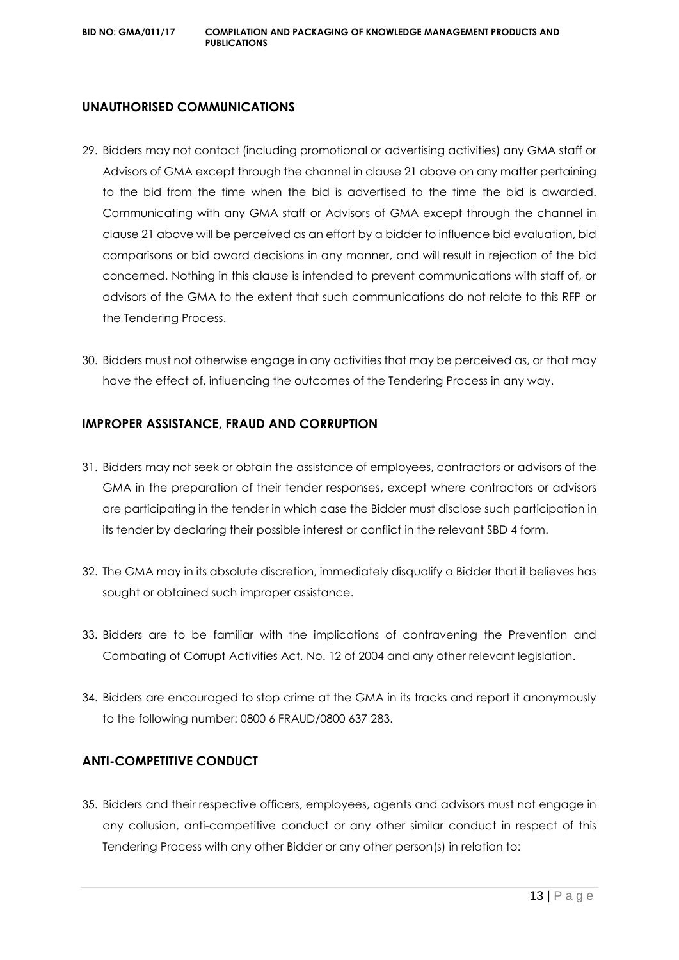#### **UNAUTHORISED COMMUNICATIONS**

- 29. Bidders may not contact (including promotional or advertising activities) any GMA staff or Advisors of GMA except through the channel in clause 21 above on any matter pertaining to the bid from the time when the bid is advertised to the time the bid is awarded. Communicating with any GMA staff or Advisors of GMA except through the channel in clause 21 above will be perceived as an effort by a bidder to influence bid evaluation, bid comparisons or bid award decisions in any manner, and will result in rejection of the bid concerned. Nothing in this clause is intended to prevent communications with staff of, or advisors of the GMA to the extent that such communications do not relate to this RFP or the Tendering Process.
- 30. Bidders must not otherwise engage in any activities that may be perceived as, or that may have the effect of, influencing the outcomes of the Tendering Process in any way.

#### **IMPROPER ASSISTANCE, FRAUD AND CORRUPTION**

- 31. Bidders may not seek or obtain the assistance of employees, contractors or advisors of the GMA in the preparation of their tender responses, except where contractors or advisors are participating in the tender in which case the Bidder must disclose such participation in its tender by declaring their possible interest or conflict in the relevant SBD 4 form.
- 32. The GMA may in its absolute discretion, immediately disqualify a Bidder that it believes has sought or obtained such improper assistance.
- 33. Bidders are to be familiar with the implications of contravening the Prevention and Combating of Corrupt Activities Act, No. 12 of 2004 and any other relevant legislation.
- 34. Bidders are encouraged to stop crime at the GMA in its tracks and report it anonymously to the following number: 0800 6 FRAUD/0800 637 283.

#### **ANTI-COMPETITIVE CONDUCT**

35. Bidders and their respective officers, employees, agents and advisors must not engage in any collusion, anti-competitive conduct or any other similar conduct in respect of this Tendering Process with any other Bidder or any other person(s) in relation to: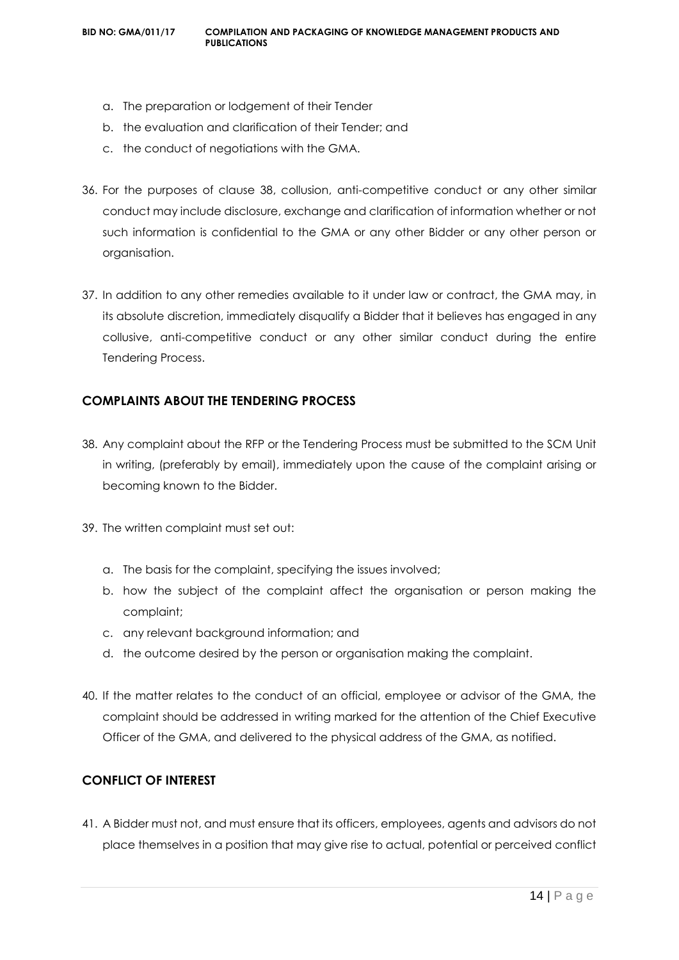- a. The preparation or lodgement of their Tender
- b. the evaluation and clarification of their Tender; and
- c. the conduct of negotiations with the GMA.
- 36. For the purposes of clause 38, collusion, anti-competitive conduct or any other similar conduct may include disclosure, exchange and clarification of information whether or not such information is confidential to the GMA or any other Bidder or any other person or organisation.
- 37. In addition to any other remedies available to it under law or contract, the GMA may, in its absolute discretion, immediately disqualify a Bidder that it believes has engaged in any collusive, anti-competitive conduct or any other similar conduct during the entire Tendering Process.

#### **COMPLAINTS ABOUT THE TENDERING PROCESS**

- 38. Any complaint about the RFP or the Tendering Process must be submitted to the SCM Unit in writing, (preferably by email), immediately upon the cause of the complaint arising or becoming known to the Bidder.
- 39. The written complaint must set out:
	- a. The basis for the complaint, specifying the issues involved;
	- b. how the subject of the complaint affect the organisation or person making the complaint;
	- c. any relevant background information; and
	- d. the outcome desired by the person or organisation making the complaint.
- 40. If the matter relates to the conduct of an official, employee or advisor of the GMA, the complaint should be addressed in writing marked for the attention of the Chief Executive Officer of the GMA, and delivered to the physical address of the GMA, as notified.

#### **CONFLICT OF INTEREST**

41. A Bidder must not, and must ensure that its officers, employees, agents and advisors do not place themselves in a position that may give rise to actual, potential or perceived conflict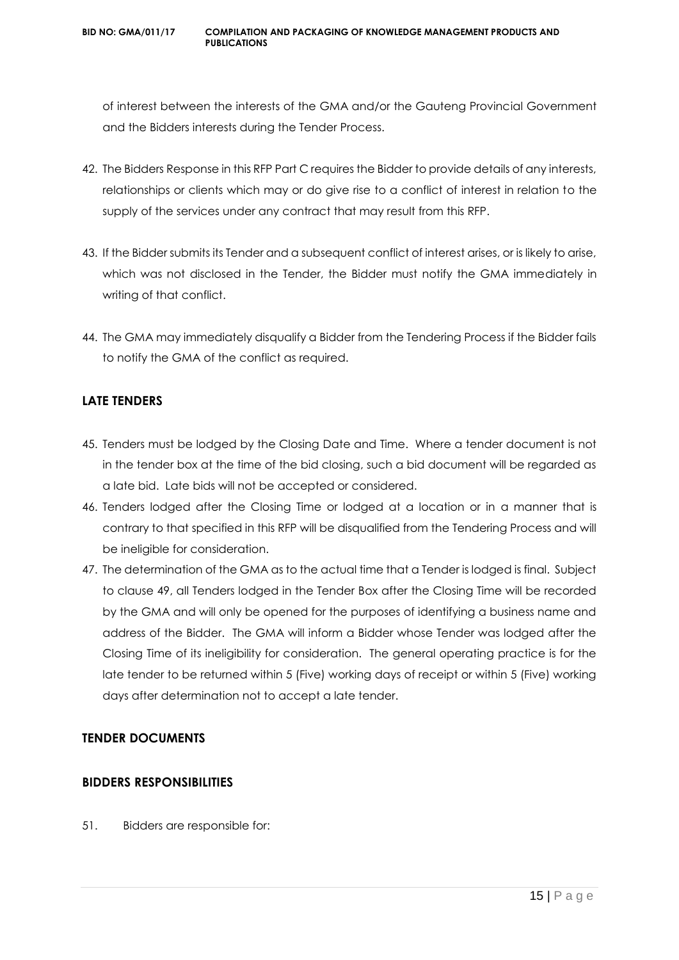of interest between the interests of the GMA and/or the Gauteng Provincial Government and the Bidders interests during the Tender Process.

- 42. The Bidders Response in this RFP Part C requires the Bidder to provide details of any interests, relationships or clients which may or do give rise to a conflict of interest in relation to the supply of the services under any contract that may result from this RFP.
- 43. If the Bidder submits its Tender and a subsequent conflict of interest arises, or is likely to arise, which was not disclosed in the Tender, the Bidder must notify the GMA immediately in writing of that conflict.
- 44. The GMA may immediately disqualify a Bidder from the Tendering Process if the Bidder fails to notify the GMA of the conflict as required.

#### **LATE TENDERS**

- 45. Tenders must be lodged by the Closing Date and Time. Where a tender document is not in the tender box at the time of the bid closing, such a bid document will be regarded as a late bid. Late bids will not be accepted or considered.
- 46. Tenders lodged after the Closing Time or lodged at a location or in a manner that is contrary to that specified in this RFP will be disqualified from the Tendering Process and will be ineligible for consideration.
- 47. The determination of the GMA as to the actual time that a Tender is lodged is final. Subject to clause 49, all Tenders lodged in the Tender Box after the Closing Time will be recorded by the GMA and will only be opened for the purposes of identifying a business name and address of the Bidder. The GMA will inform a Bidder whose Tender was lodged after the Closing Time of its ineligibility for consideration. The general operating practice is for the late tender to be returned within 5 (Five) working days of receipt or within 5 (Five) working days after determination not to accept a late tender.

#### **TENDER DOCUMENTS**

#### **BIDDERS RESPONSIBILITIES**

51. Bidders are responsible for: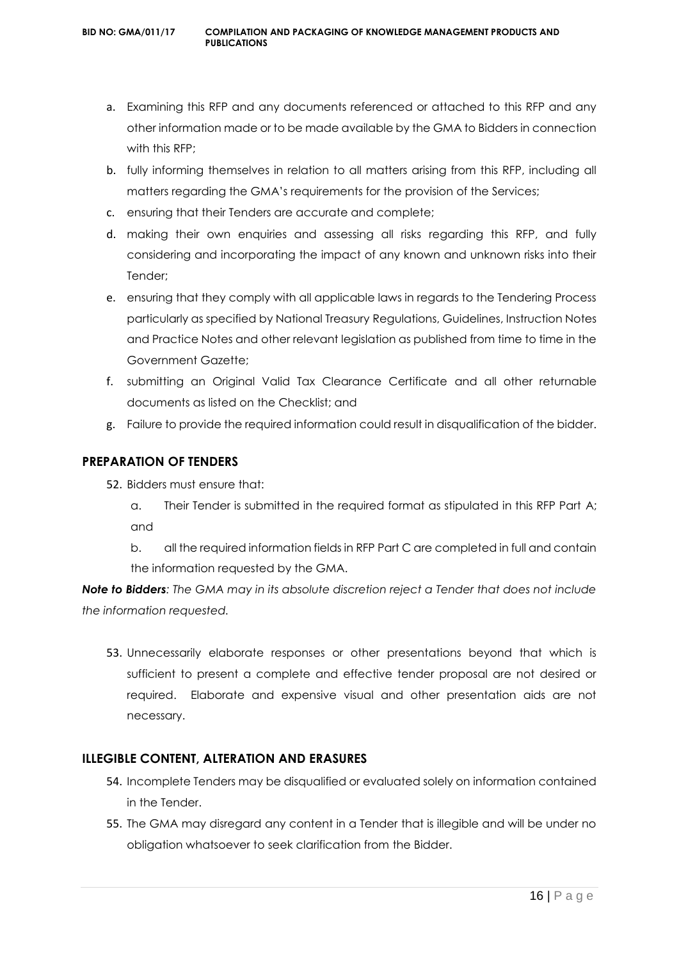- a. Examining this RFP and any documents referenced or attached to this RFP and any other information made or to be made available by the GMA to Bidders in connection with this RFP;
- b. fully informing themselves in relation to all matters arising from this RFP, including all matters regarding the GMA's requirements for the provision of the Services;
- c. ensuring that their Tenders are accurate and complete;
- d. making their own enquiries and assessing all risks regarding this RFP, and fully considering and incorporating the impact of any known and unknown risks into their Tender;
- e. ensuring that they comply with all applicable laws in regards to the Tendering Process particularly as specified by National Treasury Regulations, Guidelines, Instruction Notes and Practice Notes and other relevant legislation as published from time to time in the Government Gazette;
- f. submitting an Original Valid Tax Clearance Certificate and all other returnable documents as listed on the Checklist; and
- g. Failure to provide the required information could result in disqualification of the bidder.

#### **PREPARATION OF TENDERS**

- 52. Bidders must ensure that:
	- a. Their Tender is submitted in the required format as stipulated in this RFP Part A; and
	- b. all the required information fields in RFP Part C are completed in full and contain the information requested by the GMA.

*Note to Bidders: The GMA may in its absolute discretion reject a Tender that does not include the information requested.*

53. Unnecessarily elaborate responses or other presentations beyond that which is sufficient to present a complete and effective tender proposal are not desired or required. Elaborate and expensive visual and other presentation aids are not necessary.

#### **ILLEGIBLE CONTENT, ALTERATION AND ERASURES**

- 54. Incomplete Tenders may be disqualified or evaluated solely on information contained in the Tender.
- 55. The GMA may disregard any content in a Tender that is illegible and will be under no obligation whatsoever to seek clarification from the Bidder.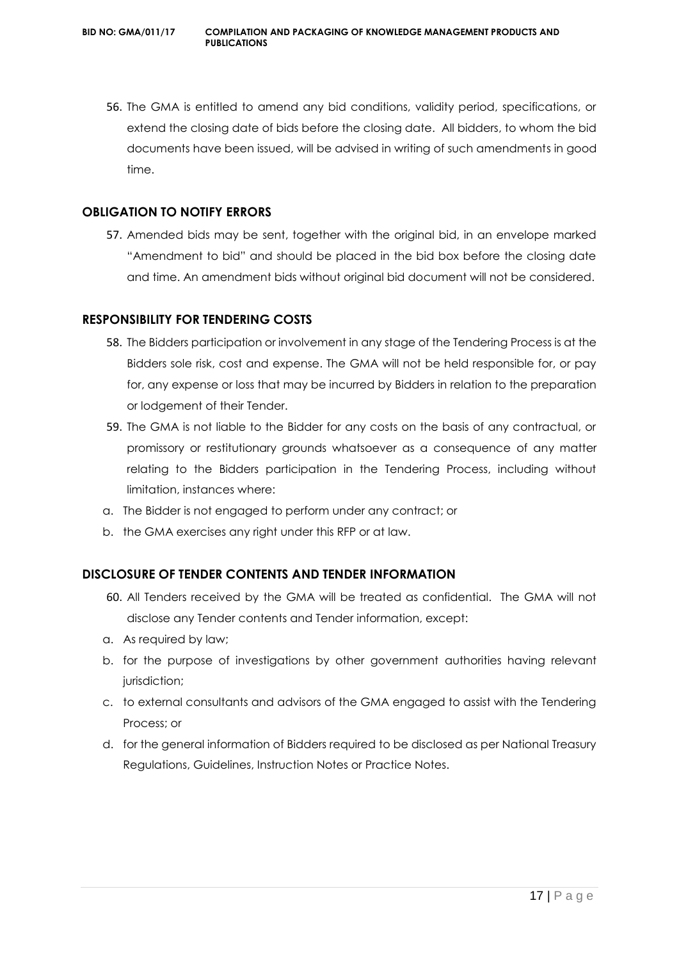56. The GMA is entitled to amend any bid conditions, validity period, specifications, or extend the closing date of bids before the closing date. All bidders, to whom the bid documents have been issued, will be advised in writing of such amendments in good time.

#### **OBLIGATION TO NOTIFY ERRORS**

57. Amended bids may be sent, together with the original bid, in an envelope marked "Amendment to bid" and should be placed in the bid box before the closing date and time. An amendment bids without original bid document will not be considered.

#### **RESPONSIBILITY FOR TENDERING COSTS**

- 58. The Bidders participation or involvement in any stage of the Tendering Process is at the Bidders sole risk, cost and expense. The GMA will not be held responsible for, or pay for, any expense or loss that may be incurred by Bidders in relation to the preparation or lodgement of their Tender.
- 59. The GMA is not liable to the Bidder for any costs on the basis of any contractual, or promissory or restitutionary grounds whatsoever as a consequence of any matter relating to the Bidders participation in the Tendering Process, including without limitation, instances where:
- a. The Bidder is not engaged to perform under any contract; or
- b. the GMA exercises any right under this RFP or at law.

#### **DISCLOSURE OF TENDER CONTENTS AND TENDER INFORMATION**

- 60. All Tenders received by the GMA will be treated as confidential. The GMA will not disclose any Tender contents and Tender information, except:
- a. As required by law;
- b. for the purpose of investigations by other government authorities having relevant jurisdiction;
- c. to external consultants and advisors of the GMA engaged to assist with the Tendering Process; or
- d. for the general information of Bidders required to be disclosed as per National Treasury Regulations, Guidelines, Instruction Notes or Practice Notes.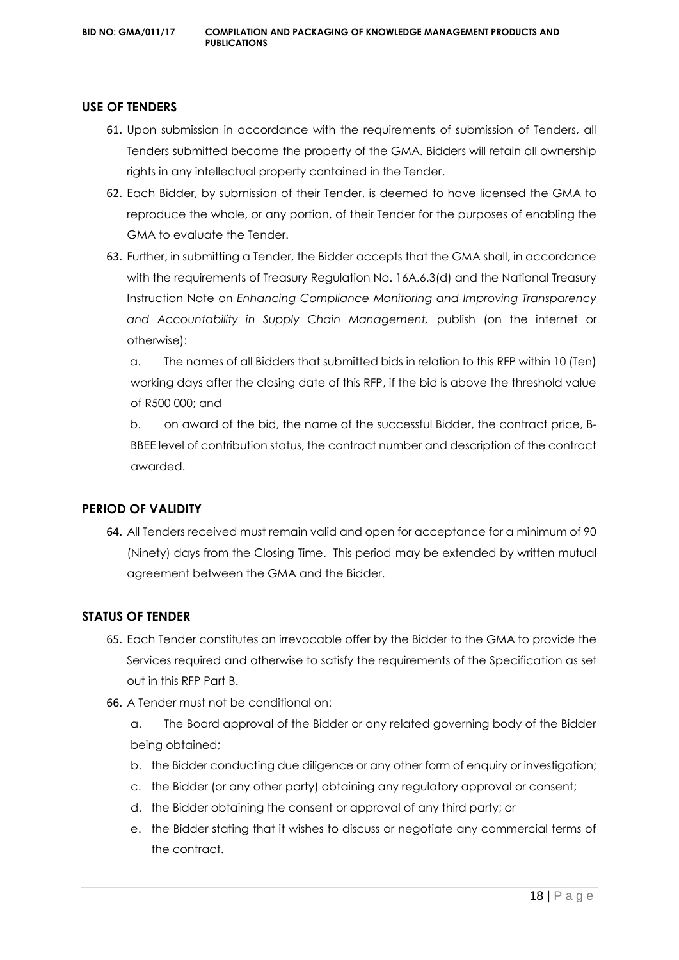#### **USE OF TENDERS**

- 61. Upon submission in accordance with the requirements of submission of Tenders, all Tenders submitted become the property of the GMA. Bidders will retain all ownership rights in any intellectual property contained in the Tender.
- 62. Each Bidder, by submission of their Tender, is deemed to have licensed the GMA to reproduce the whole, or any portion, of their Tender for the purposes of enabling the GMA to evaluate the Tender.
- 63. Further, in submitting a Tender, the Bidder accepts that the GMA shall, in accordance with the requirements of Treasury Regulation No. 16A.6.3(d) and the National Treasury Instruction Note on *Enhancing Compliance Monitoring and Improving Transparency and Accountability in Supply Chain Management,* publish (on the internet or otherwise):

a. The names of all Bidders that submitted bids in relation to this RFP within 10 (Ten) working days after the closing date of this RFP, if the bid is above the threshold value of R500 000; and

b. on award of the bid, the name of the successful Bidder, the contract price, B-BBEE level of contribution status, the contract number and description of the contract awarded.

#### **PERIOD OF VALIDITY**

64. All Tenders received must remain valid and open for acceptance for a minimum of 90 (Ninety) days from the Closing Time. This period may be extended by written mutual agreement between the GMA and the Bidder.

#### **STATUS OF TENDER**

- 65. Each Tender constitutes an irrevocable offer by the Bidder to the GMA to provide the Services required and otherwise to satisfy the requirements of the Specification as set out in this RFP Part B.
- 66. A Tender must not be conditional on:
	- a. The Board approval of the Bidder or any related governing body of the Bidder being obtained;
	- b. the Bidder conducting due diligence or any other form of enquiry or investigation;
	- c. the Bidder (or any other party) obtaining any regulatory approval or consent;
	- d. the Bidder obtaining the consent or approval of any third party; or
	- e. the Bidder stating that it wishes to discuss or negotiate any commercial terms of the contract.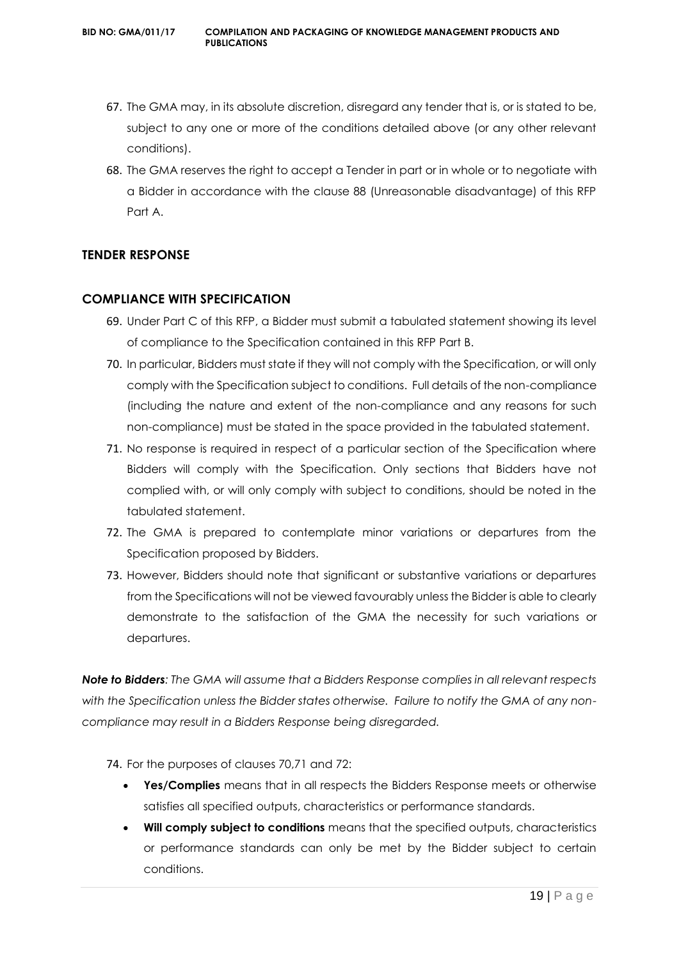- 67. The GMA may, in its absolute discretion, disregard any tender that is, or is stated to be, subject to any one or more of the conditions detailed above (or any other relevant conditions).
- 68. The GMA reserves the right to accept a Tender in part or in whole or to negotiate with a Bidder in accordance with the clause 88 (Unreasonable disadvantage) of this RFP Part A.

#### **TENDER RESPONSE**

#### **COMPLIANCE WITH SPECIFICATION**

- 69. Under Part C of this RFP, a Bidder must submit a tabulated statement showing its level of compliance to the Specification contained in this RFP Part B.
- 70. In particular, Bidders must state if they will not comply with the Specification, or will only comply with the Specification subject to conditions. Full details of the non-compliance (including the nature and extent of the non-compliance and any reasons for such non-compliance) must be stated in the space provided in the tabulated statement.
- 71. No response is required in respect of a particular section of the Specification where Bidders will comply with the Specification. Only sections that Bidders have not complied with, or will only comply with subject to conditions, should be noted in the tabulated statement.
- 72. The GMA is prepared to contemplate minor variations or departures from the Specification proposed by Bidders.
- 73. However, Bidders should note that significant or substantive variations or departures from the Specifications will not be viewed favourably unless the Bidder is able to clearly demonstrate to the satisfaction of the GMA the necessity for such variations or departures.

*Note to Bidders: The GMA will assume that a Bidders Response complies in all relevant respects with the Specification unless the Bidder states otherwise. Failure to notify the GMA of any noncompliance may result in a Bidders Response being disregarded.*

74. For the purposes of clauses 70,71 and 72:

- **Yes/Complies** means that in all respects the Bidders Response meets or otherwise satisfies all specified outputs, characteristics or performance standards.
- **Will comply subject to conditions** means that the specified outputs, characteristics or performance standards can only be met by the Bidder subject to certain conditions.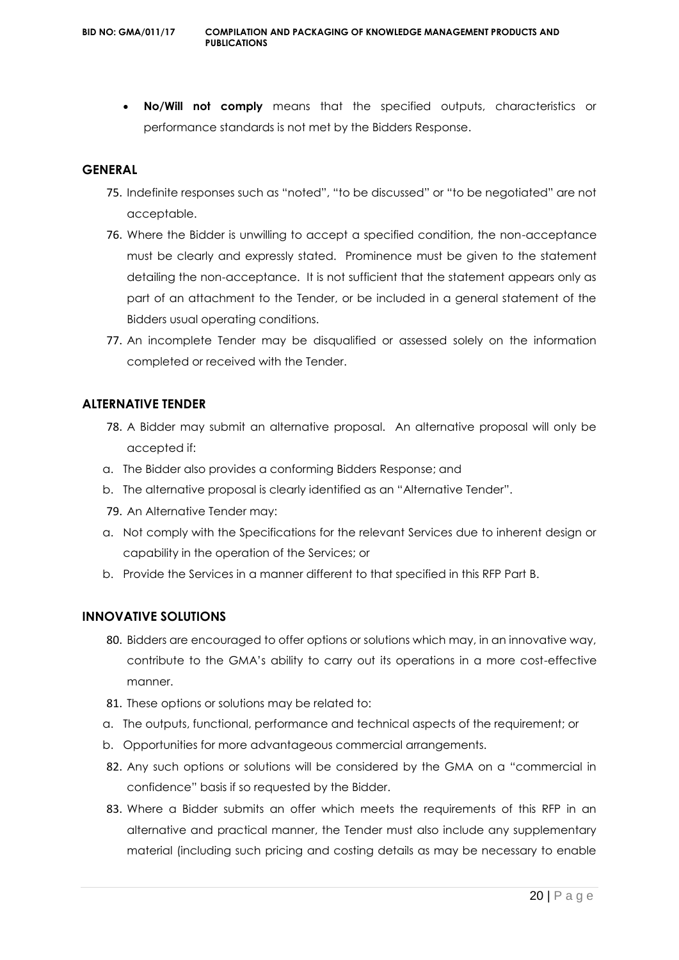**No/Will not comply** means that the specified outputs, characteristics or performance standards is not met by the Bidders Response.

#### **GENERAL**

- 75. Indefinite responses such as "noted", "to be discussed" or "to be negotiated" are not acceptable.
- 76. Where the Bidder is unwilling to accept a specified condition, the non-acceptance must be clearly and expressly stated. Prominence must be given to the statement detailing the non-acceptance. It is not sufficient that the statement appears only as part of an attachment to the Tender, or be included in a general statement of the Bidders usual operating conditions.
- 77. An incomplete Tender may be disqualified or assessed solely on the information completed or received with the Tender.

#### **ALTERNATIVE TENDER**

- 78. A Bidder may submit an alternative proposal. An alternative proposal will only be accepted if:
- a. The Bidder also provides a conforming Bidders Response; and
- b. The alternative proposal is clearly identified as an "Alternative Tender".
- 79. An Alternative Tender may:
- a. Not comply with the Specifications for the relevant Services due to inherent design or capability in the operation of the Services; or
- b. Provide the Services in a manner different to that specified in this RFP Part B.

#### **INNOVATIVE SOLUTIONS**

- 80. Bidders are encouraged to offer options or solutions which may, in an innovative way, contribute to the GMA's ability to carry out its operations in a more cost-effective manner.
- 81. These options or solutions may be related to:
- a. The outputs, functional, performance and technical aspects of the requirement; or
- b. Opportunities for more advantageous commercial arrangements.
- 82. Any such options or solutions will be considered by the GMA on a "commercial in confidence" basis if so requested by the Bidder.
- 83. Where a Bidder submits an offer which meets the requirements of this RFP in an alternative and practical manner, the Tender must also include any supplementary material (including such pricing and costing details as may be necessary to enable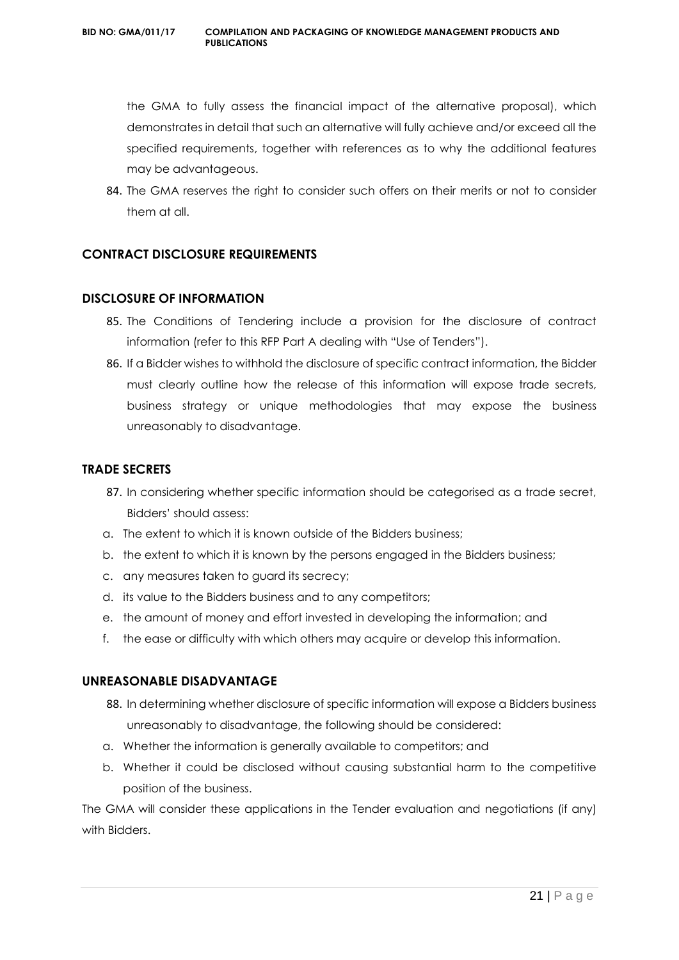#### **BID NO: GMA/011/17 COMPILATION AND PACKAGING OF KNOWLEDGE MANAGEMENT PRODUCTS AND PUBLICATIONS**

the GMA to fully assess the financial impact of the alternative proposal), which demonstrates in detail that such an alternative will fully achieve and/or exceed all the specified requirements, together with references as to why the additional features may be advantageous.

84. The GMA reserves the right to consider such offers on their merits or not to consider them at all.

#### **CONTRACT DISCLOSURE REQUIREMENTS**

#### **DISCLOSURE OF INFORMATION**

- 85. The Conditions of Tendering include a provision for the disclosure of contract information (refer to this RFP Part A dealing with "Use of Tenders").
- 86. If a Bidder wishes to withhold the disclosure of specific contract information, the Bidder must clearly outline how the release of this information will expose trade secrets, business strategy or unique methodologies that may expose the business unreasonably to disadvantage.

#### **TRADE SECRETS**

- 87. In considering whether specific information should be categorised as a trade secret, Bidders' should assess:
- a. The extent to which it is known outside of the Bidders business;
- b. the extent to which it is known by the persons engaged in the Bidders business;
- c. any measures taken to guard its secrecy;
- d. its value to the Bidders business and to any competitors;
- e. the amount of money and effort invested in developing the information; and
- f. the ease or difficulty with which others may acquire or develop this information.

#### **UNREASONABLE DISADVANTAGE**

- 88. In determining whether disclosure of specific information will expose a Bidders business unreasonably to disadvantage, the following should be considered:
- a. Whether the information is generally available to competitors; and
- b. Whether it could be disclosed without causing substantial harm to the competitive position of the business.

The GMA will consider these applications in the Tender evaluation and negotiations (if any) with Bidders.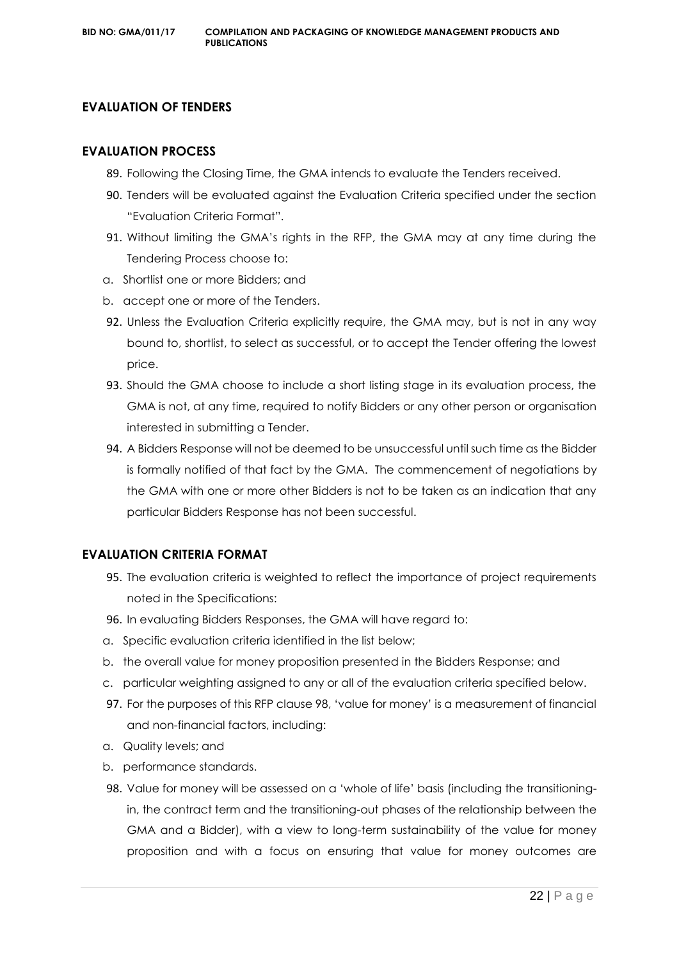#### **EVALUATION OF TENDERS**

#### **EVALUATION PROCESS**

- 89. Following the Closing Time, the GMA intends to evaluate the Tenders received.
- 90. Tenders will be evaluated against the Evaluation Criteria specified under the section "Evaluation Criteria Format".
- 91. Without limiting the GMA's rights in the RFP, the GMA may at any time during the Tendering Process choose to:
- a. Shortlist one or more Bidders; and
- b. accept one or more of the Tenders.
- 92. Unless the Evaluation Criteria explicitly require, the GMA may, but is not in any way bound to, shortlist, to select as successful, or to accept the Tender offering the lowest price.
- 93. Should the GMA choose to include a short listing stage in its evaluation process, the GMA is not, at any time, required to notify Bidders or any other person or organisation interested in submitting a Tender.
- 94. A Bidders Response will not be deemed to be unsuccessful until such time as the Bidder is formally notified of that fact by the GMA. The commencement of negotiations by the GMA with one or more other Bidders is not to be taken as an indication that any particular Bidders Response has not been successful.

#### **EVALUATION CRITERIA FORMAT**

- 95. The evaluation criteria is weighted to reflect the importance of project requirements noted in the Specifications:
- 96. In evaluating Bidders Responses, the GMA will have regard to:
- a. Specific evaluation criteria identified in the list below;
- b. the overall value for money proposition presented in the Bidders Response; and
- c. particular weighting assigned to any or all of the evaluation criteria specified below.
- 97. For the purposes of this RFP clause 98, 'value for money' is a measurement of financial and non-financial factors, including:
- a. Quality levels; and
- b. performance standards.
- 98. Value for money will be assessed on a 'whole of life' basis (including the transitioningin, the contract term and the transitioning-out phases of the relationship between the GMA and a Bidder), with a view to long-term sustainability of the value for money proposition and with a focus on ensuring that value for money outcomes are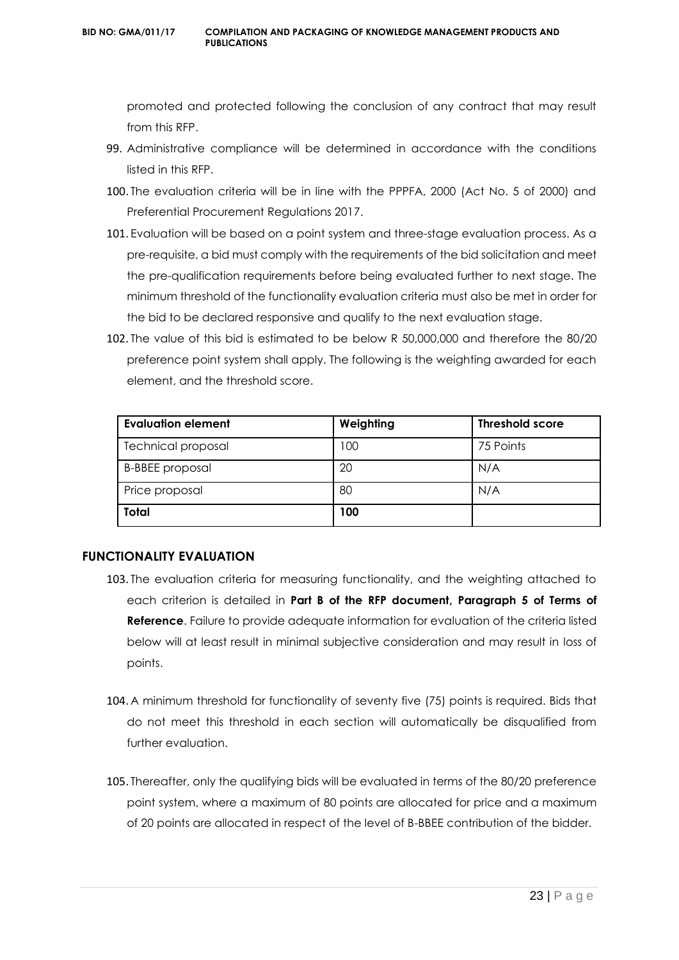promoted and protected following the conclusion of any contract that may result from this RFP.

- 99. Administrative compliance will be determined in accordance with the conditions listed in this RFP.
- 100. The evaluation criteria will be in line with the PPPFA, 2000 (Act No. 5 of 2000) and Preferential Procurement Regulations 2017.
- 101. Evaluation will be based on a point system and three-stage evaluation process. As a pre-requisite, a bid must comply with the requirements of the bid solicitation and meet the pre-qualification requirements before being evaluated further to next stage. The minimum threshold of the functionality evaluation criteria must also be met in order for the bid to be declared responsive and qualify to the next evaluation stage.
- 102. The value of this bid is estimated to be below R 50,000,000 and therefore the 80/20 preference point system shall apply. The following is the weighting awarded for each element, and the threshold score.

| Evaluation element        | Weighting | <b>Threshold score</b> |
|---------------------------|-----------|------------------------|
| <b>Technical proposal</b> | 100       | 75 Points              |
| <b>B-BBEE</b> proposal    | 20        | N/A                    |
| Price proposal            | 80        | N/A                    |
| Total                     | 100       |                        |

#### **FUNCTIONALITY EVALUATION**

- 103. The evaluation criteria for measuring functionality, and the weighting attached to each criterion is detailed in **Part B of the RFP document, Paragraph 5 of Terms of Reference**. Failure to provide adequate information for evaluation of the criteria listed below will at least result in minimal subjective consideration and may result in loss of points.
- 104. A minimum threshold for functionality of seventy five (75) points is required. Bids that do not meet this threshold in each section will automatically be disqualified from further evaluation.
- 105. Thereafter, only the qualifying bids will be evaluated in terms of the 80/20 preference point system, where a maximum of 80 points are allocated for price and a maximum of 20 points are allocated in respect of the level of B-BBEE contribution of the bidder.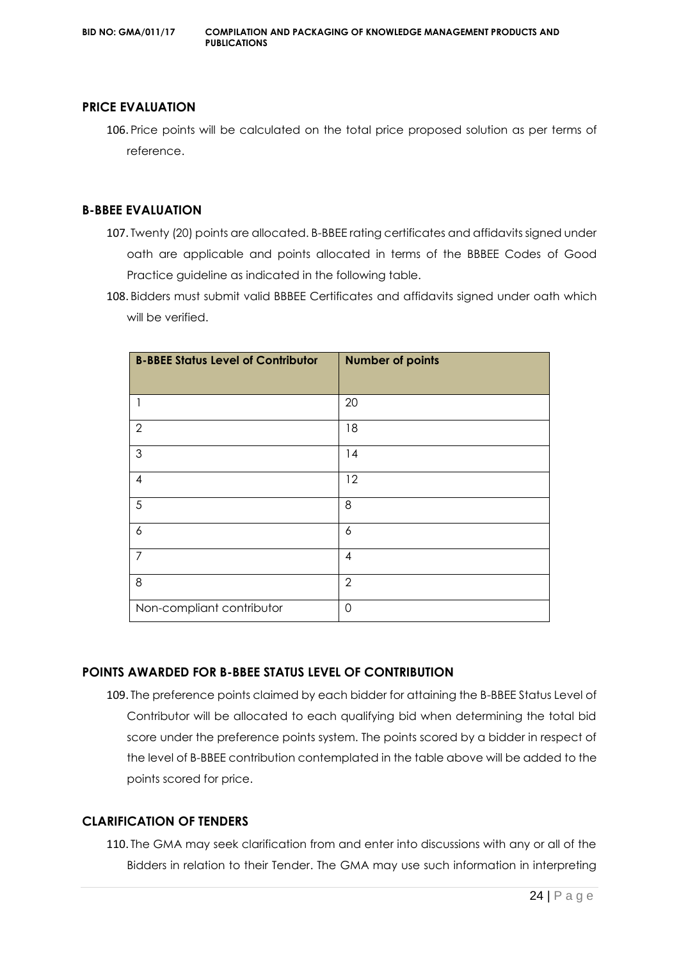#### **PRICE EVALUATION**

106. Price points will be calculated on the total price proposed solution as per terms of reference.

#### **B-BBEE EVALUATION**

- 107. Twenty (20) points are allocated. B-BBEE rating certificates and affidavits signed under oath are applicable and points allocated in terms of the BBBEE Codes of Good Practice guideline as indicated in the following table.
- 108. Bidders must submit valid BBBEE Certificates and affidavits signed under oath which will be verified.

| <b>B-BBEE Status Level of Contributor</b> | <b>Number of points</b> |
|-------------------------------------------|-------------------------|
| 1                                         | 20                      |
| $\mathbf{2}$                              | 18                      |
| $\mathfrak{Z}$                            | 14                      |
| $\overline{4}$                            | 12                      |
| $\sqrt{5}$                                | 8                       |
| 6                                         | 6                       |
| $\overline{7}$                            | 4                       |
| 8                                         | $\overline{2}$          |
| Non-compliant contributor                 | $\mathbf 0$             |

#### **POINTS AWARDED FOR B-BBEE STATUS LEVEL OF CONTRIBUTION**

109. The preference points claimed by each bidder for attaining the B-BBEE Status Level of Contributor will be allocated to each qualifying bid when determining the total bid score under the preference points system. The points scored by a bidder in respect of the level of B-BBEE contribution contemplated in the table above will be added to the points scored for price.

#### **CLARIFICATION OF TENDERS**

110. The GMA may seek clarification from and enter into discussions with any or all of the Bidders in relation to their Tender. The GMA may use such information in interpreting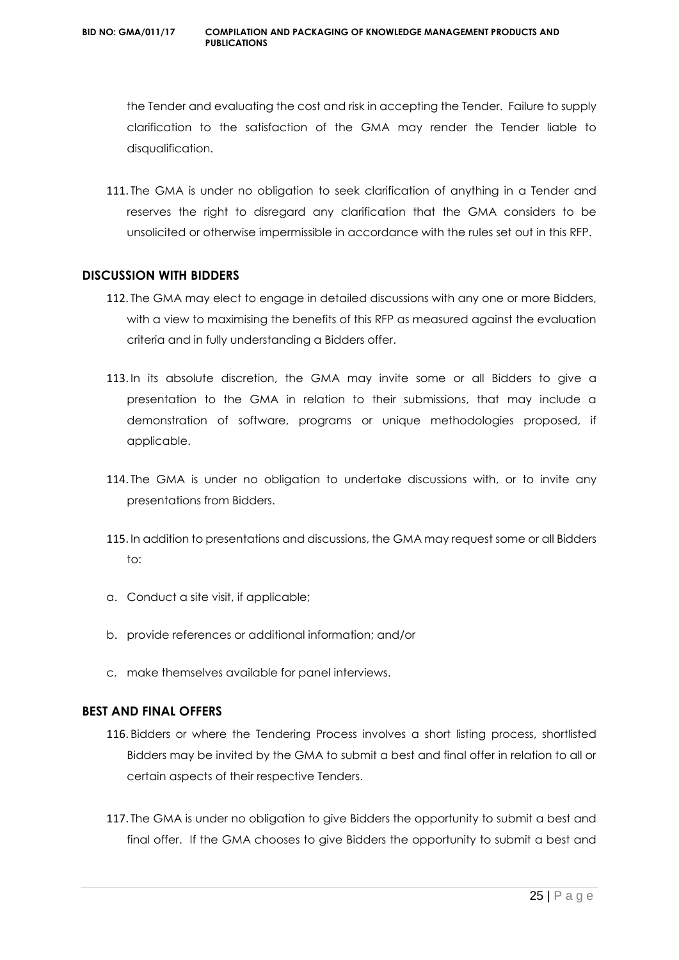the Tender and evaluating the cost and risk in accepting the Tender. Failure to supply clarification to the satisfaction of the GMA may render the Tender liable to disqualification.

111. The GMA is under no obligation to seek clarification of anything in a Tender and reserves the right to disregard any clarification that the GMA considers to be unsolicited or otherwise impermissible in accordance with the rules set out in this RFP.

#### **DISCUSSION WITH BIDDERS**

- 112. The GMA may elect to engage in detailed discussions with any one or more Bidders, with a view to maximising the benefits of this RFP as measured against the evaluation criteria and in fully understanding a Bidders offer.
- 113. In its absolute discretion, the GMA may invite some or all Bidders to give a presentation to the GMA in relation to their submissions, that may include a demonstration of software, programs or unique methodologies proposed, if applicable.
- 114. The GMA is under no obligation to undertake discussions with, or to invite any presentations from Bidders.
- 115. In addition to presentations and discussions, the GMA may request some or all Bidders to:
- a. Conduct a site visit, if applicable;
- b. provide references or additional information; and/or
- c. make themselves available for panel interviews.

#### **BEST AND FINAL OFFERS**

- 116. Bidders or where the Tendering Process involves a short listing process, shortlisted Bidders may be invited by the GMA to submit a best and final offer in relation to all or certain aspects of their respective Tenders.
- 117. The GMA is under no obligation to give Bidders the opportunity to submit a best and final offer. If the GMA chooses to give Bidders the opportunity to submit a best and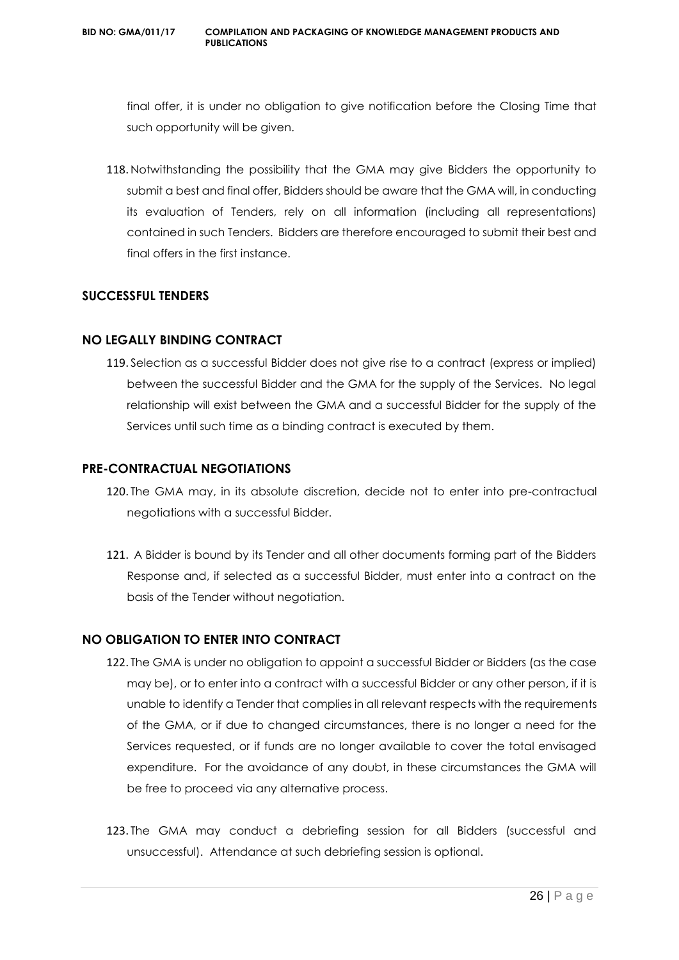#### **BID NO: GMA/011/17 COMPILATION AND PACKAGING OF KNOWLEDGE MANAGEMENT PRODUCTS AND PUBLICATIONS**

final offer, it is under no obligation to give notification before the Closing Time that such opportunity will be given.

118. Notwithstanding the possibility that the GMA may give Bidders the opportunity to submit a best and final offer, Bidders should be aware that the GMA will, in conducting its evaluation of Tenders, rely on all information (including all representations) contained in such Tenders. Bidders are therefore encouraged to submit their best and final offers in the first instance.

#### **SUCCESSFUL TENDERS**

#### **NO LEGALLY BINDING CONTRACT**

119. Selection as a successful Bidder does not give rise to a contract (express or implied) between the successful Bidder and the GMA for the supply of the Services. No legal relationship will exist between the GMA and a successful Bidder for the supply of the Services until such time as a binding contract is executed by them.

#### **PRE-CONTRACTUAL NEGOTIATIONS**

- 120. The GMA may, in its absolute discretion, decide not to enter into pre-contractual negotiations with a successful Bidder.
- 121. A Bidder is bound by its Tender and all other documents forming part of the Bidders Response and, if selected as a successful Bidder, must enter into a contract on the basis of the Tender without negotiation.

#### **NO OBLIGATION TO ENTER INTO CONTRACT**

- 122. The GMA is under no obligation to appoint a successful Bidder or Bidders (as the case may be), or to enter into a contract with a successful Bidder or any other person, if it is unable to identify a Tender that complies in all relevant respects with the requirements of the GMA, or if due to changed circumstances, there is no longer a need for the Services requested, or if funds are no longer available to cover the total envisaged expenditure. For the avoidance of any doubt, in these circumstances the GMA will be free to proceed via any alternative process.
- 123. The GMA may conduct a debriefing session for all Bidders (successful and unsuccessful). Attendance at such debriefing session is optional.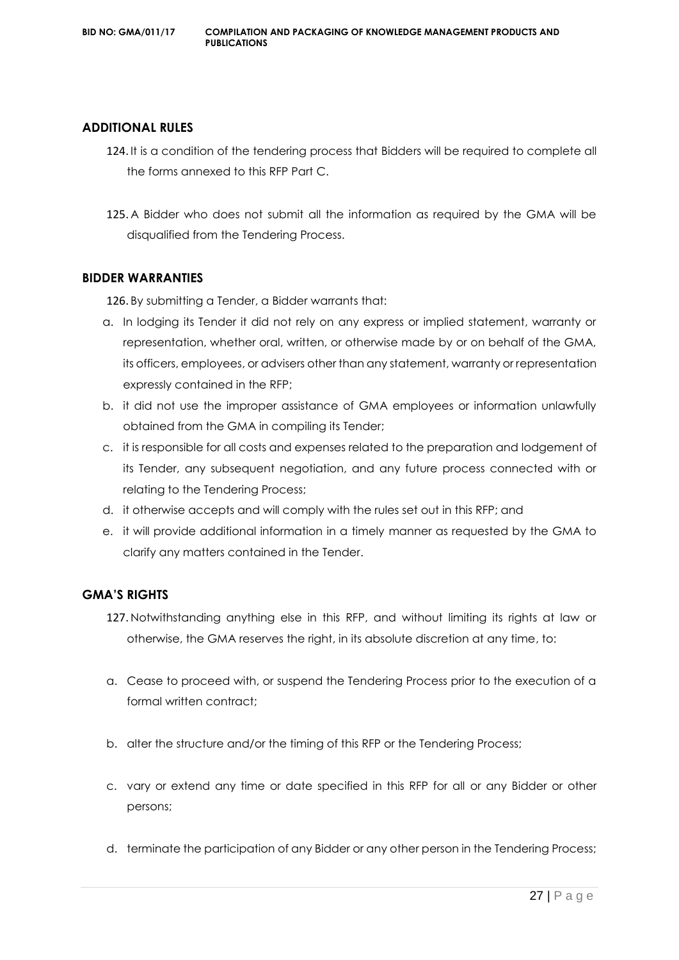#### **ADDITIONAL RULES**

- 124. It is a condition of the tendering process that Bidders will be required to complete all the forms annexed to this RFP Part C.
- 125. A Bidder who does not submit all the information as required by the GMA will be disqualified from the Tendering Process.

#### **BIDDER WARRANTIES**

126. By submitting a Tender, a Bidder warrants that:

- a. In lodging its Tender it did not rely on any express or implied statement, warranty or representation, whether oral, written, or otherwise made by or on behalf of the GMA, its officers, employees, or advisers other than any statement, warranty or representation expressly contained in the RFP;
- b. it did not use the improper assistance of GMA employees or information unlawfully obtained from the GMA in compiling its Tender;
- c. it is responsible for all costs and expenses related to the preparation and lodgement of its Tender, any subsequent negotiation, and any future process connected with or relating to the Tendering Process;
- d. it otherwise accepts and will comply with the rules set out in this RFP; and
- e. it will provide additional information in a timely manner as requested by the GMA to clarify any matters contained in the Tender.

#### **GMA'S RIGHTS**

- 127. Notwithstanding anything else in this RFP, and without limiting its rights at law or otherwise, the GMA reserves the right, in its absolute discretion at any time, to:
- a. Cease to proceed with, or suspend the Tendering Process prior to the execution of a formal written contract;
- b. alter the structure and/or the timing of this RFP or the Tendering Process;
- c. vary or extend any time or date specified in this RFP for all or any Bidder or other persons;
- d. terminate the participation of any Bidder or any other person in the Tendering Process;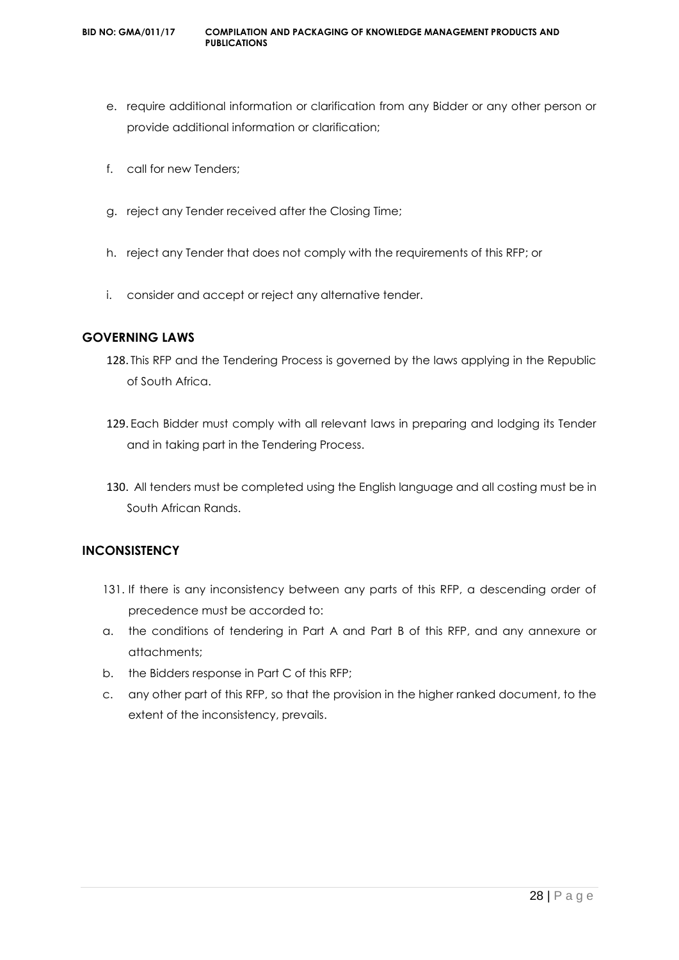- e. require additional information or clarification from any Bidder or any other person or provide additional information or clarification;
- f. call for new Tenders;
- g. reject any Tender received after the Closing Time;
- h. reject any Tender that does not comply with the requirements of this RFP; or
- i. consider and accept or reject any alternative tender.

#### **GOVERNING LAWS**

- 128. This RFP and the Tendering Process is governed by the laws applying in the Republic of South Africa.
- 129. Each Bidder must comply with all relevant laws in preparing and lodging its Tender and in taking part in the Tendering Process.
- 130. All tenders must be completed using the English language and all costing must be in South African Rands.

#### **INCONSISTENCY**

- 131. If there is any inconsistency between any parts of this RFP, a descending order of precedence must be accorded to:
- a. the conditions of tendering in Part A and Part B of this RFP, and any annexure or attachments;
- b. the Bidders response in Part C of this RFP;
- c. any other part of this RFP, so that the provision in the higher ranked document, to the extent of the inconsistency, prevails.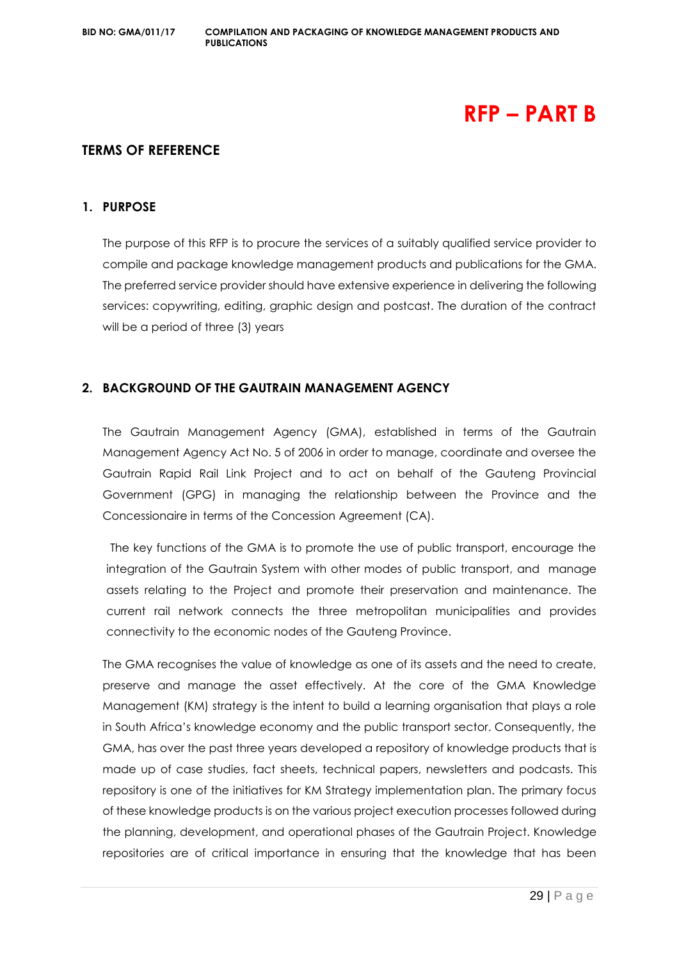## **RFP – PART B**

#### **TERMS OF REFERENCE**

#### **1. PURPOSE**

The purpose of this RFP is to procure the services of a suitably qualified service provider to compile and package knowledge management products and publications for the GMA. The preferred service provider should have extensive experience in delivering the following services: copywriting, editing, graphic design and postcast. The duration of the contract will be a period of three (3) years

#### **2. BACKGROUND OF THE GAUTRAIN MANAGEMENT AGENCY**

The Gautrain Management Agency (GMA), established in terms of the Gautrain Management Agency Act No. 5 of 2006 in order to manage, coordinate and oversee the Gautrain Rapid Rail Link Project and to act on behalf of the Gauteng Provincial Government (GPG) in managing the relationship between the Province and the Concessionaire in terms of the Concession Agreement (CA).

The key functions of the GMA is to promote the use of public transport, encourage the integration of the Gautrain System with other modes of public transport, and manage assets relating to the Project and promote their preservation and maintenance. The current rail network connects the three metropolitan municipalities and provides connectivity to the economic nodes of the Gauteng Province.

The GMA recognises the value of knowledge as one of its assets and the need to create, preserve and manage the asset effectively. At the core of the GMA Knowledge Management (KM) strategy is the intent to build a learning organisation that plays a role in South Africa's knowledge economy and the public transport sector. Consequently, the GMA, has over the past three years developed a repository of knowledge products that is made up of case studies, fact sheets, technical papers, newsletters and podcasts. This repository is one of the initiatives for KM Strategy implementation plan. The primary focus of these knowledge products is on the various project execution processes followed during the planning, development, and operational phases of the Gautrain Project. Knowledge repositories are of critical importance in ensuring that the knowledge that has been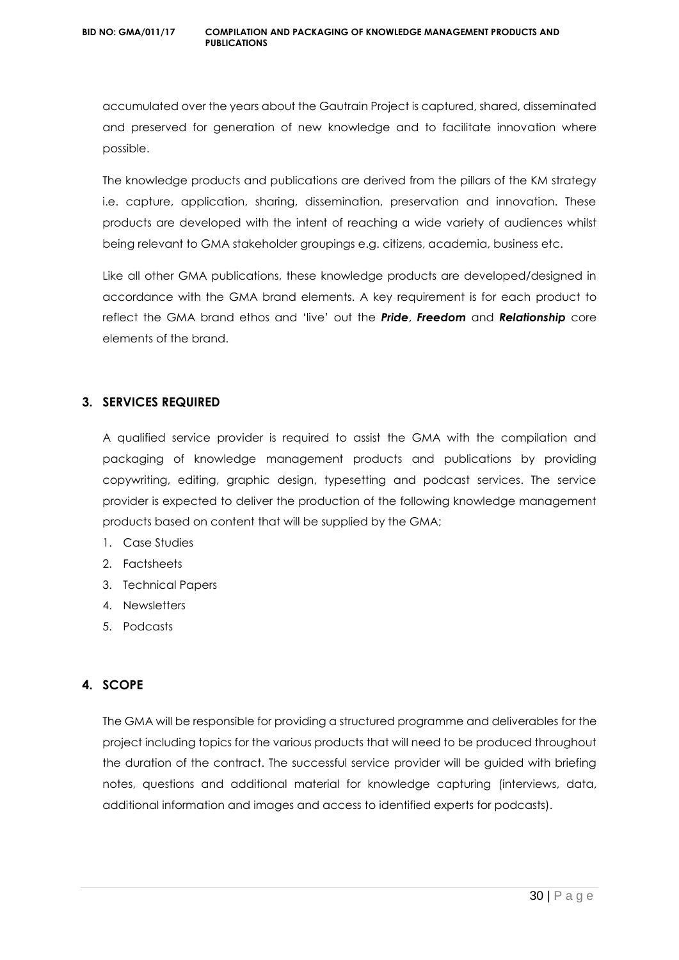accumulated over the years about the Gautrain Project is captured, shared, disseminated and preserved for generation of new knowledge and to facilitate innovation where possible.

The knowledge products and publications are derived from the pillars of the KM strategy i.e. capture, application, sharing, dissemination, preservation and innovation. These products are developed with the intent of reaching a wide variety of audiences whilst being relevant to GMA stakeholder groupings e.g. citizens, academia, business etc.

Like all other GMA publications, these knowledge products are developed/designed in accordance with the GMA brand elements. A key requirement is for each product to reflect the GMA brand ethos and 'live' out the *Pride*, *Freedom* and *Relationship* core elements of the brand.

#### **3. SERVICES REQUIRED**

A qualified service provider is required to assist the GMA with the compilation and packaging of knowledge management products and publications by providing copywriting, editing, graphic design, typesetting and podcast services. The service provider is expected to deliver the production of the following knowledge management products based on content that will be supplied by the GMA;

- 1. Case Studies
- 2. Factsheets
- 3. Technical Papers
- 4. Newsletters
- 5. Podcasts

#### **4. SCOPE**

The GMA will be responsible for providing a structured programme and deliverables for the project including topics for the various products that will need to be produced throughout the duration of the contract. The successful service provider will be guided with briefing notes, questions and additional material for knowledge capturing (interviews, data, additional information and images and access to identified experts for podcasts).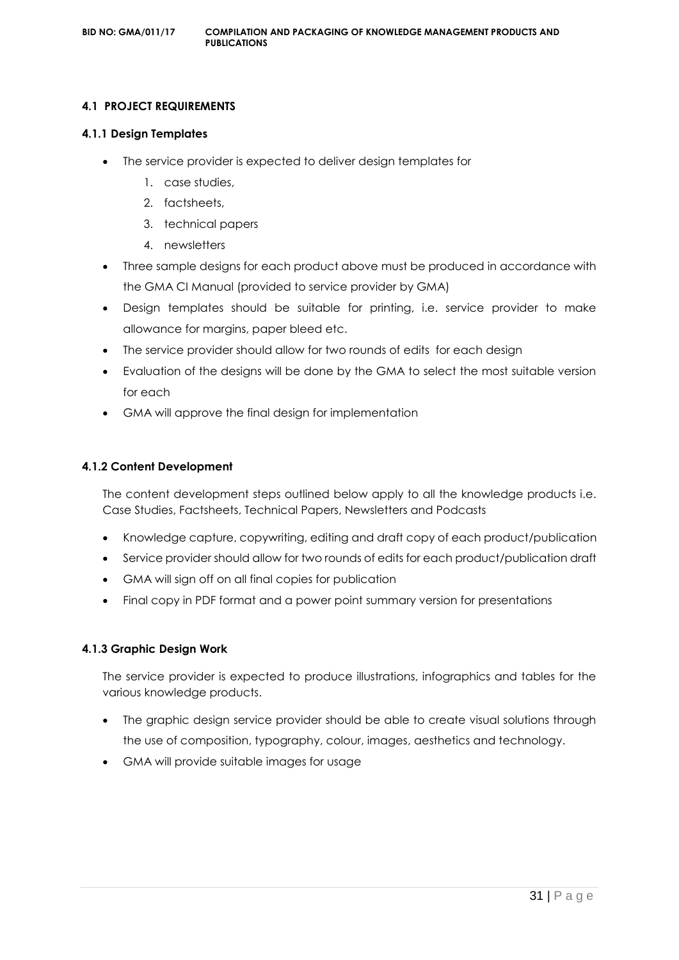#### **4.1 PROJECT REQUIREMENTS**

#### **4.1.1 Design Templates**

- The service provider is expected to deliver design templates for
	- 1. case studies,
	- 2. factsheets,
	- 3. technical papers
	- 4. newsletters
- Three sample designs for each product above must be produced in accordance with the GMA CI Manual (provided to service provider by GMA)
- Design templates should be suitable for printing, i.e. service provider to make allowance for margins, paper bleed etc.
- The service provider should allow for two rounds of edits for each design
- Evaluation of the designs will be done by the GMA to select the most suitable version for each
- GMA will approve the final design for implementation

#### **4.1.2 Content Development**

The content development steps outlined below apply to all the knowledge products i.e. Case Studies, Factsheets, Technical Papers, Newsletters and Podcasts

- Knowledge capture, copywriting, editing and draft copy of each product/publication
- Service provider should allow for two rounds of edits for each product/publication draft
- GMA will sign off on all final copies for publication
- Final copy in PDF format and a power point summary version for presentations

#### **4.1.3 Graphic Design Work**

The service provider is expected to produce illustrations, infographics and tables for the various knowledge products.

- The graphic design service provider should be able to create visual solutions through the use of composition, typography, colour, images, aesthetics and technology.
- GMA will provide suitable images for usage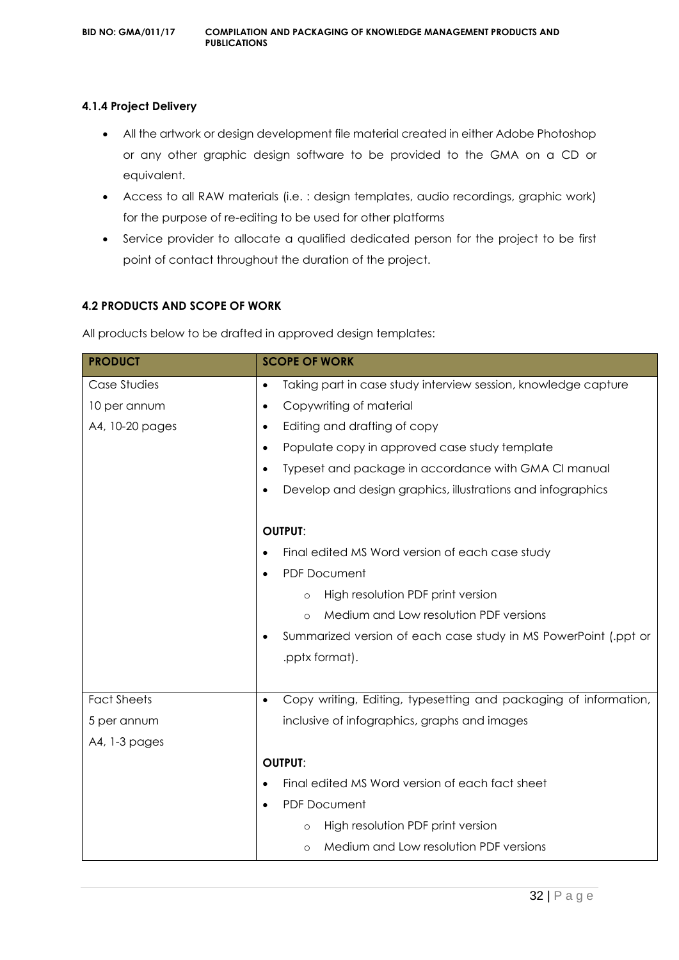#### **4.1.4 Project Delivery**

- All the artwork or design development file material created in either Adobe Photoshop or any other graphic design software to be provided to the GMA on a CD or equivalent.
- Access to all RAW materials (i.e. : design templates, audio recordings, graphic work) for the purpose of re-editing to be used for other platforms
- Service provider to allocate a qualified dedicated person for the project to be first point of contact throughout the duration of the project.

#### **4.2 PRODUCTS AND SCOPE OF WORK**

All products below to be drafted in approved design templates:

| <b>PRODUCT</b>     | <b>SCOPE OF WORK</b>                                                          |  |
|--------------------|-------------------------------------------------------------------------------|--|
| Case Studies       | Taking part in case study interview session, knowledge capture<br>$\bullet$   |  |
| 10 per annum       | Copywriting of material<br>$\bullet$                                          |  |
| A4, 10-20 pages    | Editing and drafting of copy<br>$\bullet$                                     |  |
|                    | Populate copy in approved case study template<br>$\bullet$                    |  |
|                    | Typeset and package in accordance with GMA CI manual<br>$\bullet$             |  |
|                    | Develop and design graphics, illustrations and infographics<br>$\bullet$      |  |
|                    |                                                                               |  |
|                    | <b>OUTPUT:</b>                                                                |  |
|                    | Final edited MS Word version of each case study<br>$\bullet$                  |  |
|                    | <b>PDF Document</b><br>$\bullet$                                              |  |
|                    | High resolution PDF print version<br>$\circ$                                  |  |
|                    | Medium and Low resolution PDF versions<br>$\circ$                             |  |
|                    | Summarized version of each case study in MS PowerPoint (.ppt or               |  |
|                    | .pptx format).                                                                |  |
|                    |                                                                               |  |
| <b>Fact Sheets</b> | Copy writing, Editing, typesetting and packaging of information,<br>$\bullet$ |  |
| 5 per annum        | inclusive of infographics, graphs and images                                  |  |
| A4, 1-3 pages      |                                                                               |  |
|                    | <b>OUTPUT:</b>                                                                |  |
|                    | Final edited MS Word version of each fact sheet<br>$\bullet$                  |  |
|                    | <b>PDF Document</b><br>$\bullet$                                              |  |
|                    | High resolution PDF print version<br>$\circ$                                  |  |
|                    | Medium and Low resolution PDF versions<br>$\circ$                             |  |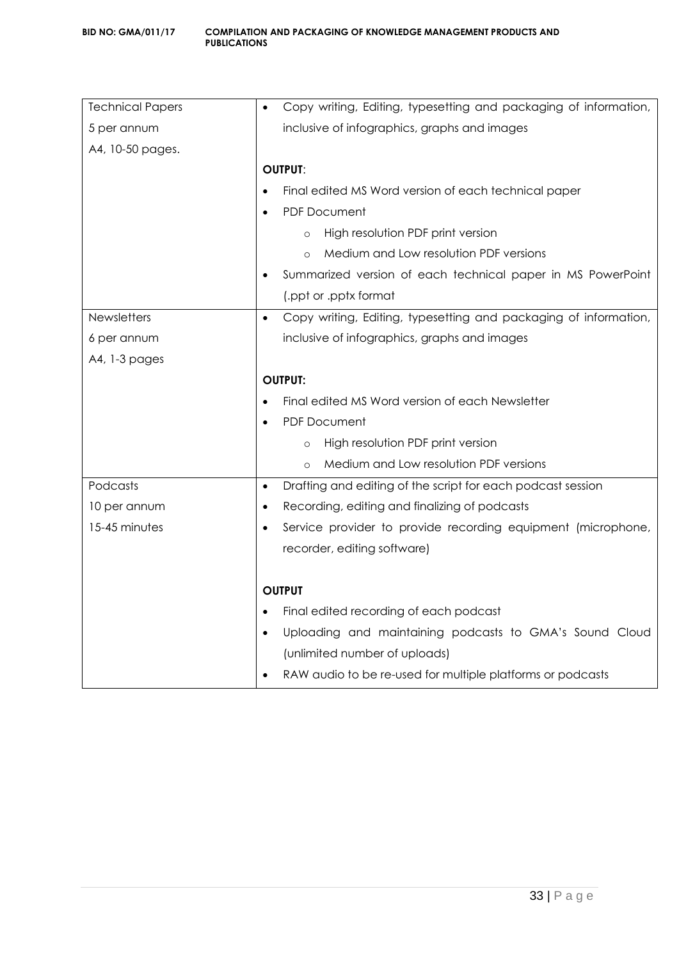| <b>Technical Papers</b> | Copy writing, Editing, typesetting and packaging of information,<br>$\bullet$ |  |
|-------------------------|-------------------------------------------------------------------------------|--|
| 5 per annum             | inclusive of infographics, graphs and images                                  |  |
| A4, 10-50 pages.        |                                                                               |  |
|                         | <b>OUTPUT:</b>                                                                |  |
|                         | Final edited MS Word version of each technical paper                          |  |
|                         | <b>PDF Document</b><br>$\bullet$                                              |  |
|                         | High resolution PDF print version<br>$\circ$                                  |  |
|                         | Medium and Low resolution PDF versions<br>$\Omega$                            |  |
|                         | Summarized version of each technical paper in MS PowerPoint                   |  |
|                         | (.ppt or .pptx format                                                         |  |
| <b>Newsletters</b>      | Copy writing, Editing, typesetting and packaging of information,<br>$\bullet$ |  |
| 6 per annum             | inclusive of infographics, graphs and images                                  |  |
| A4, 1-3 pages           |                                                                               |  |
|                         | <b>OUTPUT:</b>                                                                |  |
|                         | Final edited MS Word version of each Newsletter                               |  |
|                         |                                                                               |  |
|                         | <b>PDF Document</b>                                                           |  |
|                         | High resolution PDF print version<br>$\circ$                                  |  |
|                         | Medium and Low resolution PDF versions<br>$\Omega$                            |  |
| Podcasts                | Drafting and editing of the script for each podcast session<br>$\bullet$      |  |
| 10 per annum            | Recording, editing and finalizing of podcasts<br>$\bullet$                    |  |
| 15-45 minutes           | Service provider to provide recording equipment (microphone,                  |  |
|                         | recorder, editing software)                                                   |  |
|                         |                                                                               |  |
|                         | <b>OUTPUT</b>                                                                 |  |
|                         | Final edited recording of each podcast<br>$\bullet$                           |  |
|                         | Uploading and maintaining podcasts to GMA's Sound Cloud<br>$\bullet$          |  |
|                         | (unlimited number of uploads)                                                 |  |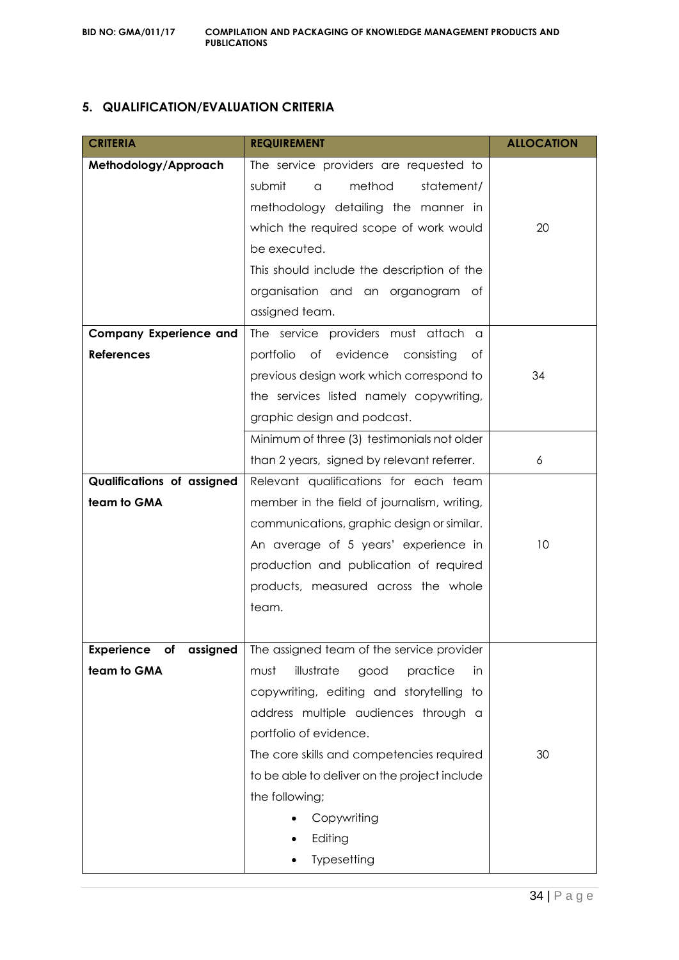#### **5. QUALIFICATION/EVALUATION CRITERIA**

| <b>CRITERIA</b>                   | <b>REQUIREMENT</b>                            | <b>ALLOCATION</b> |
|-----------------------------------|-----------------------------------------------|-------------------|
| Methodology/Approach              | The service providers are requested to        |                   |
|                                   | method<br>submit<br>statement/<br>a           |                   |
|                                   | methodology detailing the manner in           |                   |
|                                   | which the required scope of work would        | 20                |
|                                   | be executed.                                  |                   |
|                                   | This should include the description of the    |                   |
|                                   | organisation and an organogram<br>of          |                   |
|                                   | assigned team.                                |                   |
| <b>Company Experience and</b>     | The service providers must attach a           |                   |
| <b>References</b>                 | portfolio of evidence consisting<br>ot        |                   |
|                                   | previous design work which correspond to      | 34                |
|                                   | the services listed namely copywriting,       |                   |
|                                   | graphic design and podcast.                   |                   |
|                                   | Minimum of three (3) testimonials not older   |                   |
|                                   | than 2 years, signed by relevant referrer.    | 6                 |
| <b>Qualifications of assigned</b> | Relevant qualifications for each team         |                   |
| team to GMA                       | member in the field of journalism, writing,   |                   |
|                                   | communications, graphic design or similar.    |                   |
|                                   | An average of 5 years' experience in          | 10                |
|                                   | production and publication of required        |                   |
|                                   | products, measured across the whole           |                   |
|                                   | team.                                         |                   |
|                                   |                                               |                   |
| <b>Experience</b><br>of assigned  | The assigned team of the service provider     |                   |
| team to GMA                       | illustrate<br>good<br>must<br>practice<br>in. |                   |
|                                   | copywriting, editing and storytelling to      |                   |
|                                   | address multiple audiences through a          |                   |
|                                   | portfolio of evidence.                        |                   |
|                                   | The core skills and competencies required     | 30                |
|                                   | to be able to deliver on the project include  |                   |
|                                   | the following;                                |                   |
|                                   | Copywriting                                   |                   |
|                                   | Editing                                       |                   |
|                                   | Typesetting                                   |                   |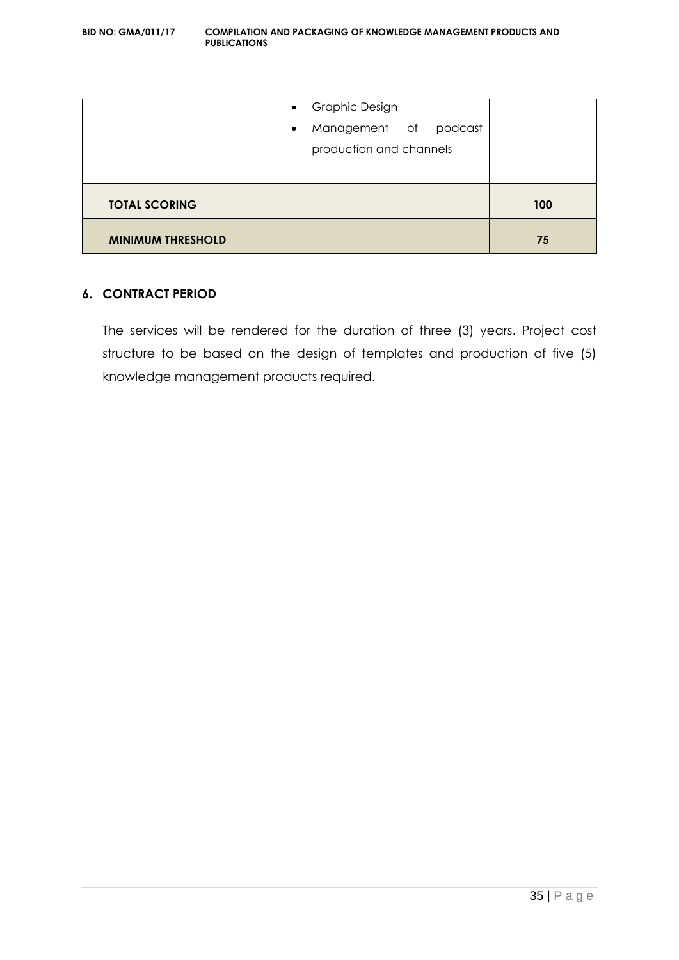|                          | • Graphic Design<br>Management of podcast<br>$\bullet$<br>production and channels |     |
|--------------------------|-----------------------------------------------------------------------------------|-----|
| <b>TOTAL SCORING</b>     |                                                                                   | 100 |
| <b>MINIMUM THRESHOLD</b> |                                                                                   | 75  |

#### **6. CONTRACT PERIOD**

The services will be rendered for the duration of three (3) years. Project cost structure to be based on the design of templates and production of five (5) knowledge management products required.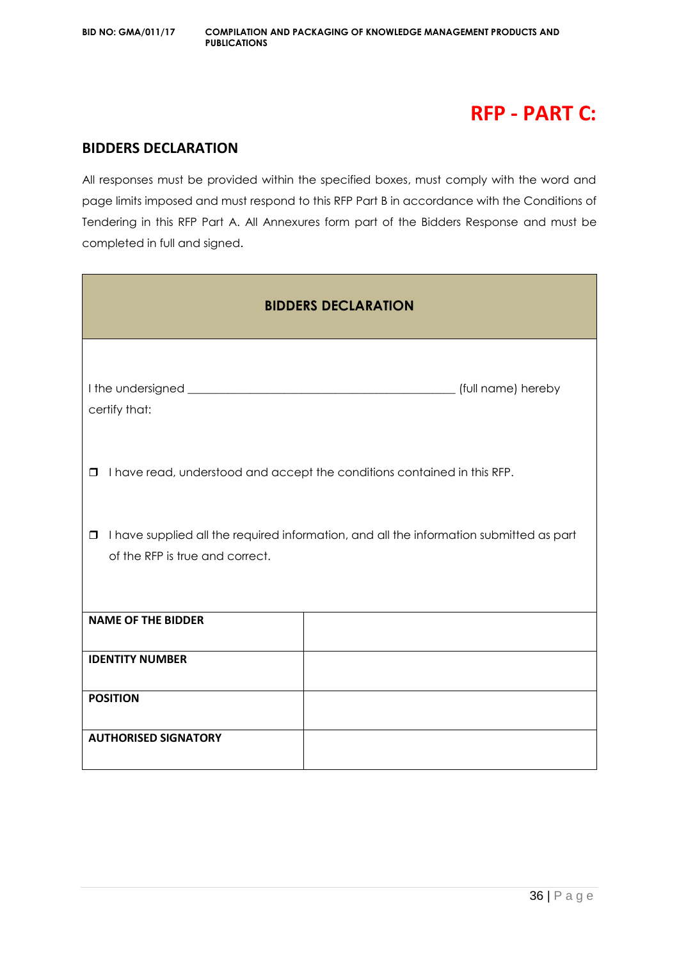## **RFP - PART C:**

#### **BIDDERS DECLARATION**

All responses must be provided within the specified boxes, must comply with the word and page limits imposed and must respond to this RFP Part B in accordance with the Conditions of Tendering in this RFP Part A. All Annexures form part of the Bidders Response and must be completed in full and signed.

| <b>BIDDERS DECLARATION</b>                                                                                                           |                                                                          |  |  |  |
|--------------------------------------------------------------------------------------------------------------------------------------|--------------------------------------------------------------------------|--|--|--|
| certify that:                                                                                                                        | (full name) hereby                                                       |  |  |  |
| $\Box$                                                                                                                               | I have read, understood and accept the conditions contained in this RFP. |  |  |  |
| I have supplied all the required information, and all the information submitted as part<br>$\Box$<br>of the RFP is true and correct. |                                                                          |  |  |  |
| <b>NAME OF THE BIDDER</b>                                                                                                            |                                                                          |  |  |  |
| <b>IDENTITY NUMBER</b>                                                                                                               |                                                                          |  |  |  |
| <b>POSITION</b>                                                                                                                      |                                                                          |  |  |  |
| <b>AUTHORISED SIGNATORY</b>                                                                                                          |                                                                          |  |  |  |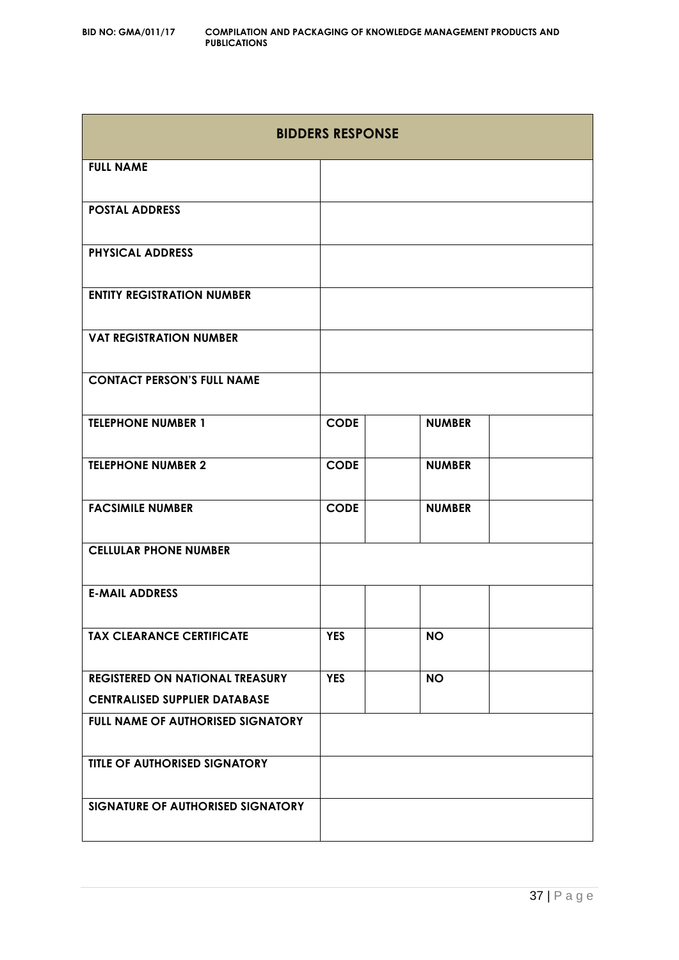| <b>BIDDERS RESPONSE</b>                |             |               |  |  |
|----------------------------------------|-------------|---------------|--|--|
| <b>FULL NAME</b>                       |             |               |  |  |
| <b>POSTAL ADDRESS</b>                  |             |               |  |  |
| <b>PHYSICAL ADDRESS</b>                |             |               |  |  |
| <b>ENTITY REGISTRATION NUMBER</b>      |             |               |  |  |
| <b>VAT REGISTRATION NUMBER</b>         |             |               |  |  |
| <b>CONTACT PERSON'S FULL NAME</b>      |             |               |  |  |
| <b>TELEPHONE NUMBER 1</b>              | <b>CODE</b> | <b>NUMBER</b> |  |  |
| <b>TELEPHONE NUMBER 2</b>              | <b>CODE</b> | <b>NUMBER</b> |  |  |
| <b>FACSIMILE NUMBER</b>                | <b>CODE</b> | <b>NUMBER</b> |  |  |
| <b>CELLULAR PHONE NUMBER</b>           |             |               |  |  |
| <b>E-MAIL ADDRESS</b>                  |             |               |  |  |
| <b>TAX CLEARANCE CERTIFICATE</b>       | <b>YES</b>  | <b>NO</b>     |  |  |
| <b>REGISTERED ON NATIONAL TREASURY</b> | <b>YES</b>  | <b>NO</b>     |  |  |
| <b>CENTRALISED SUPPLIER DATABASE</b>   |             |               |  |  |
| FULL NAME OF AUTHORISED SIGNATORY      |             |               |  |  |
| TITLE OF AUTHORISED SIGNATORY          |             |               |  |  |
| SIGNATURE OF AUTHORISED SIGNATORY      |             |               |  |  |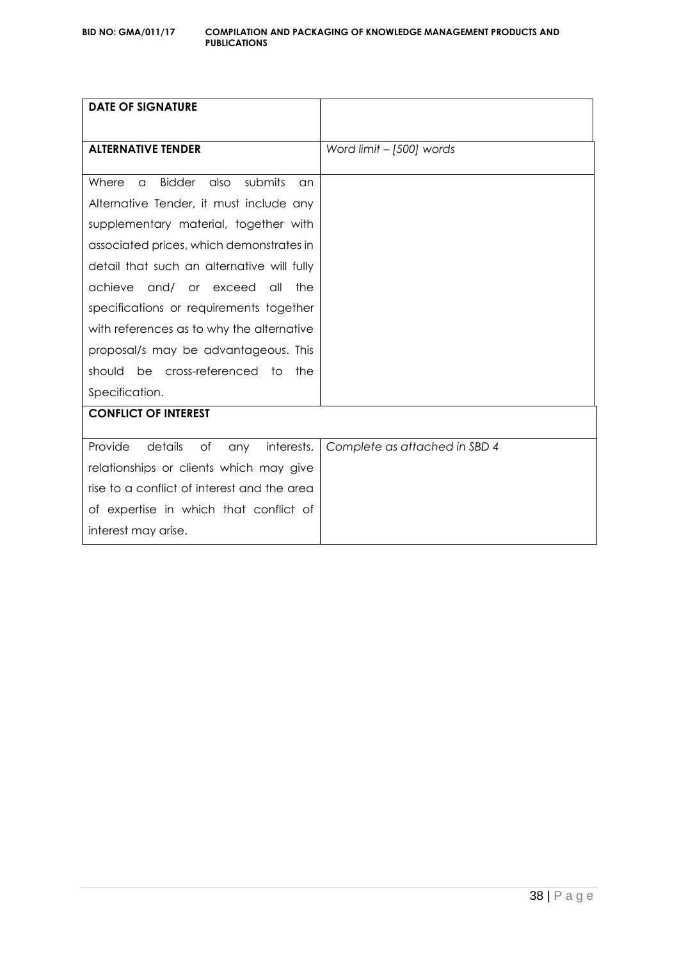| <b>DATE OF SIGNATURE</b>                             |                               |
|------------------------------------------------------|-------------------------------|
| <b>ALTERNATIVE TENDER</b>                            | Word limit - [500] words      |
| <b>Bidder</b><br>submits<br>also<br>Where<br>a<br>an |                               |
| Alternative Tender, it must include any              |                               |
| supplementary material, together with                |                               |
| associated prices, which demonstrates in             |                               |
| detail that such an alternative will fully           |                               |
| achieve<br>and/ or exceed<br>all<br>the              |                               |
| specifications or requirements together              |                               |
| with references as to why the alternative            |                               |
| proposal/s may be advantageous. This                 |                               |
| be cross-referenced to<br>should<br>the              |                               |
| Specification.                                       |                               |
| <b>CONFLICT OF INTEREST</b>                          |                               |
| Provide<br>details<br>of<br>interests,<br>any        | Complete as attached in SBD 4 |
| relationships or clients which may give              |                               |
| rise to a conflict of interest and the area          |                               |
| of expertise in which that conflict of               |                               |
| interest may arise.                                  |                               |
|                                                      |                               |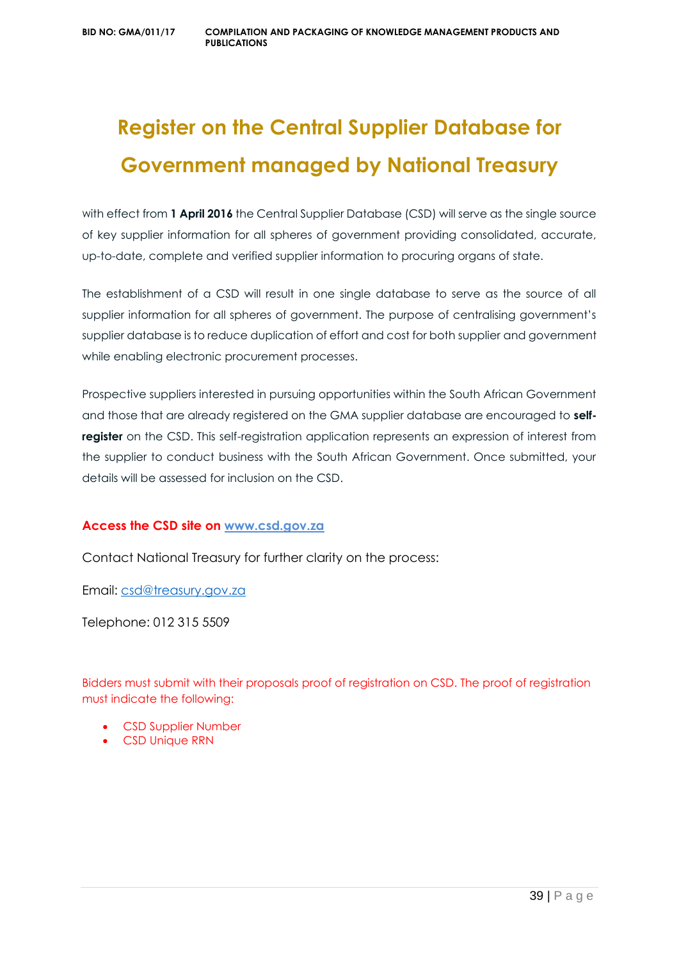# **Register on the Central Supplier Database for Government managed by National Treasury**

with effect from **1 April 2016** the Central Supplier Database (CSD) will serve as the single source of key supplier information for all spheres of government providing consolidated, accurate, up-to-date, complete and verified supplier information to procuring organs of state.

The establishment of a CSD will result in one single database to serve as the source of all supplier information for all spheres of government. The purpose of centralising government's supplier database is to reduce duplication of effort and cost for both supplier and government while enabling electronic procurement processes.

Prospective suppliers interested in pursuing opportunities within the South African Government and those that are already registered on the GMA supplier database are encouraged to **selfregister** on the CSD. This self-registration application represents an expression of interest from the supplier to conduct business with the South African Government. Once submitted, your details will be assessed for inclusion on the CSD.

#### **Access the CSD site on [www.csd.gov.za](http://www.csd.gov.za/)**

Contact National Treasury for further clarity on the process:

Email: [csd@treasury.gov.za](mailto:csd@treasury.gov.za)

Telephone: 012 315 5509

Bidders must submit with their proposals proof of registration on CSD. The proof of registration must indicate the following:

- CSD Supplier Number
- CSD Unique RRN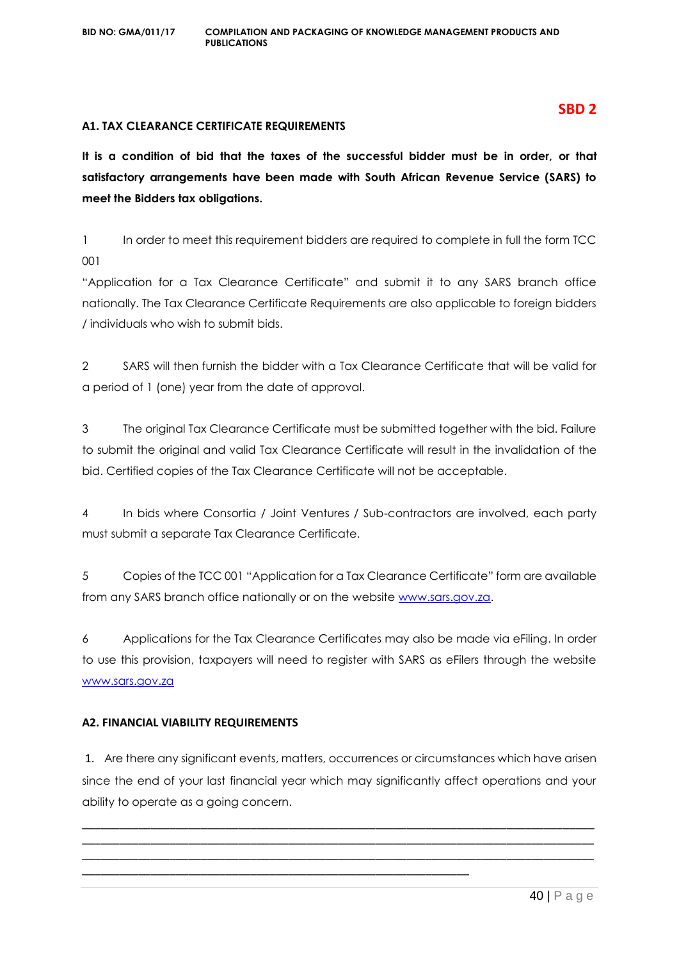#### **A1. TAX CLEARANCE CERTIFICATE REQUIREMENTS**

**It is a condition of bid that the taxes of the successful bidder must be in order, or that satisfactory arrangements have been made with South African Revenue Service (SARS) to meet the Bidders tax obligations.**

1 In order to meet this requirement bidders are required to complete in full the form TCC 001

"Application for a Tax Clearance Certificate" and submit it to any SARS branch office nationally. The Tax Clearance Certificate Requirements are also applicable to foreign bidders / individuals who wish to submit bids.

2 SARS will then furnish the bidder with a Tax Clearance Certificate that will be valid for a period of 1 (one) year from the date of approval.

3 The original Tax Clearance Certificate must be submitted together with the bid. Failure to submit the original and valid Tax Clearance Certificate will result in the invalidation of the bid. Certified copies of the Tax Clearance Certificate will not be acceptable.

4 In bids where Consortia / Joint Ventures / Sub-contractors are involved, each party must submit a separate Tax Clearance Certificate.

5 Copies of the TCC 001 "Application for a Tax Clearance Certificate" form are available from any SARS branch office nationally or on the website [www.sars.gov.za.](http://www.sars.gov.za/)

6 Applications for the Tax Clearance Certificates may also be made via eFiling. In order to use this provision, taxpayers will need to register with SARS as eFilers through the website [www.sars.gov.za](http://www.sars.gov.za/)

#### **A2. FINANCIAL VIABILITY REQUIREMENTS**

1. Are there any significant events, matters, occurrences or circumstances which have arisen since the end of your last financial year which may significantly affect operations and your ability to operate as a going concern.

\_\_\_\_\_\_\_\_\_\_\_\_\_\_\_\_\_\_\_\_\_\_\_\_\_\_\_\_\_\_\_\_\_\_\_\_\_\_\_\_\_\_\_\_\_\_\_\_\_\_\_\_\_\_\_\_\_\_\_\_\_\_\_\_\_\_\_\_\_\_\_\_\_\_\_\_\_\_\_\_\_\_ \_\_\_\_\_\_\_\_\_\_\_\_\_\_\_\_\_\_\_\_\_\_\_\_\_\_\_\_\_\_\_\_\_\_\_\_\_\_\_\_\_\_\_\_\_\_\_\_\_\_\_\_\_\_\_\_\_\_\_\_\_\_\_\_\_\_\_\_\_\_\_\_\_\_\_\_\_\_\_\_\_\_ \_\_\_\_\_\_\_\_\_\_\_\_\_\_\_\_\_\_\_\_\_\_\_\_\_\_\_\_\_\_\_\_\_\_\_\_\_\_\_\_\_\_\_\_\_\_\_\_\_\_\_\_\_\_\_\_\_\_\_\_\_\_\_\_\_\_\_\_\_\_\_\_\_\_\_\_\_\_\_\_\_\_

\_\_\_\_\_\_\_\_\_\_\_\_\_\_\_\_\_\_\_\_\_\_\_\_\_\_\_\_\_\_\_\_\_\_\_\_\_\_\_\_\_\_\_\_\_\_\_\_\_\_\_\_\_\_\_\_\_\_\_\_\_\_

#### **SBD 2**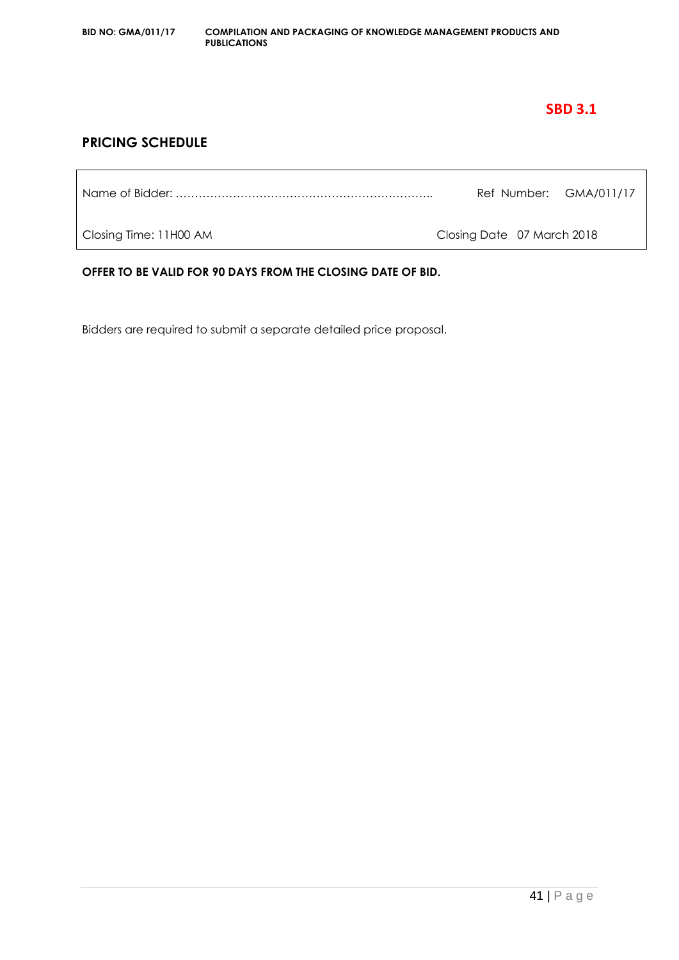### **SBD 3.1**

#### **PRICING SCHEDULE**

Name of Bidder: ………………………………………………………….. Ref Number: GMA/011/17

Closing Time: 11H00 AM Closing Date 07 March 2018

**OFFER TO BE VALID FOR 90 DAYS FROM THE CLOSING DATE OF BID.**

Bidders are required to submit a separate detailed price proposal.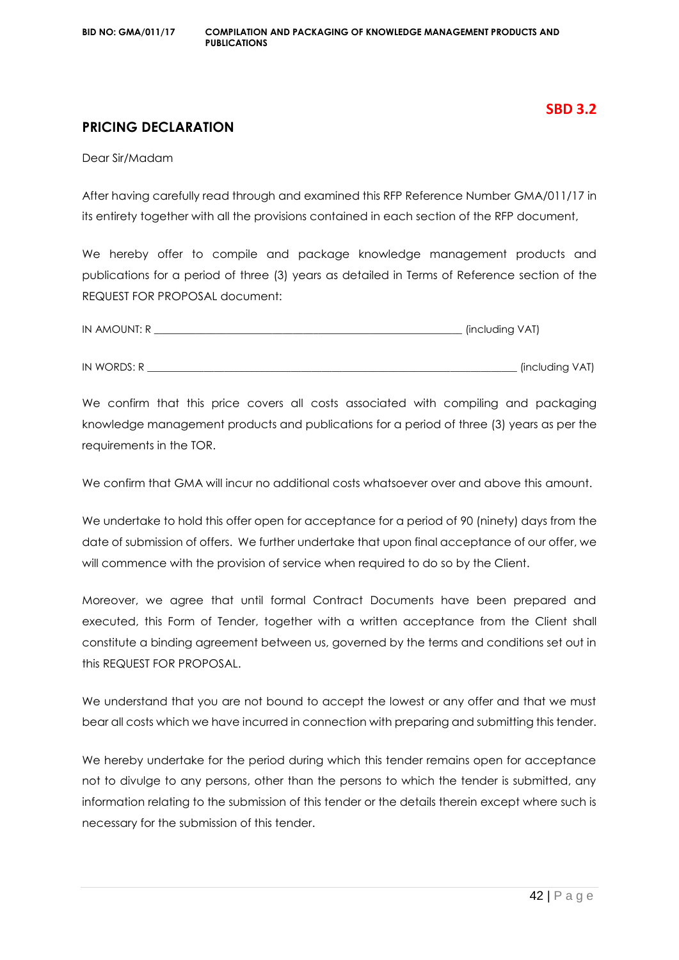#### **SBD 3.2**

#### **PRICING DECLARATION**

Dear Sir/Madam

After having carefully read through and examined this RFP Reference Number GMA/011/17 in its entirety together with all the provisions contained in each section of the RFP document,

We hereby offer to compile and package knowledge management products and publications for a period of three (3) years as detailed in Terms of Reference section of the REQUEST FOR PROPOSAL document:

| IN AMOUNT: R | . (including VAT) |
|--------------|-------------------|
|              |                   |
| IN WORDS: R  | (including VAT)   |

We confirm that this price covers all costs associated with compiling and packaging knowledge management products and publications for a period of three (3) years as per the requirements in the TOR.

We confirm that GMA will incur no additional costs whatsoever over and above this amount.

We undertake to hold this offer open for acceptance for a period of 90 (ninety) days from the date of submission of offers. We further undertake that upon final acceptance of our offer, we will commence with the provision of service when required to do so by the Client.

Moreover, we agree that until formal Contract Documents have been prepared and executed, this Form of Tender, together with a written acceptance from the Client shall constitute a binding agreement between us, governed by the terms and conditions set out in this REQUEST FOR PROPOSAL.

We understand that you are not bound to accept the lowest or any offer and that we must bear all costs which we have incurred in connection with preparing and submitting this tender.

We hereby undertake for the period during which this tender remains open for acceptance not to divulge to any persons, other than the persons to which the tender is submitted, any information relating to the submission of this tender or the details therein except where such is necessary for the submission of this tender.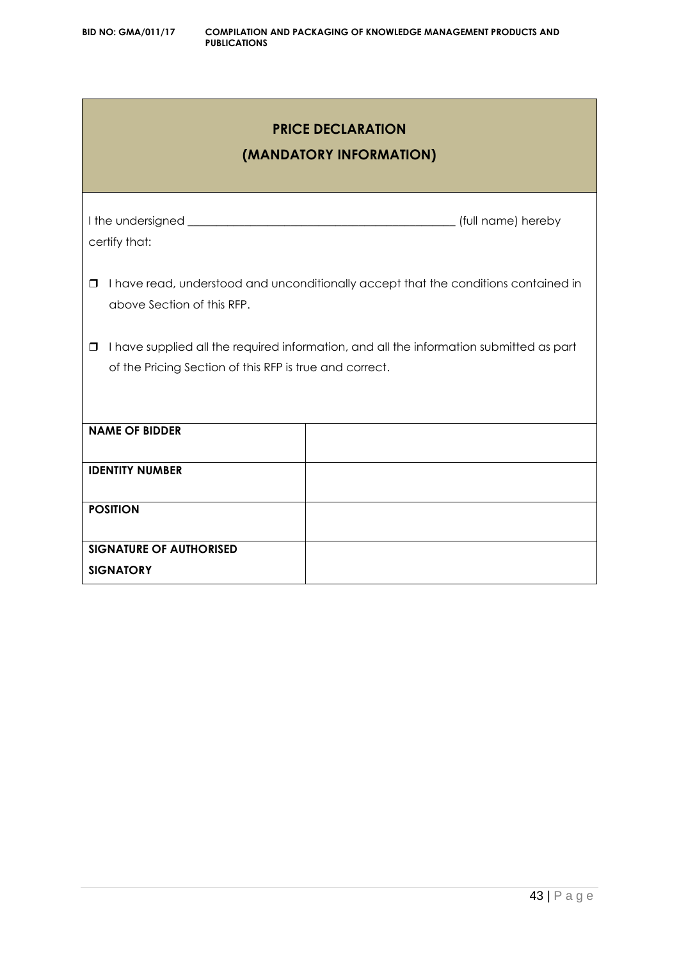## **PRICE DECLARATION**

### **(MANDATORY INFORMATION)**

| certify that:                                                     |                                                                                         |
|-------------------------------------------------------------------|-----------------------------------------------------------------------------------------|
| $\Box$<br>above Section of this RFP.                              | I have read, understood and unconditionally accept that the conditions contained in     |
| $\Box$<br>of the Pricing Section of this RFP is true and correct. | I have supplied all the required information, and all the information submitted as part |
| <b>NAME OF BIDDER</b>                                             |                                                                                         |
| <b>IDENTITY NUMBER</b>                                            |                                                                                         |
| <b>POSITION</b>                                                   |                                                                                         |
| <b>SIGNATURE OF AUTHORISED</b>                                    |                                                                                         |
| <b>SIGNATORY</b>                                                  |                                                                                         |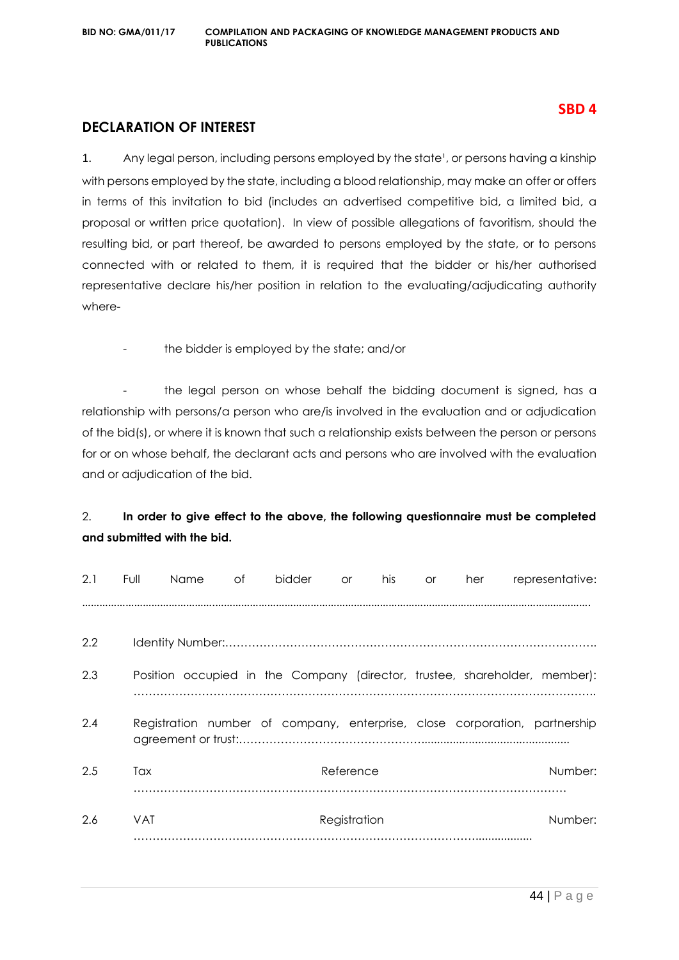#### **SBD 4**

#### **DECLARATION OF INTEREST**

1. Any legal person, including persons employed by the state<sup>1</sup>, or persons having a kinship with persons employed by the state, including a blood relationship, may make an offer or offers in terms of this invitation to bid (includes an advertised competitive bid, a limited bid, a proposal or written price quotation). In view of possible allegations of favoritism, should the resulting bid, or part thereof, be awarded to persons employed by the state, or to persons connected with or related to them, it is required that the bidder or his/her authorised representative declare his/her position in relation to the evaluating/adjudicating authority where-

the bidder is employed by the state; and/or

the legal person on whose behalf the bidding document is signed, has a relationship with persons/a person who are/is involved in the evaluation and or adjudication of the bid(s), or where it is known that such a relationship exists between the person or persons for or on whose behalf, the declarant acts and persons who are involved with the evaluation and or adjudication of the bid.

#### 2. **In order to give effect to the above, the following questionnaire must be completed and submitted with the bid.**

| 2.1 | Full       | Name | of | bidder | <b>or</b>    | his | <b>or</b> | her | representative:                                                            |
|-----|------------|------|----|--------|--------------|-----|-----------|-----|----------------------------------------------------------------------------|
|     |            |      |    |        |              |     |           |     |                                                                            |
| 2.2 |            |      |    |        |              |     |           |     |                                                                            |
| 2.3 |            |      |    |        |              |     |           |     | Position occupied in the Company (director, trustee, shareholder, member): |
| 2.4 |            |      |    |        |              |     |           |     | Registration number of company, enterprise, close corporation, partnership |
| 2.5 | Tax        |      |    |        | Reference    |     |           |     | Number:                                                                    |
| 2.6 | <b>VAT</b> |      |    |        | Registration |     |           |     | Number:                                                                    |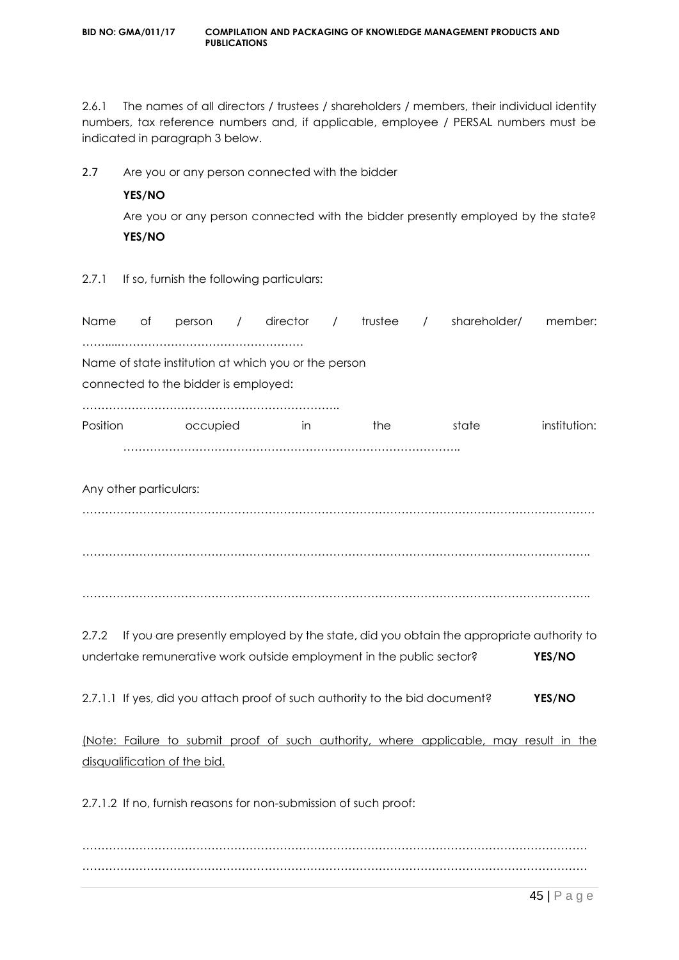2.6.1 The names of all directors / trustees / shareholders / members, their individual identity numbers, tax reference numbers and, if applicable, employee / PERSAL numbers must be indicated in paragraph 3 below.

2.7 Are you or any person connected with the bidder

#### **YES/NO**

Are you or any person connected with the bidder presently employed by the state? **YES/NO**

2.7.1 If so, furnish the following particulars:

| Name     | Оf                     | person                               | $\sqrt{2}$ | director                                                                    | $\overline{\phantom{a}}$ | trustee | $\sqrt{2}$ | shareholder/ | member:                                                                                 |
|----------|------------------------|--------------------------------------|------------|-----------------------------------------------------------------------------|--------------------------|---------|------------|--------------|-----------------------------------------------------------------------------------------|
|          |                        |                                      |            | Name of state institution at which you or the person                        |                          |         |            |              |                                                                                         |
|          |                        | connected to the bidder is employed: |            |                                                                             |                          |         |            |              |                                                                                         |
|          |                        |                                      |            |                                                                             |                          |         |            |              |                                                                                         |
| Position |                        | occupied                             |            | in.                                                                         |                          | the     |            | state        | institution:                                                                            |
|          |                        |                                      |            |                                                                             |                          |         |            |              |                                                                                         |
|          |                        |                                      |            |                                                                             |                          |         |            |              |                                                                                         |
|          | Any other particulars: |                                      |            |                                                                             |                          |         |            |              |                                                                                         |
|          |                        |                                      |            |                                                                             |                          |         |            |              |                                                                                         |
|          |                        |                                      |            |                                                                             |                          |         |            |              |                                                                                         |
|          |                        |                                      |            |                                                                             |                          |         |            |              |                                                                                         |
|          |                        |                                      |            |                                                                             |                          |         |            |              |                                                                                         |
|          |                        |                                      |            |                                                                             |                          |         |            |              |                                                                                         |
|          |                        |                                      |            |                                                                             |                          |         |            |              |                                                                                         |
| 2.7.2    |                        |                                      |            |                                                                             |                          |         |            |              | If you are presently employed by the state, did you obtain the appropriate authority to |
|          |                        |                                      |            | undertake remunerative work outside employment in the public sector?        |                          |         |            |              | YES/NO                                                                                  |
|          |                        |                                      |            | 2.7.1.1 If yes, did you attach proof of such authority to the bid document? |                          |         |            |              | YES/NO                                                                                  |
|          |                        |                                      |            |                                                                             |                          |         |            |              |                                                                                         |
|          |                        |                                      |            |                                                                             |                          |         |            |              | (Note: Failure to submit proof of such authority, where applicable, may result in the   |
|          |                        | disqualification of the bid.         |            |                                                                             |                          |         |            |              |                                                                                         |
|          |                        |                                      |            |                                                                             |                          |         |            |              |                                                                                         |
|          |                        |                                      |            | 2.7.1.2 If no, furnish reasons for non-submission of such proof:            |                          |         |            |              |                                                                                         |
|          |                        |                                      |            |                                                                             |                          |         |            |              |                                                                                         |
|          |                        |                                      |            |                                                                             |                          |         |            |              |                                                                                         |

…………………………………………………………………………………………………………………….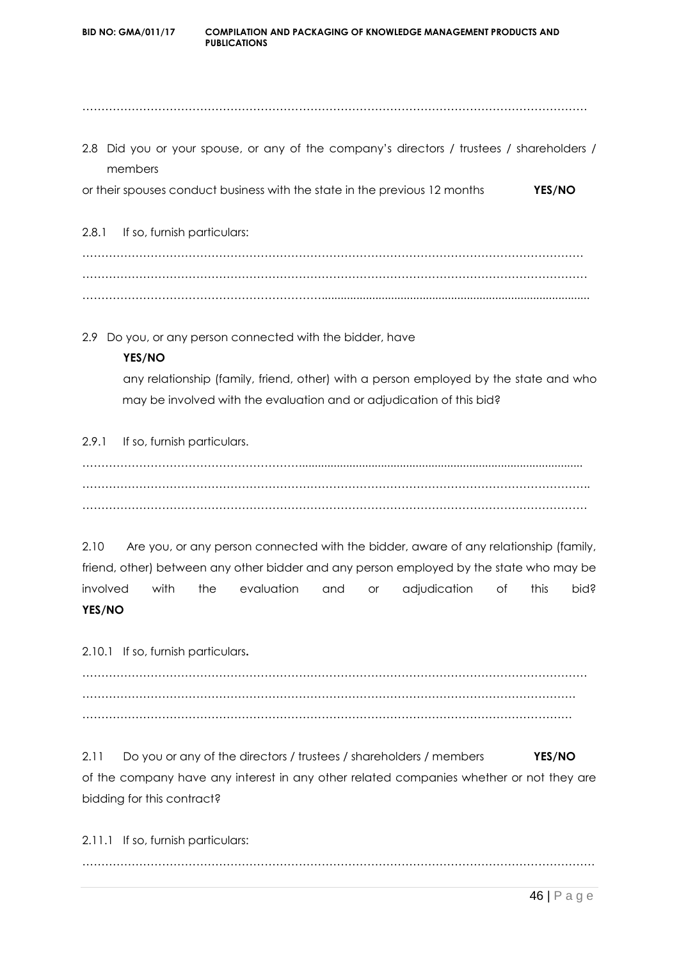**BID NO: GMA/011/17 COMPILATION AND PACKAGING OF KNOWLEDGE MANAGEMENT PRODUCTS AND PUBLICATIONS** ……………………………………………………………………………………………………………………. 2.8 Did you or your spouse, or any of the company's directors / trustees / shareholders / members or their spouses conduct business with the state in the previous 12 months **YES/NO** 2.8.1 If so, furnish particulars: …………………………………………………………………………………………………………………… ……………………………………………………………………………………………………………………. ………………………………………………………..................................................................................... 2.9 Do you, or any person connected with the bidder, have

#### **YES/NO**

any relationship (family, friend, other) with a person employed by the state and who may be involved with the evaluation and or adjudication of this bid?

#### 2.9.1 If so, furnish particulars.

………………………………………………….......................................................................................... …………………………………………………………………………………………………………………….. …………………………………………………………………………………………………………………….

2.10 Are you, or any person connected with the bidder, aware of any relationship (family, friend, other) between any other bidder and any person employed by the state who may be involved with the evaluation and or adjudication of this bid? **YES/NO**

2.10.1 If so, furnish particulars**.**

……………………………………………………………………………………………………………………. …………………………………………………………………………………………………………………. …………………………………………………………………………………………………………………

2.11 Do you or any of the directors / trustees / shareholders / members **YES/NO** of the company have any interest in any other related companies whether or not they are bidding for this contract?

2.11.1 If so, furnish particulars: ………………………………………………………………………………………………………………………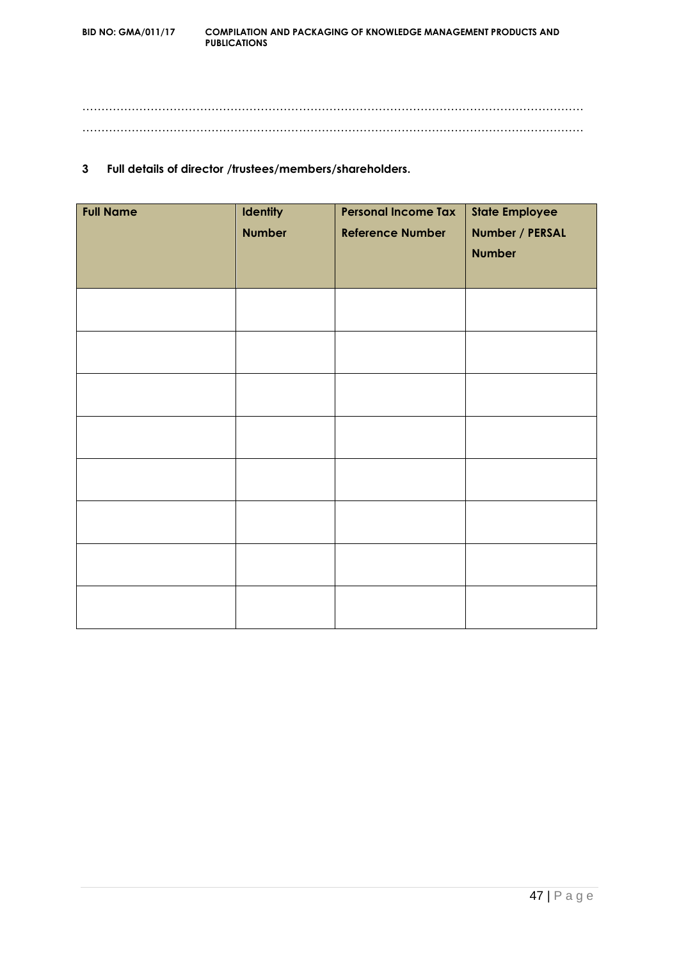…………………………………………………………………………………………………………………… ……………………………………………………………………………………………………………………

#### **3 Full details of director /trustees/members/shareholders.**

| <b>Full Name</b> | <b>Identity</b> | <b>Personal Income Tax</b> | <b>State Employee</b> |
|------------------|-----------------|----------------------------|-----------------------|
|                  | <b>Number</b>   | <b>Reference Number</b>    | Number / PERSAL       |
|                  |                 |                            | <b>Number</b>         |
|                  |                 |                            |                       |
|                  |                 |                            |                       |
|                  |                 |                            |                       |
|                  |                 |                            |                       |
|                  |                 |                            |                       |
|                  |                 |                            |                       |
|                  |                 |                            |                       |
|                  |                 |                            |                       |
|                  |                 |                            |                       |
|                  |                 |                            |                       |
|                  |                 |                            |                       |
|                  |                 |                            |                       |
|                  |                 |                            |                       |
|                  |                 |                            |                       |
|                  |                 |                            |                       |
|                  |                 |                            |                       |
|                  |                 |                            |                       |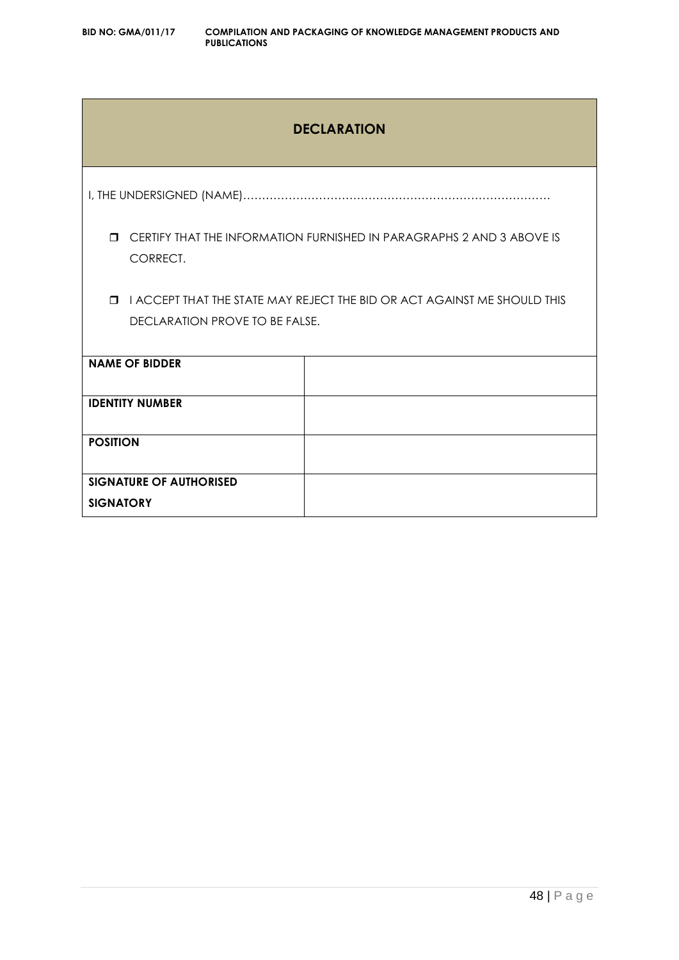### **DECLARATION**

I, THE UNDERSIGNED (NAME)………………………………………………………………………

 CERTIFY THAT THE INFORMATION FURNISHED IN PARAGRAPHS 2 AND 3 ABOVE IS CORRECT.

**I I ACCEPT THAT THE STATE MAY REJECT THE BID OR ACT AGAINST ME SHOULD THIS** DECLARATION PROVE TO BE FALSE.

| <b>NAME OF BIDDER</b>          |  |
|--------------------------------|--|
| <b>IDENTITY NUMBER</b>         |  |
| <b>POSITION</b>                |  |
| <b>SIGNATURE OF AUTHORISED</b> |  |
| <b>SIGNATORY</b>               |  |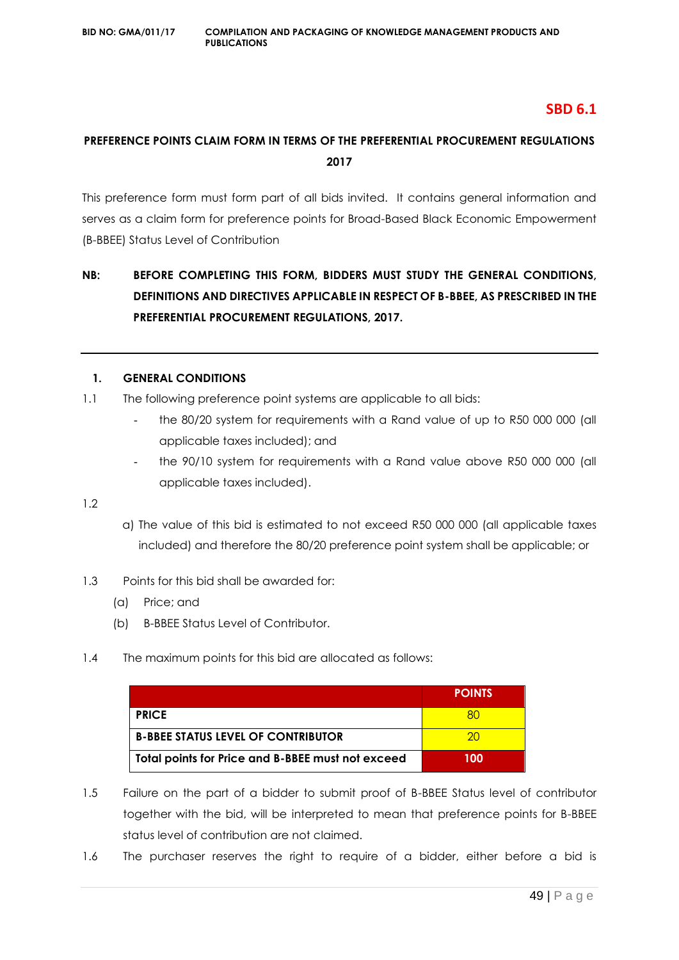#### **SBD 6.1**

#### **PREFERENCE POINTS CLAIM FORM IN TERMS OF THE PREFERENTIAL PROCUREMENT REGULATIONS 2017**

This preference form must form part of all bids invited. It contains general information and serves as a claim form for preference points for Broad-Based Black Economic Empowerment (B-BBEE) Status Level of Contribution

### **NB: BEFORE COMPLETING THIS FORM, BIDDERS MUST STUDY THE GENERAL CONDITIONS, DEFINITIONS AND DIRECTIVES APPLICABLE IN RESPECT OF B-BBEE, AS PRESCRIBED IN THE PREFERENTIAL PROCUREMENT REGULATIONS, 2017.**

#### **1. GENERAL CONDITIONS**

- 1.1 The following preference point systems are applicable to all bids:
	- the 80/20 system for requirements with a Rand value of up to R50 000 000 (all applicable taxes included); and
	- the 90/10 system for requirements with a Rand value above R50 000 000 (all applicable taxes included).

1.2

- a) The value of this bid is estimated to not exceed R50 000 000 (all applicable taxes included) and therefore the 80/20 preference point system shall be applicable; or
- 1.3 Points for this bid shall be awarded for:
	- (a) Price; and
	- (b) B-BBEE Status Level of Contributor.
- 1.4 The maximum points for this bid are allocated as follows:

|                                                   | <b>POINTS</b> |
|---------------------------------------------------|---------------|
| <b>PRICE</b>                                      |               |
| <b>B-BBEE STATUS LEVEL OF CONTRIBUTOR</b>         | ാറ            |
| Total points for Price and B-BBEE must not exceed | 100           |

- 1.5 Failure on the part of a bidder to submit proof of B-BBEE Status level of contributor together with the bid, will be interpreted to mean that preference points for B-BBEE status level of contribution are not claimed.
- 1.6 The purchaser reserves the right to require of a bidder, either before a bid is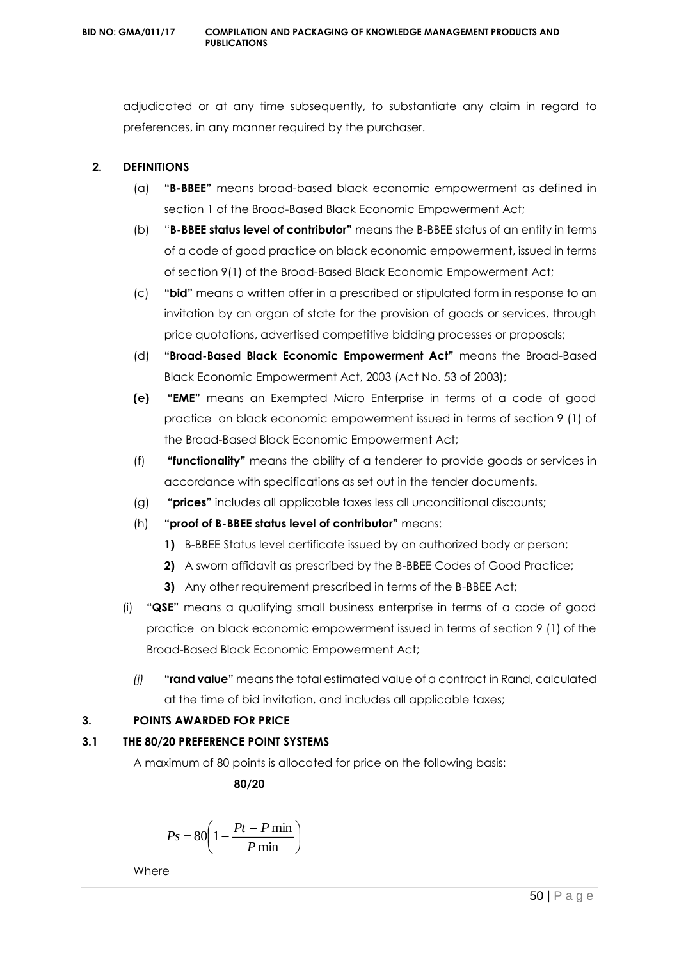adjudicated or at any time subsequently, to substantiate any claim in regard to preferences, in any manner required by the purchaser.

#### **2. DEFINITIONS**

- (a) **"B-BBEE"** means broad-based black economic empowerment as defined in section 1 of the Broad-Based Black Economic Empowerment Act;
- (b) "**B-BBEE status level of contributor"** means the B-BBEE status of an entity in terms of a code of good practice on black economic empowerment, issued in terms of section 9(1) of the Broad-Based Black Economic Empowerment Act;
- (c) **"bid"** means a written offer in a prescribed or stipulated form in response to an invitation by an organ of state for the provision of goods or services, through price quotations, advertised competitive bidding processes or proposals;
- (d) **"Broad-Based Black Economic Empowerment Act"** means the Broad-Based Black Economic Empowerment Act, 2003 (Act No. 53 of 2003);
- **(e) "EME"** means an Exempted Micro Enterprise in terms of a code of good practice on black economic empowerment issued in terms of section 9 (1) of the Broad-Based Black Economic Empowerment Act;
- (f) **"functionality"** means the ability of a tenderer to provide goods or services in accordance with specifications as set out in the tender documents.
- (g) **"prices"** includes all applicable taxes less all unconditional discounts;
- (h) **"proof of B-BBEE status level of contributor"** means:
	- **1)** B-BBEE Status level certificate issued by an authorized body or person;
	- **2)** A sworn affidavit as prescribed by the B-BBEE Codes of Good Practice;
	- **3)** Any other requirement prescribed in terms of the B-BBEE Act;
- (i) **"QSE"** means a qualifying small business enterprise in terms of a code of good practice on black economic empowerment issued in terms of section 9 (1) of the Broad-Based Black Economic Empowerment Act;
	- *(j)* **"rand value"** means the total estimated value of a contract in Rand, calculated at the time of bid invitation, and includes all applicable taxes;

#### **3. POINTS AWARDED FOR PRICE**

#### **3.1 THE 80/20 PREFERENCE POINT SYSTEMS**

A maximum of 80 points is allocated for price on the following basis:

 **80/20**

$$
Ps = 80 \left( 1 - \frac{Pt - P \min}{P \min} \right)
$$

**Where**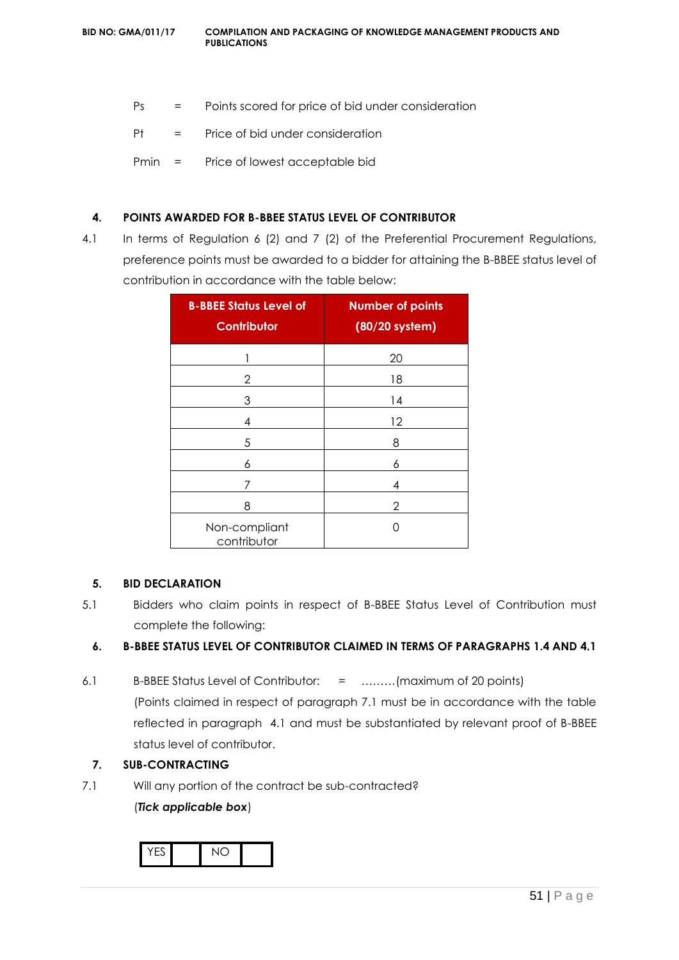- Ps = Points scored for price of bid under consideration
- Pt = Price of bid under consideration
- Pmin = Price of lowest acceptable bid

#### **4. POINTS AWARDED FOR B-BBEE STATUS LEVEL OF CONTRIBUTOR**

4.1 In terms of Regulation 6 (2) and 7 (2) of the Preferential Procurement Regulations, preference points must be awarded to a bidder for attaining the B-BBEE status level of contribution in accordance with the table below:

| <b>B-BBEE Status Level of</b><br><b>Contributor</b> | <b>Number of points</b><br>(80/20 system) |
|-----------------------------------------------------|-------------------------------------------|
|                                                     | 20                                        |
| 2                                                   | 18                                        |
| 3                                                   | 14                                        |
| 4                                                   | 12                                        |
| 5                                                   | 8                                         |
| 6                                                   | 6                                         |
| 7                                                   | 4                                         |
| 8                                                   | 2                                         |
| Non-compliant<br>contributor                        | ∩                                         |

#### **5. BID DECLARATION**

5.1 Bidders who claim points in respect of B-BBEE Status Level of Contribution must complete the following:

#### **6. B-BBEE STATUS LEVEL OF CONTRIBUTOR CLAIMED IN TERMS OF PARAGRAPHS 1.4 AND 4.1**

6.1 B-BBEE Status Level of Contributor: = ………(maximum of 20 points) (Points claimed in respect of paragraph 7.1 must be in accordance with the table reflected in paragraph 4.1 and must be substantiated by relevant proof of B-BBEE status level of contributor.

#### **7. SUB-CONTRACTING**

7.1 Will any portion of the contract be sub-contracted?

(*Tick applicable box*)

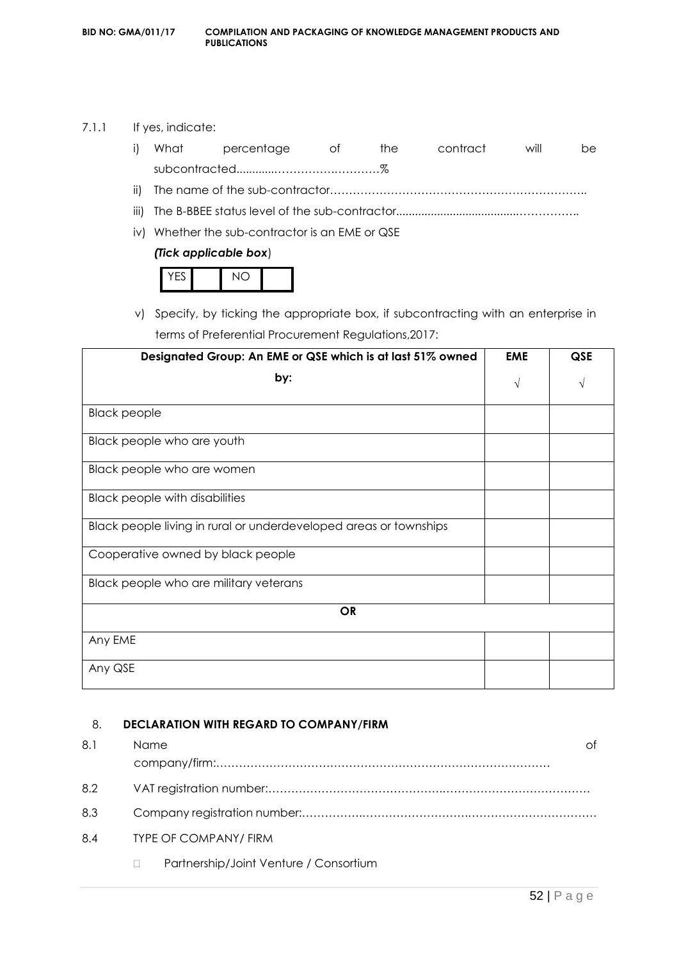#### 7.1.1 If yes, indicate:

|  | i) What percentage of the contract |  | will | be. |
|--|------------------------------------|--|------|-----|
|  |                                    |  |      |     |
|  |                                    |  |      |     |

- iii) The B-BBEE status level of the sub-contractor......................................……………..
- iv) Whether the sub-contractor is an EME or QSE

#### *(Tick applicable box*)

v) Specify, by ticking the appropriate box, if subcontracting with an enterprise in terms of Preferential Procurement Regulations,2017:

| Designated Group: An EME or QSE which is at last 51% owned        | <b>EME</b> | QSE |
|-------------------------------------------------------------------|------------|-----|
| by:                                                               | $\sqrt{}$  | V   |
| <b>Black people</b>                                               |            |     |
| Black people who are youth                                        |            |     |
| Black people who are women                                        |            |     |
| <b>Black people with disabilities</b>                             |            |     |
| Black people living in rural or underdeveloped areas or townships |            |     |
| Cooperative owned by black people                                 |            |     |
| Black people who are military veterans                            |            |     |
| <b>OR</b>                                                         |            |     |
| Any EME                                                           |            |     |
| Any QSE                                                           |            |     |

#### 8. **DECLARATION WITH REGARD TO COMPANY/FIRM**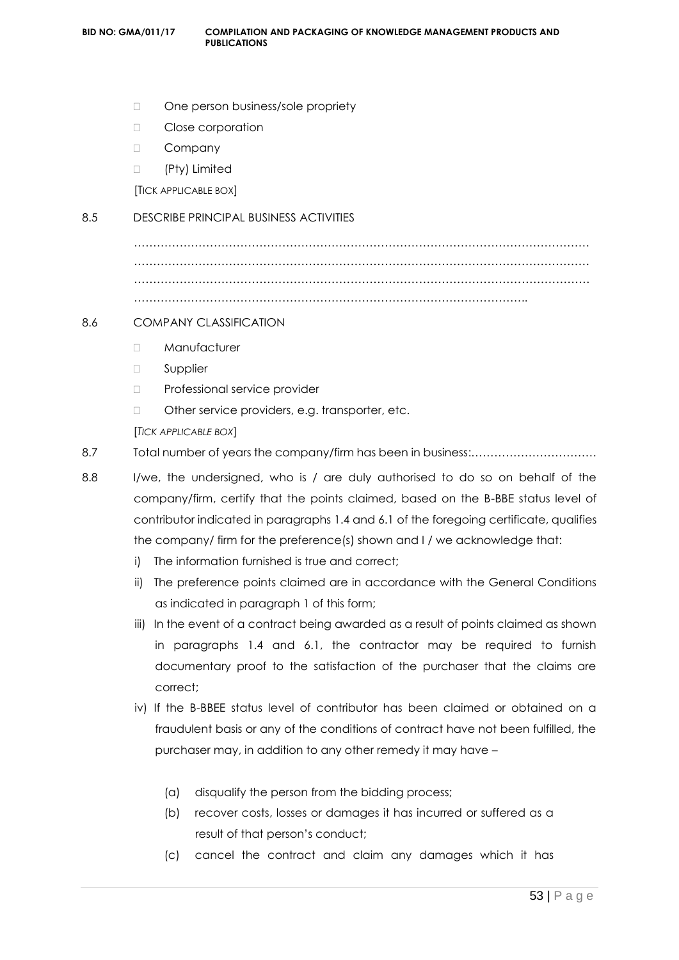- □ One person business/sole propriety
- □ Close corporation
- D Company
- (Pty) Limited

[TICK APPLICABLE BOX]

#### 8.5 DESCRIBE PRINCIPAL BUSINESS ACTIVITIES

………………………………………………………………………………………………………… ………………………………………………………………………………………………………… ………………………………………………………………………………………………………… …………………………………………………………………………………………..

#### 8.6 COMPANY CLASSIFICATION

- Manufacturer
- □ Supplier
- D Professional service provider
- □ Other service providers, e.g. transporter, etc.

[*TICK APPLICABLE BOX*]

- 8.7 Total number of years the company/firm has been in business:……………………………
- 8.8 I/we, the undersigned, who is / are duly authorised to do so on behalf of the company/firm, certify that the points claimed, based on the B-BBE status level of contributor indicated in paragraphs 1.4 and 6.1 of the foregoing certificate, qualifies the company/ firm for the preference(s) shown and I / we acknowledge that:
	- i) The information furnished is true and correct;
	- ii) The preference points claimed are in accordance with the General Conditions as indicated in paragraph 1 of this form;
	- iii) In the event of a contract being awarded as a result of points claimed as shown in paragraphs 1.4 and 6.1, the contractor may be required to furnish documentary proof to the satisfaction of the purchaser that the claims are correct;
	- iv) If the B-BBEE status level of contributor has been claimed or obtained on a fraudulent basis or any of the conditions of contract have not been fulfilled, the purchaser may, in addition to any other remedy it may have –
		- (a) disqualify the person from the bidding process;
		- (b) recover costs, losses or damages it has incurred or suffered as a result of that person's conduct;
		- (c) cancel the contract and claim any damages which it has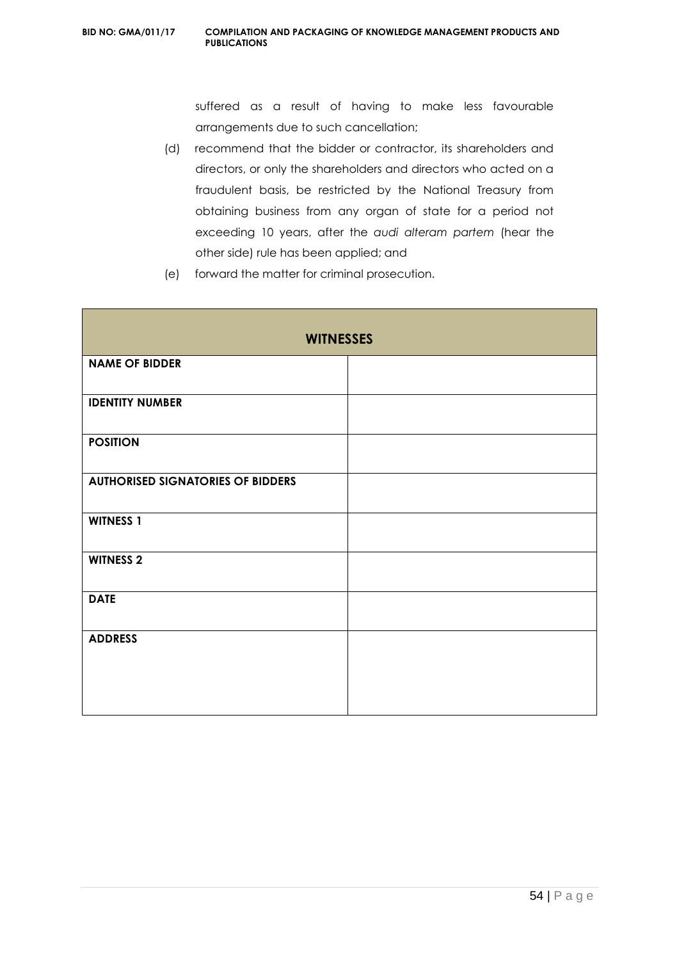suffered as a result of having to make less favourable arrangements due to such cancellation;

- (d) recommend that the bidder or contractor, its shareholders and directors, or only the shareholders and directors who acted on a fraudulent basis, be restricted by the National Treasury from obtaining business from any organ of state for a period not exceeding 10 years, after the *audi alteram partem* (hear the other side) rule has been applied; and
- (e) forward the matter for criminal prosecution.

| <b>WITNESSES</b>                         |  |  |  |  |
|------------------------------------------|--|--|--|--|
| <b>NAME OF BIDDER</b>                    |  |  |  |  |
| <b>IDENTITY NUMBER</b>                   |  |  |  |  |
| <b>POSITION</b>                          |  |  |  |  |
| <b>AUTHORISED SIGNATORIES OF BIDDERS</b> |  |  |  |  |
| <b>WITNESS 1</b>                         |  |  |  |  |
| <b>WITNESS 2</b>                         |  |  |  |  |
| <b>DATE</b>                              |  |  |  |  |
| <b>ADDRESS</b>                           |  |  |  |  |
|                                          |  |  |  |  |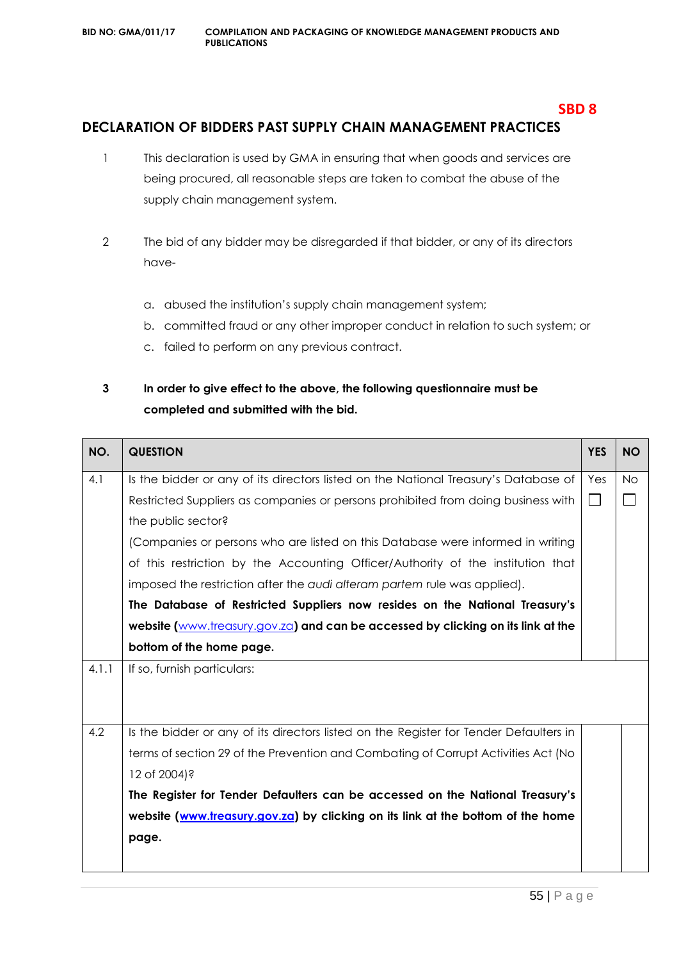## **DECLARATION OF BIDDERS PAST SUPPLY CHAIN MANAGEMENT PRACTICES**

- 1 This declaration is used by GMA in ensuring that when goods and services are being procured, all reasonable steps are taken to combat the abuse of the supply chain management system.
- 2 The bid of any bidder may be disregarded if that bidder, or any of its directors have
	- a. abused the institution's supply chain management system;
	- b. committed fraud or any other improper conduct in relation to such system; or
	- c. failed to perform on any previous contract.

### **3 In order to give effect to the above, the following questionnaire must be completed and submitted with the bid.**

| NO.   | <b>QUESTION</b>                                                                       | <b>YES</b> | <b>NO</b> |
|-------|---------------------------------------------------------------------------------------|------------|-----------|
| 4.1   | Is the bidder or any of its directors listed on the National Treasury's Database of   | Yes        | <b>No</b> |
|       | Restricted Suppliers as companies or persons prohibited from doing business with      | $\Box$     |           |
|       | the public sector?                                                                    |            |           |
|       | (Companies or persons who are listed on this Database were informed in writing        |            |           |
|       | of this restriction by the Accounting Officer/Authority of the institution that       |            |           |
|       | imposed the restriction after the audi alteram partem rule was applied).              |            |           |
|       | The Database of Restricted Suppliers now resides on the National Treasury's           |            |           |
|       | website (www.treasury.gov.za) and can be accessed by clicking on its link at the      |            |           |
|       | bottom of the home page.                                                              |            |           |
| 4.1.1 | If so, furnish particulars:                                                           |            |           |
|       |                                                                                       |            |           |
|       |                                                                                       |            |           |
| 4.2   | Is the bidder or any of its directors listed on the Register for Tender Defaulters in |            |           |
|       | terms of section 29 of the Prevention and Combating of Corrupt Activities Act (No     |            |           |
|       | 12 of 2004)?                                                                          |            |           |
|       | The Register for Tender Defaulters can be accessed on the National Treasury's         |            |           |
|       | website (www.treasury.gov.za) by clicking on its link at the bottom of the home       |            |           |
|       | page.                                                                                 |            |           |
|       |                                                                                       |            |           |

**SBD 8**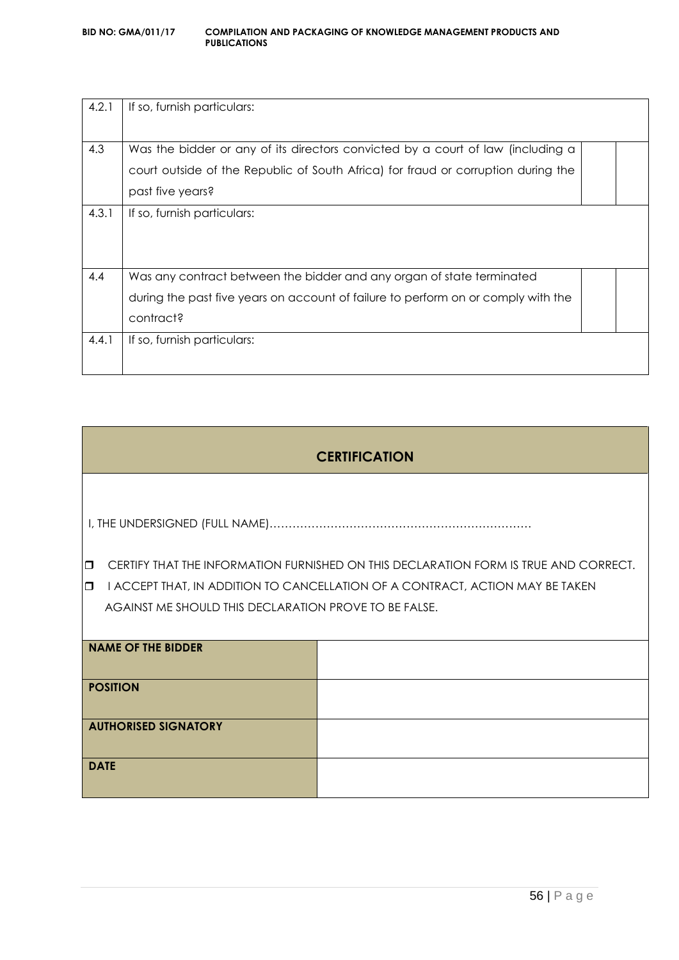| 4.2.1 | If so, furnish particulars:                                                       |  |
|-------|-----------------------------------------------------------------------------------|--|
|       |                                                                                   |  |
| 4.3   | Was the bidder or any of its directors convicted by a court of law (including a   |  |
|       | court outside of the Republic of South Africa) for fraud or corruption during the |  |
|       | past five years?                                                                  |  |
| 4.3.1 | If so, furnish particulars:                                                       |  |
|       |                                                                                   |  |
|       |                                                                                   |  |
| 4.4   | Was any contract between the bidder and any organ of state terminated             |  |
|       | during the past five years on account of failure to perform on or comply with the |  |
|       | contract?                                                                         |  |
| 4.4.1 | If so, furnish particulars:                                                       |  |
|       |                                                                                   |  |

| <b>CERTIFICATION</b>                                                               |                                                       |                                                                                      |  |  |
|------------------------------------------------------------------------------------|-------------------------------------------------------|--------------------------------------------------------------------------------------|--|--|
|                                                                                    |                                                       |                                                                                      |  |  |
| $\Box$                                                                             |                                                       | CERTIFY THAT THE INFORMATION FURNISHED ON THIS DECLARATION FORM IS TRUE AND CORRECT. |  |  |
| I ACCEPT THAT, IN ADDITION TO CANCELLATION OF A CONTRACT, ACTION MAY BE TAKEN<br>0 |                                                       |                                                                                      |  |  |
|                                                                                    | AGAINST ME SHOULD THIS DECLARATION PROVE TO BE FALSE. |                                                                                      |  |  |
|                                                                                    |                                                       |                                                                                      |  |  |
|                                                                                    | <b>NAME OF THE BIDDER</b>                             |                                                                                      |  |  |
|                                                                                    |                                                       |                                                                                      |  |  |
| <b>POSITION</b>                                                                    |                                                       |                                                                                      |  |  |
|                                                                                    |                                                       |                                                                                      |  |  |
| <b>AUTHORISED SIGNATORY</b>                                                        |                                                       |                                                                                      |  |  |
|                                                                                    |                                                       |                                                                                      |  |  |
| <b>DATE</b>                                                                        |                                                       |                                                                                      |  |  |
|                                                                                    |                                                       |                                                                                      |  |  |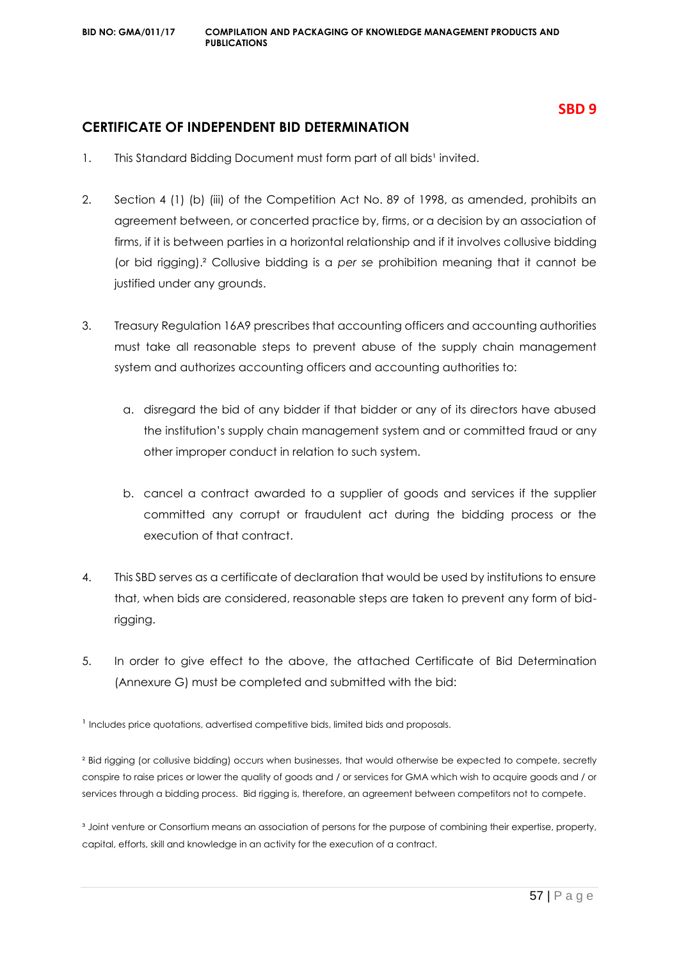#### **SBD 9**

#### **CERTIFICATE OF INDEPENDENT BID DETERMINATION**

- 1. This Standard Bidding Document must form part of all bids<sup>1</sup> invited.
- 2. Section 4 (1) (b) (iii) of the Competition Act No. 89 of 1998, as amended, prohibits an agreement between, or concerted practice by, firms, or a decision by an association of firms, if it is between parties in a horizontal relationship and if it involves collusive bidding (or bid rigging).² Collusive bidding is a *per se* prohibition meaning that it cannot be justified under any grounds.
- 3. Treasury Regulation 16A9 prescribes that accounting officers and accounting authorities must take all reasonable steps to prevent abuse of the supply chain management system and authorizes accounting officers and accounting authorities to:
	- a. disregard the bid of any bidder if that bidder or any of its directors have abused the institution's supply chain management system and or committed fraud or any other improper conduct in relation to such system.
	- b. cancel a contract awarded to a supplier of goods and services if the supplier committed any corrupt or fraudulent act during the bidding process or the execution of that contract.
- 4. This SBD serves as a certificate of declaration that would be used by institutions to ensure that, when bids are considered, reasonable steps are taken to prevent any form of bidrigging.
- 5. In order to give effect to the above, the attached Certificate of Bid Determination (Annexure G) must be completed and submitted with the bid:

<sup>1</sup> Includes price quotations, advertised competitive bids, limited bids and proposals.

² Bid rigging (or collusive bidding) occurs when businesses, that would otherwise be expected to compete, secretly conspire to raise prices or lower the quality of goods and / or services for GMA which wish to acquire goods and / or services through a bidding process. Bid rigging is, therefore, an agreement between competitors not to compete.

<sup>3</sup> Joint venture or Consortium means an association of persons for the purpose of combining their expertise, property, capital, efforts, skill and knowledge in an activity for the execution of a contract.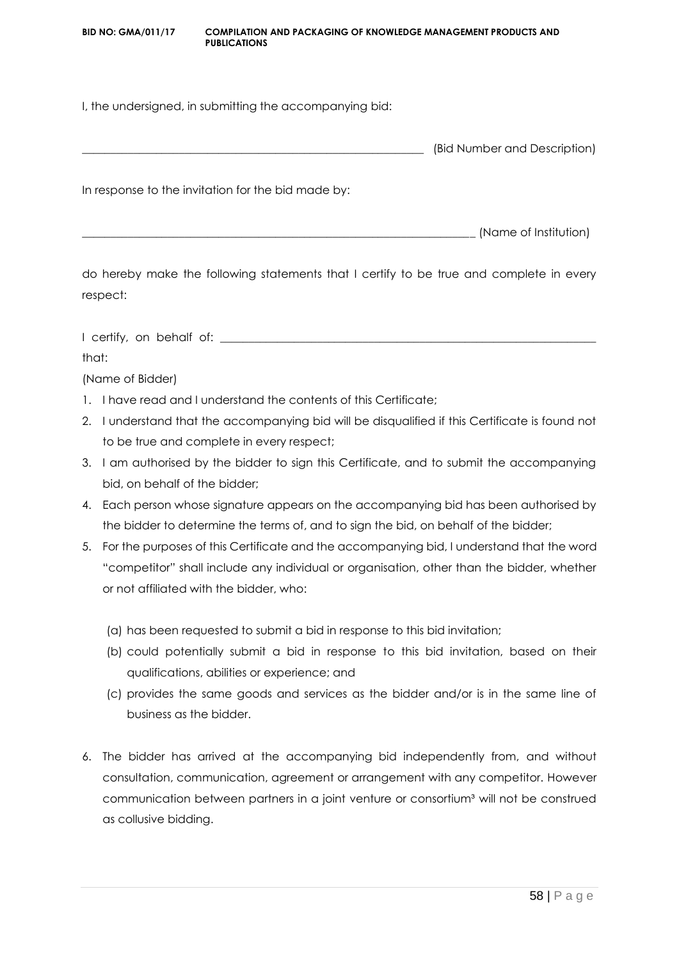#### **BID NO: GMA/011/17 COMPILATION AND PACKAGING OF KNOWLEDGE MANAGEMENT PRODUCTS AND PUBLICATIONS**

I, the undersigned, in submitting the accompanying bid:

| (Bid Number and Description) |
|------------------------------|
|                              |

In response to the invitation for the bid made by:

\_\_\_\_\_\_\_\_\_\_\_\_\_\_\_\_\_\_\_\_\_\_\_\_\_\_\_\_\_\_\_\_\_\_\_\_\_\_\_\_\_\_\_\_\_\_\_\_\_\_\_\_\_\_\_\_\_\_\_\_\_\_\_\_\_\_\_\_\_ (Name of Institution)

do hereby make the following statements that I certify to be true and complete in every respect:

I certify, on behalf of: \_\_\_\_\_\_\_\_\_\_\_\_\_\_\_\_\_\_\_\_\_\_\_\_\_\_\_\_\_\_\_\_\_\_\_\_\_\_\_\_\_\_\_\_\_\_\_\_\_\_\_\_\_\_\_\_\_\_\_\_\_\_\_\_\_\_

that:

(Name of Bidder)

- 1. I have read and I understand the contents of this Certificate;
- 2. I understand that the accompanying bid will be disqualified if this Certificate is found not to be true and complete in every respect;
- 3. I am authorised by the bidder to sign this Certificate, and to submit the accompanying bid, on behalf of the bidder;
- 4. Each person whose signature appears on the accompanying bid has been authorised by the bidder to determine the terms of, and to sign the bid, on behalf of the bidder;
- 5. For the purposes of this Certificate and the accompanying bid, I understand that the word "competitor" shall include any individual or organisation, other than the bidder, whether or not affiliated with the bidder, who:
	- (a) has been requested to submit a bid in response to this bid invitation;
	- (b) could potentially submit a bid in response to this bid invitation, based on their qualifications, abilities or experience; and
	- (c) provides the same goods and services as the bidder and/or is in the same line of business as the bidder.
- 6. The bidder has arrived at the accompanying bid independently from, and without consultation, communication, agreement or arrangement with any competitor. However communication between partners in a joint venture or consortium<sup>3</sup> will not be construed as collusive bidding.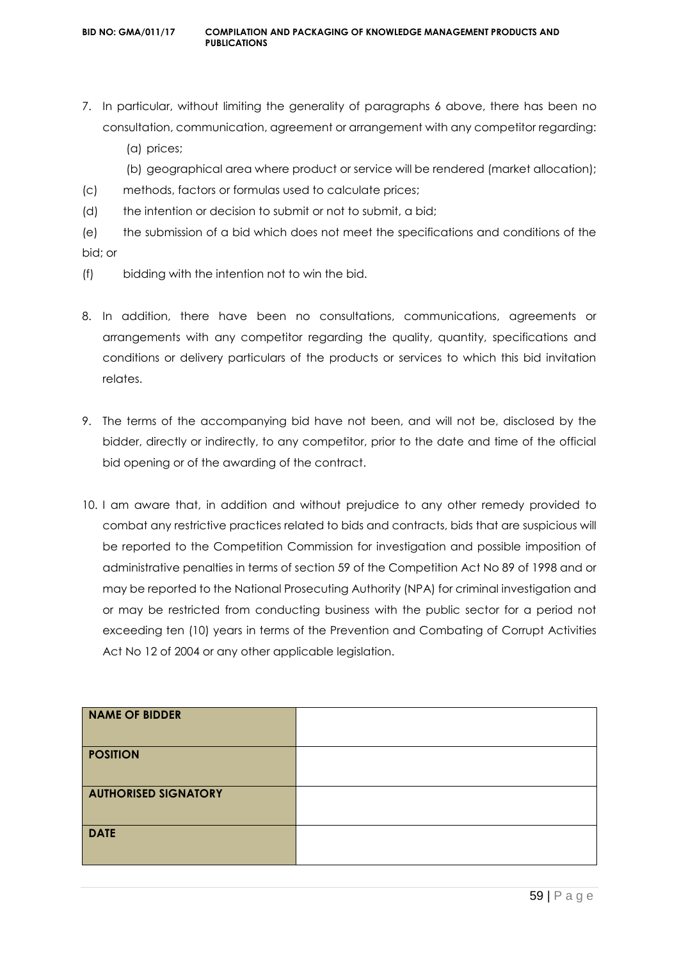7. In particular, without limiting the generality of paragraphs 6 above, there has been no consultation, communication, agreement or arrangement with any competitor regarding:

(a) prices;

(b) geographical area where product or service will be rendered (market allocation);

- (c) methods, factors or formulas used to calculate prices;
- (d) the intention or decision to submit or not to submit, a bid;
- (e) the submission of a bid which does not meet the specifications and conditions of the bid; or
- (f) bidding with the intention not to win the bid.
- 8. In addition, there have been no consultations, communications, agreements or arrangements with any competitor regarding the quality, quantity, specifications and conditions or delivery particulars of the products or services to which this bid invitation relates.
- 9. The terms of the accompanying bid have not been, and will not be, disclosed by the bidder, directly or indirectly, to any competitor, prior to the date and time of the official bid opening or of the awarding of the contract.
- 10. I am aware that, in addition and without prejudice to any other remedy provided to combat any restrictive practices related to bids and contracts, bids that are suspicious will be reported to the Competition Commission for investigation and possible imposition of administrative penalties in terms of section 59 of the Competition Act No 89 of 1998 and or may be reported to the National Prosecuting Authority (NPA) for criminal investigation and or may be restricted from conducting business with the public sector for a period not exceeding ten (10) years in terms of the Prevention and Combating of Corrupt Activities Act No 12 of 2004 or any other applicable legislation.

| <b>NAME OF BIDDER</b>       |  |
|-----------------------------|--|
| <b>POSITION</b>             |  |
| <b>AUTHORISED SIGNATORY</b> |  |
| <b>DATE</b>                 |  |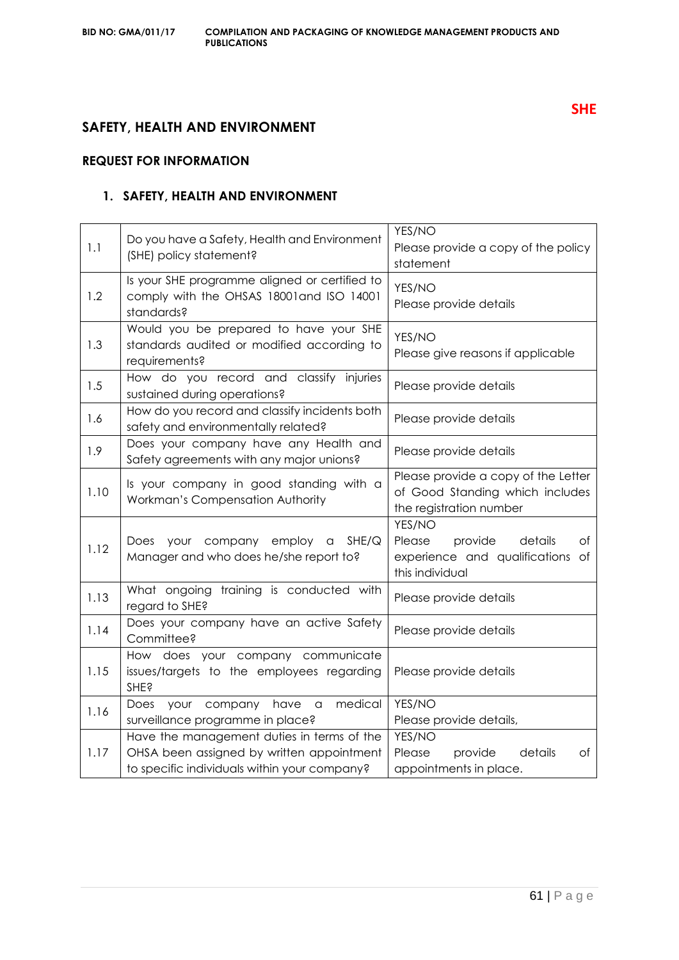### **SAFETY, HEALTH AND ENVIRONMENT**

#### **REQUEST FOR INFORMATION**

#### **1. SAFETY, HEALTH AND ENVIRONMENT**

| 1.1  | Do you have a Safety, Health and Environment<br>(SHE) policy statement?                                                                 | YES/NO<br>Please provide a copy of the policy<br>statement                                          |
|------|-----------------------------------------------------------------------------------------------------------------------------------------|-----------------------------------------------------------------------------------------------------|
| 1.2  | Is your SHE programme aligned or certified to<br>comply with the OHSAS 18001 and ISO 14001<br>standards?                                | YES/NO<br>Please provide details                                                                    |
| 1.3  | Would you be prepared to have your SHE<br>standards audited or modified according to<br>requirements?                                   | YES/NO<br>Please give reasons if applicable                                                         |
| 1.5  | How do you record and classify injuries<br>sustained during operations?                                                                 | Please provide details                                                                              |
| 1.6  | How do you record and classify incidents both<br>safety and environmentally related?                                                    | Please provide details                                                                              |
| 1.9  | Does your company have any Health and<br>Safety agreements with any major unions?                                                       | Please provide details                                                                              |
| 1.10 | Is your company in good standing with a<br>Workman's Compensation Authority                                                             | Please provide a copy of the Letter<br>of Good Standing which includes<br>the registration number   |
| 1.12 | Does your company employ a<br>SHE/Q<br>Manager and who does he/she report to?                                                           | YES/NO<br>Please<br>provide<br>details<br>Оf<br>experience and qualifications of<br>this individual |
| 1.13 | What ongoing training is conducted with<br>regard to SHE?                                                                               | Please provide details                                                                              |
| 1.14 | Does your company have an active Safety<br>Committee?                                                                                   | Please provide details                                                                              |
| 1.15 | How does your company communicate<br>issues/targets to the employees regarding<br><b>SHE?</b>                                           | Please provide details                                                                              |
| 1.16 | your company have<br>medical<br>Does<br>$\hbox{\tt\large G}$<br>surveillance programme in place?                                        | YES/NO<br>Please provide details,                                                                   |
| 1.17 | Have the management duties in terms of the<br>OHSA been assigned by written appointment<br>to specific individuals within your company? | YES/NO<br>Please<br>provide<br>details<br>оf<br>appointments in place.                              |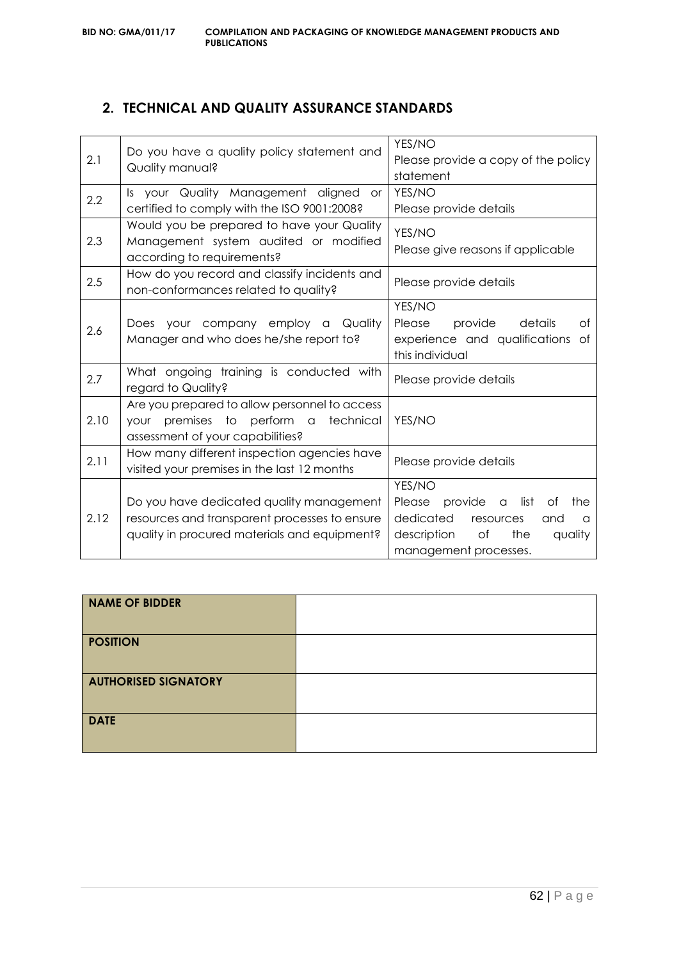### **2. TECHNICAL AND QUALITY ASSURANCE STANDARDS**

| statement<br>YES/NO<br>Is your Quality Management aligned<br><b>or</b><br>2.2<br>certified to comply with the ISO 9001:2008?<br>Please provide details<br>Would you be prepared to have your Quality<br>YES/NO<br>2.3<br>Management system audited or modified<br>Please give reasons if applicable<br>according to requirements?<br>How do you record and classify incidents and<br>2.5<br>Please provide details<br>non-conformances related to quality?<br>YES/NO<br>Does your company employ a Quality<br>Please<br>provide<br>details<br>Οf<br>2.6<br>Manager and who does he/she report to?<br>experience and qualifications of<br>this individual<br>What ongoing training is conducted with<br>2.7<br>Please provide details<br>regard to Quality?<br>Are you prepared to allow personnel to access<br>2.10<br>YES/NO<br>premises to perform a<br>technical<br>your<br>assessment of your capabilities?<br>How many different inspection agencies have<br>2.11<br>Please provide details<br>visited your premises in the last 12 months<br>YES/NO | 2.1 | Do you have a quality policy statement and<br>Quality manual? | YES/NO<br>Please provide a copy of the policy |  |
|-----------------------------------------------------------------------------------------------------------------------------------------------------------------------------------------------------------------------------------------------------------------------------------------------------------------------------------------------------------------------------------------------------------------------------------------------------------------------------------------------------------------------------------------------------------------------------------------------------------------------------------------------------------------------------------------------------------------------------------------------------------------------------------------------------------------------------------------------------------------------------------------------------------------------------------------------------------------------------------------------------------------------------------------------------------|-----|---------------------------------------------------------------|-----------------------------------------------|--|
|                                                                                                                                                                                                                                                                                                                                                                                                                                                                                                                                                                                                                                                                                                                                                                                                                                                                                                                                                                                                                                                           |     |                                                               |                                               |  |
|                                                                                                                                                                                                                                                                                                                                                                                                                                                                                                                                                                                                                                                                                                                                                                                                                                                                                                                                                                                                                                                           |     |                                                               |                                               |  |
|                                                                                                                                                                                                                                                                                                                                                                                                                                                                                                                                                                                                                                                                                                                                                                                                                                                                                                                                                                                                                                                           |     |                                                               |                                               |  |
|                                                                                                                                                                                                                                                                                                                                                                                                                                                                                                                                                                                                                                                                                                                                                                                                                                                                                                                                                                                                                                                           |     |                                                               |                                               |  |
|                                                                                                                                                                                                                                                                                                                                                                                                                                                                                                                                                                                                                                                                                                                                                                                                                                                                                                                                                                                                                                                           |     |                                                               |                                               |  |
|                                                                                                                                                                                                                                                                                                                                                                                                                                                                                                                                                                                                                                                                                                                                                                                                                                                                                                                                                                                                                                                           |     |                                                               |                                               |  |
|                                                                                                                                                                                                                                                                                                                                                                                                                                                                                                                                                                                                                                                                                                                                                                                                                                                                                                                                                                                                                                                           |     |                                                               |                                               |  |
|                                                                                                                                                                                                                                                                                                                                                                                                                                                                                                                                                                                                                                                                                                                                                                                                                                                                                                                                                                                                                                                           |     |                                                               |                                               |  |
|                                                                                                                                                                                                                                                                                                                                                                                                                                                                                                                                                                                                                                                                                                                                                                                                                                                                                                                                                                                                                                                           |     |                                                               |                                               |  |
|                                                                                                                                                                                                                                                                                                                                                                                                                                                                                                                                                                                                                                                                                                                                                                                                                                                                                                                                                                                                                                                           |     |                                                               |                                               |  |
|                                                                                                                                                                                                                                                                                                                                                                                                                                                                                                                                                                                                                                                                                                                                                                                                                                                                                                                                                                                                                                                           |     |                                                               |                                               |  |
|                                                                                                                                                                                                                                                                                                                                                                                                                                                                                                                                                                                                                                                                                                                                                                                                                                                                                                                                                                                                                                                           |     |                                                               |                                               |  |
|                                                                                                                                                                                                                                                                                                                                                                                                                                                                                                                                                                                                                                                                                                                                                                                                                                                                                                                                                                                                                                                           |     |                                                               |                                               |  |
|                                                                                                                                                                                                                                                                                                                                                                                                                                                                                                                                                                                                                                                                                                                                                                                                                                                                                                                                                                                                                                                           |     |                                                               |                                               |  |
|                                                                                                                                                                                                                                                                                                                                                                                                                                                                                                                                                                                                                                                                                                                                                                                                                                                                                                                                                                                                                                                           |     |                                                               |                                               |  |
| Do you have dedicated quality management<br>provide<br>Please<br>list<br>of<br>the<br>$\alpha$                                                                                                                                                                                                                                                                                                                                                                                                                                                                                                                                                                                                                                                                                                                                                                                                                                                                                                                                                            |     |                                                               |                                               |  |
| 2.12<br>resources and transparent processes to ensure<br>dedicated<br>resources<br>and<br>$\Omega$                                                                                                                                                                                                                                                                                                                                                                                                                                                                                                                                                                                                                                                                                                                                                                                                                                                                                                                                                        |     |                                                               |                                               |  |
| quality in procured materials and equipment?<br>description<br>of<br>the<br>quality                                                                                                                                                                                                                                                                                                                                                                                                                                                                                                                                                                                                                                                                                                                                                                                                                                                                                                                                                                       |     |                                                               |                                               |  |
| management processes.                                                                                                                                                                                                                                                                                                                                                                                                                                                                                                                                                                                                                                                                                                                                                                                                                                                                                                                                                                                                                                     |     |                                                               |                                               |  |

| <b>NAME OF BIDDER</b>       |  |
|-----------------------------|--|
| <b>POSITION</b>             |  |
| <b>AUTHORISED SIGNATORY</b> |  |
| <b>DATE</b>                 |  |